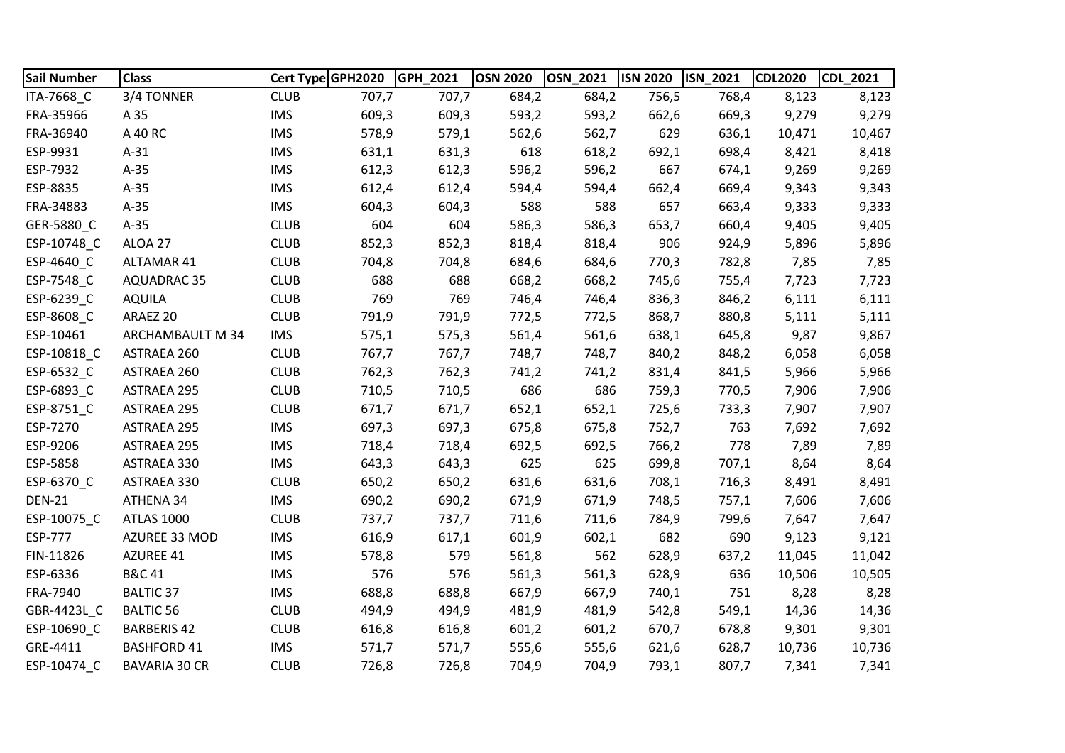| <b>Sail Number</b> | <b>Class</b>         | Cert Type GPH2020 |       | GPH 2021 | <b>OSN 2020</b> | <b>OSN 2021</b> | <b>ISN 2020</b> | <b>ISN 2021</b> | <b>CDL2020</b> | <b>CDL 2021</b> |
|--------------------|----------------------|-------------------|-------|----------|-----------------|-----------------|-----------------|-----------------|----------------|-----------------|
| ITA-7668_C         | 3/4 TONNER           | <b>CLUB</b>       | 707,7 | 707,7    | 684,2           | 684,2           | 756,5           | 768,4           | 8,123          | 8,123           |
| FRA-35966          | A 35                 | <b>IMS</b>        | 609,3 | 609,3    | 593,2           | 593,2           | 662,6           | 669,3           | 9,279          | 9,279           |
| FRA-36940          | A 40 RC              | <b>IMS</b>        | 578,9 | 579,1    | 562,6           | 562,7           | 629             | 636,1           | 10,471         | 10,467          |
| ESP-9931           | $A-31$               | <b>IMS</b>        | 631,1 | 631,3    | 618             | 618,2           | 692,1           | 698,4           | 8,421          | 8,418           |
| ESP-7932           | $A-35$               | <b>IMS</b>        | 612,3 | 612,3    | 596,2           | 596,2           | 667             | 674,1           | 9,269          | 9,269           |
| ESP-8835           | $A-35$               | <b>IMS</b>        | 612,4 | 612,4    | 594,4           | 594,4           | 662,4           | 669,4           | 9,343          | 9,343           |
| FRA-34883          | $A-35$               | <b>IMS</b>        | 604,3 | 604,3    | 588             | 588             | 657             | 663,4           | 9,333          | 9,333           |
| GER-5880_C         | $A-35$               | <b>CLUB</b>       | 604   | 604      | 586,3           | 586,3           | 653,7           | 660,4           | 9,405          | 9,405           |
| ESP-10748_C        | ALOA 27              | <b>CLUB</b>       | 852,3 | 852,3    | 818,4           | 818,4           | 906             | 924,9           | 5,896          | 5,896           |
| ESP-4640 C         | ALTAMAR 41           | <b>CLUB</b>       | 704,8 | 704,8    | 684,6           | 684,6           | 770,3           | 782,8           | 7,85           | 7,85            |
| ESP-7548_C         | <b>AQUADRAC 35</b>   | <b>CLUB</b>       | 688   | 688      | 668,2           | 668,2           | 745,6           | 755,4           | 7,723          | 7,723           |
| ESP-6239_C         | <b>AQUILA</b>        | <b>CLUB</b>       | 769   | 769      | 746,4           | 746,4           | 836,3           | 846,2           | 6,111          | 6,111           |
| ESP-8608 C         | ARAEZ 20             | <b>CLUB</b>       | 791,9 | 791,9    | 772,5           | 772,5           | 868,7           | 880,8           | 5,111          | 5,111           |
| ESP-10461          | ARCHAMBAULT M 34     | <b>IMS</b>        | 575,1 | 575,3    | 561,4           | 561,6           | 638,1           | 645,8           | 9,87           | 9,867           |
| ESP-10818 C        | ASTRAEA 260          | <b>CLUB</b>       | 767,7 | 767,7    | 748,7           | 748,7           | 840,2           | 848,2           | 6,058          | 6,058           |
| ESP-6532_C         | ASTRAEA 260          | <b>CLUB</b>       | 762,3 | 762,3    | 741,2           | 741,2           | 831,4           | 841,5           | 5,966          | 5,966           |
| ESP-6893_C         | <b>ASTRAEA 295</b>   | <b>CLUB</b>       | 710,5 | 710,5    | 686             | 686             | 759,3           | 770,5           | 7,906          | 7,906           |
| ESP-8751_C         | <b>ASTRAEA 295</b>   | <b>CLUB</b>       | 671,7 | 671,7    | 652,1           | 652,1           | 725,6           | 733,3           | 7,907          | 7,907           |
| ESP-7270           | <b>ASTRAEA 295</b>   | <b>IMS</b>        | 697,3 | 697,3    | 675,8           | 675,8           | 752,7           | 763             | 7,692          | 7,692           |
| ESP-9206           | <b>ASTRAEA 295</b>   | <b>IMS</b>        | 718,4 | 718,4    | 692,5           | 692,5           | 766,2           | 778             | 7,89           | 7,89            |
| ESP-5858           | ASTRAEA 330          | <b>IMS</b>        | 643,3 | 643,3    | 625             | 625             | 699,8           | 707,1           | 8,64           | 8,64            |
| ESP-6370_C         | ASTRAEA 330          | <b>CLUB</b>       | 650,2 | 650,2    | 631,6           | 631,6           | 708,1           | 716,3           | 8,491          | 8,491           |
| <b>DEN-21</b>      | ATHENA 34            | <b>IMS</b>        | 690,2 | 690,2    | 671,9           | 671,9           | 748,5           | 757,1           | 7,606          | 7,606           |
| ESP-10075_C        | <b>ATLAS 1000</b>    | <b>CLUB</b>       | 737,7 | 737,7    | 711,6           | 711,6           | 784,9           | 799,6           | 7,647          | 7,647           |
| ESP-777            | AZUREE 33 MOD        | <b>IMS</b>        | 616,9 | 617,1    | 601,9           | 602,1           | 682             | 690             | 9,123          | 9,121           |
| FIN-11826          | AZUREE 41            | <b>IMS</b>        | 578,8 | 579      | 561,8           | 562             | 628,9           | 637,2           | 11,045         | 11,042          |
| ESP-6336           | <b>B&amp;C 41</b>    | <b>IMS</b>        | 576   | 576      | 561,3           | 561,3           | 628,9           | 636             | 10,506         | 10,505          |
| FRA-7940           | <b>BALTIC 37</b>     | <b>IMS</b>        | 688,8 | 688,8    | 667,9           | 667,9           | 740,1           | 751             | 8,28           | 8,28            |
| GBR-4423L C        | <b>BALTIC 56</b>     | <b>CLUB</b>       | 494,9 | 494,9    | 481,9           | 481,9           | 542,8           | 549,1           | 14,36          | 14,36           |
| ESP-10690_C        | <b>BARBERIS 42</b>   | <b>CLUB</b>       | 616,8 | 616,8    | 601,2           | 601,2           | 670,7           | 678,8           | 9,301          | 9,301           |
| GRE-4411           | <b>BASHFORD 41</b>   | <b>IMS</b>        | 571,7 | 571,7    | 555,6           | 555,6           | 621,6           | 628,7           | 10,736         | 10,736          |
| ESP-10474 C        | <b>BAVARIA 30 CR</b> | <b>CLUB</b>       | 726,8 | 726,8    | 704,9           | 704,9           | 793,1           | 807,7           | 7,341          | 7,341           |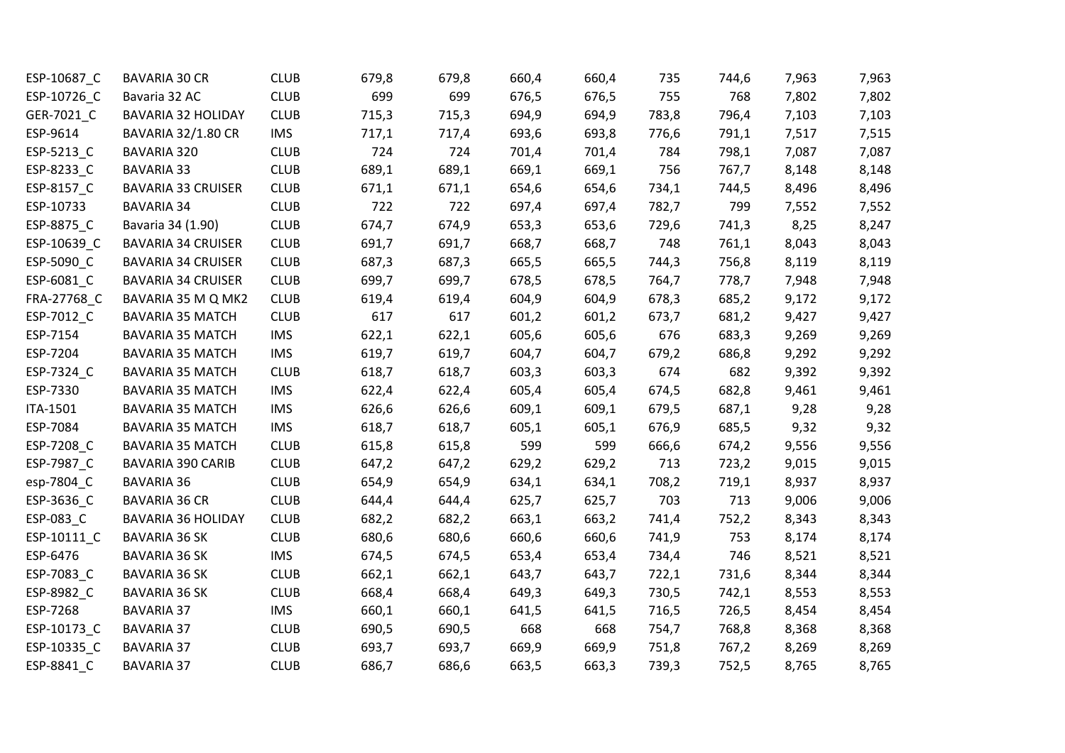| ESP-10687_C | <b>BAVARIA 30 CR</b>      | <b>CLUB</b> | 679,8 | 679,8 | 660,4 | 660,4 | 735   | 744,6 | 7,963 | 7,963 |
|-------------|---------------------------|-------------|-------|-------|-------|-------|-------|-------|-------|-------|
| ESP-10726_C | Bavaria 32 AC             | <b>CLUB</b> | 699   | 699   | 676,5 | 676,5 | 755   | 768   | 7,802 | 7,802 |
| GER-7021_C  | <b>BAVARIA 32 HOLIDAY</b> | <b>CLUB</b> | 715,3 | 715,3 | 694,9 | 694,9 | 783,8 | 796,4 | 7,103 | 7,103 |
| ESP-9614    | <b>BAVARIA 32/1.80 CR</b> | <b>IMS</b>  | 717,1 | 717,4 | 693,6 | 693,8 | 776,6 | 791,1 | 7,517 | 7,515 |
| ESP-5213_C  | BAVARIA 320               | <b>CLUB</b> | 724   | 724   | 701,4 | 701,4 | 784   | 798,1 | 7,087 | 7,087 |
| ESP-8233_C  | <b>BAVARIA 33</b>         | <b>CLUB</b> | 689,1 | 689,1 | 669,1 | 669,1 | 756   | 767,7 | 8,148 | 8,148 |
| ESP-8157_C  | <b>BAVARIA 33 CRUISER</b> | <b>CLUB</b> | 671,1 | 671,1 | 654,6 | 654,6 | 734,1 | 744,5 | 8,496 | 8,496 |
| ESP-10733   | <b>BAVARIA 34</b>         | <b>CLUB</b> | 722   | 722   | 697,4 | 697,4 | 782,7 | 799   | 7,552 | 7,552 |
| ESP-8875_C  | Bavaria 34 (1.90)         | <b>CLUB</b> | 674,7 | 674,9 | 653,3 | 653,6 | 729,6 | 741,3 | 8,25  | 8,247 |
| ESP-10639_C | <b>BAVARIA 34 CRUISER</b> | <b>CLUB</b> | 691,7 | 691,7 | 668,7 | 668,7 | 748   | 761,1 | 8,043 | 8,043 |
| ESP-5090_C  | <b>BAVARIA 34 CRUISER</b> | <b>CLUB</b> | 687,3 | 687,3 | 665,5 | 665,5 | 744,3 | 756,8 | 8,119 | 8,119 |
| ESP-6081_C  | <b>BAVARIA 34 CRUISER</b> | <b>CLUB</b> | 699,7 | 699,7 | 678,5 | 678,5 | 764,7 | 778,7 | 7,948 | 7,948 |
| FRA-27768 C | BAVARIA 35 M Q MK2        | <b>CLUB</b> | 619,4 | 619,4 | 604,9 | 604,9 | 678,3 | 685,2 | 9,172 | 9,172 |
| ESP-7012_C  | <b>BAVARIA 35 MATCH</b>   | <b>CLUB</b> | 617   | 617   | 601,2 | 601,2 | 673,7 | 681,2 | 9,427 | 9,427 |
| ESP-7154    | <b>BAVARIA 35 MATCH</b>   | <b>IMS</b>  | 622,1 | 622,1 | 605,6 | 605,6 | 676   | 683,3 | 9,269 | 9,269 |
| ESP-7204    | <b>BAVARIA 35 MATCH</b>   | <b>IMS</b>  | 619,7 | 619,7 | 604,7 | 604,7 | 679,2 | 686,8 | 9,292 | 9,292 |
| ESP-7324_C  | <b>BAVARIA 35 MATCH</b>   | <b>CLUB</b> | 618,7 | 618,7 | 603,3 | 603,3 | 674   | 682   | 9,392 | 9,392 |
| ESP-7330    | <b>BAVARIA 35 MATCH</b>   | <b>IMS</b>  | 622,4 | 622,4 | 605,4 | 605,4 | 674,5 | 682,8 | 9,461 | 9,461 |
| ITA-1501    | <b>BAVARIA 35 MATCH</b>   | <b>IMS</b>  | 626,6 | 626,6 | 609,1 | 609,1 | 679,5 | 687,1 | 9,28  | 9,28  |
| ESP-7084    | <b>BAVARIA 35 MATCH</b>   | <b>IMS</b>  | 618,7 | 618,7 | 605,1 | 605,1 | 676,9 | 685,5 | 9,32  | 9,32  |
| ESP-7208 C  | <b>BAVARIA 35 MATCH</b>   | <b>CLUB</b> | 615,8 | 615,8 | 599   | 599   | 666,6 | 674,2 | 9,556 | 9,556 |
| ESP-7987_C  | <b>BAVARIA 390 CARIB</b>  | <b>CLUB</b> | 647,2 | 647,2 | 629,2 | 629,2 | 713   | 723,2 | 9,015 | 9,015 |
| esp-7804_C  | <b>BAVARIA 36</b>         | <b>CLUB</b> | 654,9 | 654,9 | 634,1 | 634,1 | 708,2 | 719,1 | 8,937 | 8,937 |
| ESP-3636_C  | <b>BAVARIA 36 CR</b>      | <b>CLUB</b> | 644,4 | 644,4 | 625,7 | 625,7 | 703   | 713   | 9,006 | 9,006 |
| ESP-083_C   | <b>BAVARIA 36 HOLIDAY</b> | <b>CLUB</b> | 682,2 | 682,2 | 663,1 | 663,2 | 741,4 | 752,2 | 8,343 | 8,343 |
| ESP-10111_C | <b>BAVARIA 36 SK</b>      | <b>CLUB</b> | 680,6 | 680,6 | 660,6 | 660,6 | 741,9 | 753   | 8,174 | 8,174 |
| ESP-6476    | <b>BAVARIA 36 SK</b>      | <b>IMS</b>  | 674,5 | 674,5 | 653,4 | 653,4 | 734,4 | 746   | 8,521 | 8,521 |
| ESP-7083_C  | BAVARIA 36 SK             | <b>CLUB</b> | 662,1 | 662,1 | 643,7 | 643,7 | 722,1 | 731,6 | 8,344 | 8,344 |
| ESP-8982_C  | <b>BAVARIA 36 SK</b>      | <b>CLUB</b> | 668,4 | 668,4 | 649,3 | 649,3 | 730,5 | 742,1 | 8,553 | 8,553 |
| ESP-7268    | <b>BAVARIA 37</b>         | <b>IMS</b>  | 660,1 | 660,1 | 641,5 | 641,5 | 716,5 | 726,5 | 8,454 | 8,454 |
| ESP-10173_C | <b>BAVARIA 37</b>         | <b>CLUB</b> | 690,5 | 690,5 | 668   | 668   | 754,7 | 768,8 | 8,368 | 8,368 |
| ESP-10335_C | <b>BAVARIA 37</b>         | <b>CLUB</b> | 693,7 | 693,7 | 669,9 | 669,9 | 751,8 | 767,2 | 8,269 | 8,269 |
| ESP-8841 C  | <b>BAVARIA 37</b>         | <b>CLUB</b> | 686,7 | 686,6 | 663,5 | 663,3 | 739,3 | 752,5 | 8,765 | 8,765 |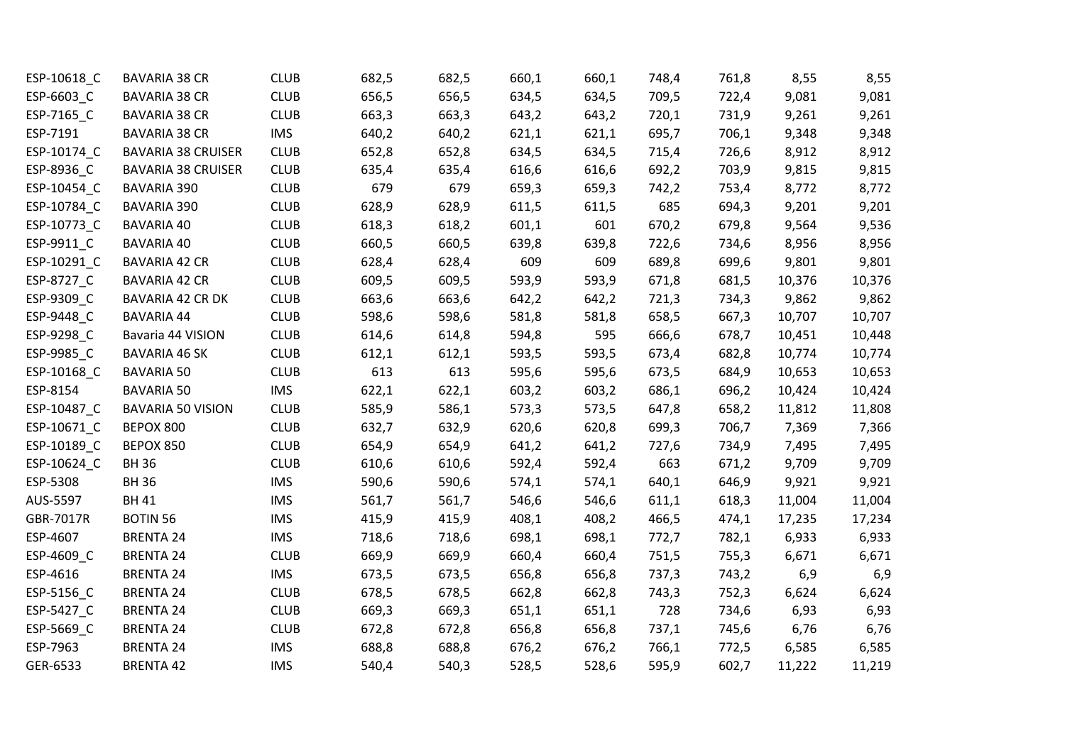| ESP-10618_C | <b>BAVARIA 38 CR</b>      | <b>CLUB</b> | 682,5 | 682,5 | 660,1 | 660,1 | 748,4 | 761,8 | 8,55   | 8,55   |
|-------------|---------------------------|-------------|-------|-------|-------|-------|-------|-------|--------|--------|
| ESP-6603_C  | <b>BAVARIA 38 CR</b>      | <b>CLUB</b> | 656,5 | 656,5 | 634,5 | 634,5 | 709,5 | 722,4 | 9,081  | 9,081  |
| ESP-7165_C  | <b>BAVARIA 38 CR</b>      | <b>CLUB</b> | 663,3 | 663,3 | 643,2 | 643,2 | 720,1 | 731,9 | 9,261  | 9,261  |
| ESP-7191    | <b>BAVARIA 38 CR</b>      | <b>IMS</b>  | 640,2 | 640,2 | 621,1 | 621,1 | 695,7 | 706,1 | 9,348  | 9,348  |
| ESP-10174_C | <b>BAVARIA 38 CRUISER</b> | <b>CLUB</b> | 652,8 | 652,8 | 634,5 | 634,5 | 715,4 | 726,6 | 8,912  | 8,912  |
| ESP-8936 C  | <b>BAVARIA 38 CRUISER</b> | <b>CLUB</b> | 635,4 | 635,4 | 616,6 | 616,6 | 692,2 | 703,9 | 9,815  | 9,815  |
| ESP-10454_C | <b>BAVARIA 390</b>        | <b>CLUB</b> | 679   | 679   | 659,3 | 659,3 | 742,2 | 753,4 | 8,772  | 8,772  |
| ESP-10784_C | <b>BAVARIA 390</b>        | <b>CLUB</b> | 628,9 | 628,9 | 611,5 | 611,5 | 685   | 694,3 | 9,201  | 9,201  |
| ESP-10773_C | <b>BAVARIA 40</b>         | <b>CLUB</b> | 618,3 | 618,2 | 601,1 | 601   | 670,2 | 679,8 | 9,564  | 9,536  |
| ESP-9911_C  | <b>BAVARIA 40</b>         | <b>CLUB</b> | 660,5 | 660,5 | 639,8 | 639,8 | 722,6 | 734,6 | 8,956  | 8,956  |
| ESP-10291_C | <b>BAVARIA 42 CR</b>      | <b>CLUB</b> | 628,4 | 628,4 | 609   | 609   | 689,8 | 699,6 | 9,801  | 9,801  |
| ESP-8727_C  | <b>BAVARIA 42 CR</b>      | <b>CLUB</b> | 609,5 | 609,5 | 593,9 | 593,9 | 671,8 | 681,5 | 10,376 | 10,376 |
| ESP-9309_C  | BAVARIA 42 CR DK          | <b>CLUB</b> | 663,6 | 663,6 | 642,2 | 642,2 | 721,3 | 734,3 | 9,862  | 9,862  |
| ESP-9448_C  | <b>BAVARIA 44</b>         | <b>CLUB</b> | 598,6 | 598,6 | 581,8 | 581,8 | 658,5 | 667,3 | 10,707 | 10,707 |
| ESP-9298_C  | Bavaria 44 VISION         | <b>CLUB</b> | 614,6 | 614,8 | 594,8 | 595   | 666,6 | 678,7 | 10,451 | 10,448 |
| ESP-9985_C  | <b>BAVARIA 46 SK</b>      | <b>CLUB</b> | 612,1 | 612,1 | 593,5 | 593,5 | 673,4 | 682,8 | 10,774 | 10,774 |
| ESP-10168_C | <b>BAVARIA 50</b>         | <b>CLUB</b> | 613   | 613   | 595,6 | 595,6 | 673,5 | 684,9 | 10,653 | 10,653 |
| ESP-8154    | <b>BAVARIA 50</b>         | <b>IMS</b>  | 622,1 | 622,1 | 603,2 | 603,2 | 686,1 | 696,2 | 10,424 | 10,424 |
| ESP-10487_C | <b>BAVARIA 50 VISION</b>  | <b>CLUB</b> | 585,9 | 586,1 | 573,3 | 573,5 | 647,8 | 658,2 | 11,812 | 11,808 |
| ESP-10671_C | BEPOX 800                 | <b>CLUB</b> | 632,7 | 632,9 | 620,6 | 620,8 | 699,3 | 706,7 | 7,369  | 7,366  |
| ESP-10189_C | BEPOX 850                 | <b>CLUB</b> | 654,9 | 654,9 | 641,2 | 641,2 | 727,6 | 734,9 | 7,495  | 7,495  |
| ESP-10624_C | <b>BH36</b>               | <b>CLUB</b> | 610,6 | 610,6 | 592,4 | 592,4 | 663   | 671,2 | 9,709  | 9,709  |
| ESP-5308    | <b>BH36</b>               | <b>IMS</b>  | 590,6 | 590,6 | 574,1 | 574,1 | 640,1 | 646,9 | 9,921  | 9,921  |
| AUS-5597    | <b>BH41</b>               | <b>IMS</b>  | 561,7 | 561,7 | 546,6 | 546,6 | 611,1 | 618,3 | 11,004 | 11,004 |
| GBR-7017R   | <b>BOTIN 56</b>           | <b>IMS</b>  | 415,9 | 415,9 | 408,1 | 408,2 | 466,5 | 474,1 | 17,235 | 17,234 |
| ESP-4607    | <b>BRENTA 24</b>          | <b>IMS</b>  | 718,6 | 718,6 | 698,1 | 698,1 | 772,7 | 782,1 | 6,933  | 6,933  |
| ESP-4609_C  | <b>BRENTA 24</b>          | <b>CLUB</b> | 669,9 | 669,9 | 660,4 | 660,4 | 751,5 | 755,3 | 6,671  | 6,671  |
| ESP-4616    | <b>BRENTA 24</b>          | <b>IMS</b>  | 673,5 | 673,5 | 656,8 | 656,8 | 737,3 | 743,2 | 6,9    | 6,9    |
| ESP-5156_C  | <b>BRENTA 24</b>          | <b>CLUB</b> | 678,5 | 678,5 | 662,8 | 662,8 | 743,3 | 752,3 | 6,624  | 6,624  |
| ESP-5427_C  | <b>BRENTA 24</b>          | <b>CLUB</b> | 669,3 | 669,3 | 651,1 | 651,1 | 728   | 734,6 | 6,93   | 6,93   |
| ESP-5669_C  | <b>BRENTA 24</b>          | <b>CLUB</b> | 672,8 | 672,8 | 656,8 | 656,8 | 737,1 | 745,6 | 6,76   | 6,76   |
| ESP-7963    | <b>BRENTA 24</b>          | <b>IMS</b>  | 688,8 | 688,8 | 676,2 | 676,2 | 766,1 | 772,5 | 6,585  | 6,585  |
| GER-6533    | <b>BRENTA 42</b>          | <b>IMS</b>  | 540,4 | 540,3 | 528,5 | 528,6 | 595,9 | 602,7 | 11,222 | 11,219 |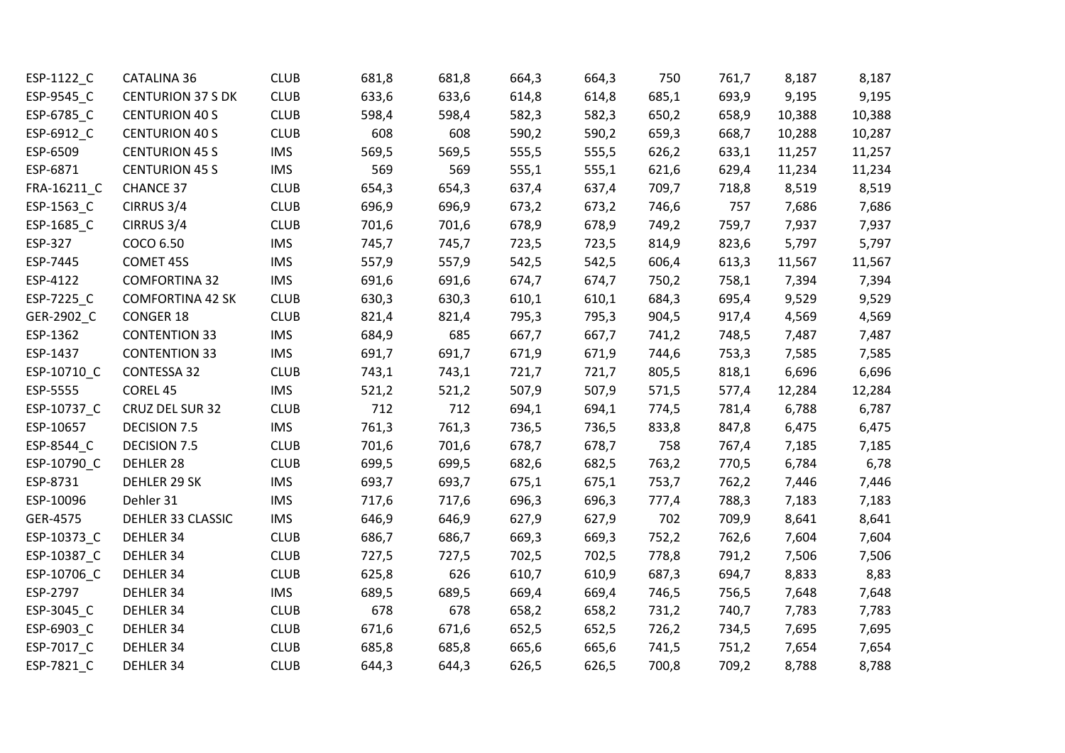| ESP-1122_C  | <b>CATALINA 36</b>       | <b>CLUB</b> | 681,8 | 681,8 | 664,3 | 664,3 | 750   | 761,7 | 8,187  | 8,187  |
|-------------|--------------------------|-------------|-------|-------|-------|-------|-------|-------|--------|--------|
| ESP-9545_C  | <b>CENTURION 37 S DK</b> | <b>CLUB</b> | 633,6 | 633,6 | 614,8 | 614,8 | 685,1 | 693,9 | 9,195  | 9,195  |
| ESP-6785_C  | <b>CENTURION 40 S</b>    | <b>CLUB</b> | 598,4 | 598,4 | 582,3 | 582,3 | 650,2 | 658,9 | 10,388 | 10,388 |
| ESP-6912_C  | <b>CENTURION 40 S</b>    | <b>CLUB</b> | 608   | 608   | 590,2 | 590,2 | 659,3 | 668,7 | 10,288 | 10,287 |
| ESP-6509    | <b>CENTURION 45 S</b>    | <b>IMS</b>  | 569,5 | 569,5 | 555,5 | 555,5 | 626,2 | 633,1 | 11,257 | 11,257 |
| ESP-6871    | <b>CENTURION 45 S</b>    | <b>IMS</b>  | 569   | 569   | 555,1 | 555,1 | 621,6 | 629,4 | 11,234 | 11,234 |
| FRA-16211_C | <b>CHANCE 37</b>         | <b>CLUB</b> | 654,3 | 654,3 | 637,4 | 637,4 | 709,7 | 718,8 | 8,519  | 8,519  |
| ESP-1563_C  | CIRRUS 3/4               | <b>CLUB</b> | 696,9 | 696,9 | 673,2 | 673,2 | 746,6 | 757   | 7,686  | 7,686  |
| ESP-1685_C  | CIRRUS 3/4               | <b>CLUB</b> | 701,6 | 701,6 | 678,9 | 678,9 | 749,2 | 759,7 | 7,937  | 7,937  |
| ESP-327     | COCO 6.50                | <b>IMS</b>  | 745,7 | 745,7 | 723,5 | 723,5 | 814,9 | 823,6 | 5,797  | 5,797  |
| ESP-7445    | COMET 45S                | <b>IMS</b>  | 557,9 | 557,9 | 542,5 | 542,5 | 606,4 | 613,3 | 11,567 | 11,567 |
| ESP-4122    | <b>COMFORTINA 32</b>     | <b>IMS</b>  | 691,6 | 691,6 | 674,7 | 674,7 | 750,2 | 758,1 | 7,394  | 7,394  |
| ESP-7225_C  | <b>COMFORTINA 42 SK</b>  | <b>CLUB</b> | 630,3 | 630,3 | 610,1 | 610,1 | 684,3 | 695,4 | 9,529  | 9,529  |
| GER-2902_C  | <b>CONGER 18</b>         | <b>CLUB</b> | 821,4 | 821,4 | 795,3 | 795,3 | 904,5 | 917,4 | 4,569  | 4,569  |
| ESP-1362    | <b>CONTENTION 33</b>     | <b>IMS</b>  | 684,9 | 685   | 667,7 | 667,7 | 741,2 | 748,5 | 7,487  | 7,487  |
| ESP-1437    | <b>CONTENTION 33</b>     | <b>IMS</b>  | 691,7 | 691,7 | 671,9 | 671,9 | 744,6 | 753,3 | 7,585  | 7,585  |
| ESP-10710_C | CONTESSA 32              | <b>CLUB</b> | 743,1 | 743,1 | 721,7 | 721,7 | 805,5 | 818,1 | 6,696  | 6,696  |
| ESP-5555    | COREL 45                 | <b>IMS</b>  | 521,2 | 521,2 | 507,9 | 507,9 | 571,5 | 577,4 | 12,284 | 12,284 |
| ESP-10737_C | CRUZ DEL SUR 32          | <b>CLUB</b> | 712   | 712   | 694,1 | 694,1 | 774,5 | 781,4 | 6,788  | 6,787  |
| ESP-10657   | <b>DECISION 7.5</b>      | <b>IMS</b>  | 761,3 | 761,3 | 736,5 | 736,5 | 833,8 | 847,8 | 6,475  | 6,475  |
| ESP-8544_C  | DECISION 7.5             | <b>CLUB</b> | 701,6 | 701,6 | 678,7 | 678,7 | 758   | 767,4 | 7,185  | 7,185  |
| ESP-10790_C | DEHLER 28                | <b>CLUB</b> | 699,5 | 699,5 | 682,6 | 682,5 | 763,2 | 770,5 | 6,784  | 6,78   |
| ESP-8731    | DEHLER 29 SK             | <b>IMS</b>  | 693,7 | 693,7 | 675,1 | 675,1 | 753,7 | 762,2 | 7,446  | 7,446  |
| ESP-10096   | Dehler 31                | <b>IMS</b>  | 717,6 | 717,6 | 696,3 | 696,3 | 777,4 | 788,3 | 7,183  | 7,183  |
| GER-4575    | DEHLER 33 CLASSIC        | <b>IMS</b>  | 646,9 | 646,9 | 627,9 | 627,9 | 702   | 709,9 | 8,641  | 8,641  |
| ESP-10373_C | DEHLER 34                | <b>CLUB</b> | 686,7 | 686,7 | 669,3 | 669,3 | 752,2 | 762,6 | 7,604  | 7,604  |
| ESP-10387_C | DEHLER 34                | <b>CLUB</b> | 727,5 | 727,5 | 702,5 | 702,5 | 778,8 | 791,2 | 7,506  | 7,506  |
| ESP-10706_C | DEHLER 34                | <b>CLUB</b> | 625,8 | 626   | 610,7 | 610,9 | 687,3 | 694,7 | 8,833  | 8,83   |
| ESP-2797    | DEHLER 34                | <b>IMS</b>  | 689,5 | 689,5 | 669,4 | 669,4 | 746,5 | 756,5 | 7,648  | 7,648  |
| ESP-3045_C  | DEHLER 34                | <b>CLUB</b> | 678   | 678   | 658,2 | 658,2 | 731,2 | 740,7 | 7,783  | 7,783  |
| ESP-6903_C  | DEHLER 34                | <b>CLUB</b> | 671,6 | 671,6 | 652,5 | 652,5 | 726,2 | 734,5 | 7,695  | 7,695  |
| ESP-7017_C  | DEHLER 34                | <b>CLUB</b> | 685,8 | 685,8 | 665,6 | 665,6 | 741,5 | 751,2 | 7,654  | 7,654  |
| ESP-7821 C  | DEHLER 34                | <b>CLUB</b> | 644,3 | 644,3 | 626,5 | 626,5 | 700,8 | 709,2 | 8,788  | 8,788  |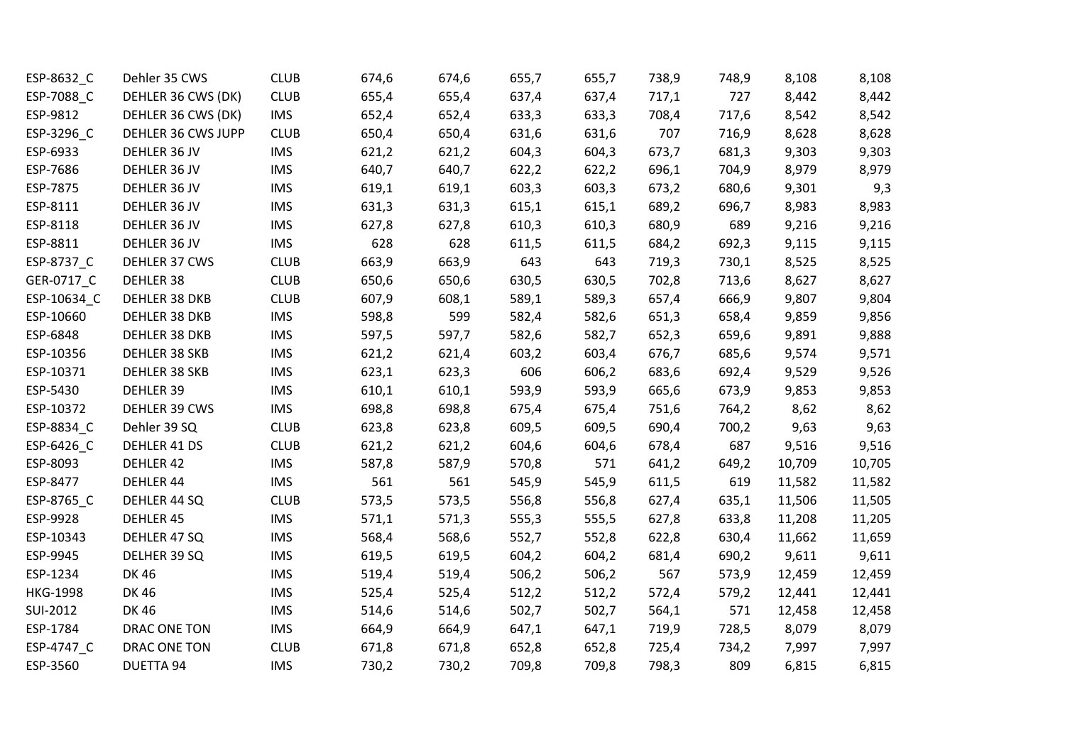| ESP-8632_C      | Dehler 35 CWS      | <b>CLUB</b> | 674,6 | 674,6 | 655,7 | 655,7 | 738,9 | 748,9 | 8,108  | 8,108  |
|-----------------|--------------------|-------------|-------|-------|-------|-------|-------|-------|--------|--------|
| ESP-7088 C      | DEHLER 36 CWS (DK) | <b>CLUB</b> | 655,4 | 655,4 | 637,4 | 637,4 | 717,1 | 727   | 8,442  | 8,442  |
| ESP-9812        | DEHLER 36 CWS (DK) | <b>IMS</b>  | 652,4 | 652,4 | 633,3 | 633,3 | 708,4 | 717,6 | 8,542  | 8,542  |
| ESP-3296_C      | DEHLER 36 CWS JUPP | <b>CLUB</b> | 650,4 | 650,4 | 631,6 | 631,6 | 707   | 716,9 | 8,628  | 8,628  |
| ESP-6933        | DEHLER 36 JV       | <b>IMS</b>  | 621,2 | 621,2 | 604,3 | 604,3 | 673,7 | 681,3 | 9,303  | 9,303  |
| ESP-7686        | DEHLER 36 JV       | <b>IMS</b>  | 640,7 | 640,7 | 622,2 | 622,2 | 696,1 | 704,9 | 8,979  | 8,979  |
| ESP-7875        | DEHLER 36 JV       | <b>IMS</b>  | 619,1 | 619,1 | 603,3 | 603,3 | 673,2 | 680,6 | 9,301  | 9,3    |
| ESP-8111        | DEHLER 36 JV       | <b>IMS</b>  | 631,3 | 631,3 | 615,1 | 615,1 | 689,2 | 696,7 | 8,983  | 8,983  |
| ESP-8118        | DEHLER 36 JV       | <b>IMS</b>  | 627,8 | 627,8 | 610,3 | 610,3 | 680,9 | 689   | 9,216  | 9,216  |
| ESP-8811        | DEHLER 36 JV       | <b>IMS</b>  | 628   | 628   | 611,5 | 611,5 | 684,2 | 692,3 | 9,115  | 9,115  |
| ESP-8737_C      | DEHLER 37 CWS      | <b>CLUB</b> | 663,9 | 663,9 | 643   | 643   | 719,3 | 730,1 | 8,525  | 8,525  |
| GER-0717_C      | DEHLER 38          | <b>CLUB</b> | 650,6 | 650,6 | 630,5 | 630,5 | 702,8 | 713,6 | 8,627  | 8,627  |
| ESP-10634_C     | DEHLER 38 DKB      | <b>CLUB</b> | 607,9 | 608,1 | 589,1 | 589,3 | 657,4 | 666,9 | 9,807  | 9,804  |
| ESP-10660       | DEHLER 38 DKB      | <b>IMS</b>  | 598,8 | 599   | 582,4 | 582,6 | 651,3 | 658,4 | 9,859  | 9,856  |
| ESP-6848        | DEHLER 38 DKB      | <b>IMS</b>  | 597,5 | 597,7 | 582,6 | 582,7 | 652,3 | 659,6 | 9,891  | 9,888  |
| ESP-10356       | DEHLER 38 SKB      | <b>IMS</b>  | 621,2 | 621,4 | 603,2 | 603,4 | 676,7 | 685,6 | 9,574  | 9,571  |
| ESP-10371       | DEHLER 38 SKB      | <b>IMS</b>  | 623,1 | 623,3 | 606   | 606,2 | 683,6 | 692,4 | 9,529  | 9,526  |
| ESP-5430        | DEHLER 39          | <b>IMS</b>  | 610,1 | 610,1 | 593,9 | 593,9 | 665,6 | 673,9 | 9,853  | 9,853  |
| ESP-10372       | DEHLER 39 CWS      | <b>IMS</b>  | 698,8 | 698,8 | 675,4 | 675,4 | 751,6 | 764,2 | 8,62   | 8,62   |
| ESP-8834_C      | Dehler 39 SQ       | <b>CLUB</b> | 623,8 | 623,8 | 609,5 | 609,5 | 690,4 | 700,2 | 9,63   | 9,63   |
| ESP-6426_C      | DEHLER 41 DS       | <b>CLUB</b> | 621,2 | 621,2 | 604,6 | 604,6 | 678,4 | 687   | 9,516  | 9,516  |
| ESP-8093        | DEHLER 42          | <b>IMS</b>  | 587,8 | 587,9 | 570,8 | 571   | 641,2 | 649,2 | 10,709 | 10,705 |
| ESP-8477        | DEHLER 44          | <b>IMS</b>  | 561   | 561   | 545,9 | 545,9 | 611,5 | 619   | 11,582 | 11,582 |
| ESP-8765_C      | DEHLER 44 SQ       | <b>CLUB</b> | 573,5 | 573,5 | 556,8 | 556,8 | 627,4 | 635,1 | 11,506 | 11,505 |
| ESP-9928        | <b>DEHLER 45</b>   | <b>IMS</b>  | 571,1 | 571,3 | 555,3 | 555,5 | 627,8 | 633,8 | 11,208 | 11,205 |
| ESP-10343       | DEHLER 47 SQ       | <b>IMS</b>  | 568,4 | 568,6 | 552,7 | 552,8 | 622,8 | 630,4 | 11,662 | 11,659 |
| ESP-9945        | DELHER 39 SQ       | <b>IMS</b>  | 619,5 | 619,5 | 604,2 | 604,2 | 681,4 | 690,2 | 9,611  | 9,611  |
| ESP-1234        | <b>DK46</b>        | <b>IMS</b>  | 519,4 | 519,4 | 506,2 | 506,2 | 567   | 573,9 | 12,459 | 12,459 |
| <b>HKG-1998</b> | <b>DK46</b>        | <b>IMS</b>  | 525,4 | 525,4 | 512,2 | 512,2 | 572,4 | 579,2 | 12,441 | 12,441 |
| SUI-2012        | <b>DK46</b>        | <b>IMS</b>  | 514,6 | 514,6 | 502,7 | 502,7 | 564,1 | 571   | 12,458 | 12,458 |
| ESP-1784        | DRAC ONE TON       | <b>IMS</b>  | 664,9 | 664,9 | 647,1 | 647,1 | 719,9 | 728,5 | 8,079  | 8,079  |
| ESP-4747_C      | DRAC ONE TON       | <b>CLUB</b> | 671,8 | 671,8 | 652,8 | 652,8 | 725,4 | 734,2 | 7,997  | 7,997  |
| ESP-3560        | <b>DUETTA 94</b>   | <b>IMS</b>  | 730,2 | 730,2 | 709,8 | 709,8 | 798,3 | 809   | 6,815  | 6,815  |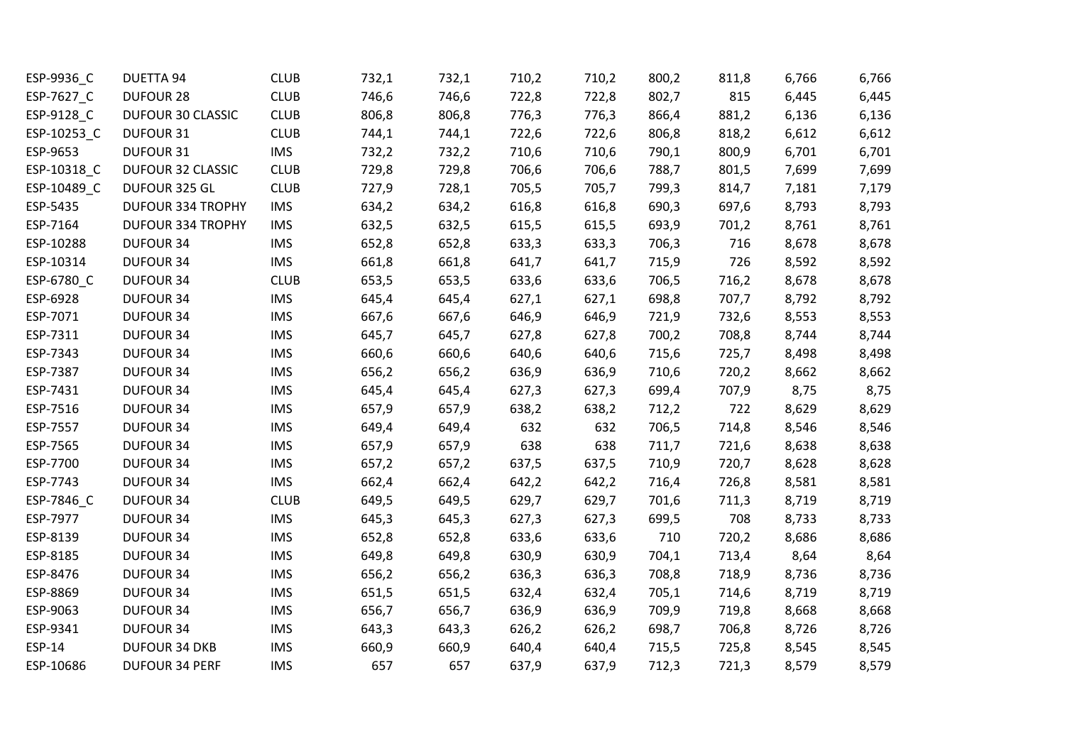| ESP-9936_C  | <b>DUETTA 94</b>         | <b>CLUB</b> | 732,1 | 732,1 | 710,2 | 710,2 | 800,2 | 811,8 | 6,766 | 6,766 |
|-------------|--------------------------|-------------|-------|-------|-------|-------|-------|-------|-------|-------|
| ESP-7627_C  | <b>DUFOUR 28</b>         | <b>CLUB</b> | 746,6 | 746,6 | 722,8 | 722,8 | 802,7 | 815   | 6,445 | 6,445 |
| ESP-9128 C  | DUFOUR 30 CLASSIC        | <b>CLUB</b> | 806,8 | 806,8 | 776,3 | 776,3 | 866,4 | 881,2 | 6,136 | 6,136 |
| ESP-10253_C | DUFOUR 31                | <b>CLUB</b> | 744,1 | 744,1 | 722,6 | 722,6 | 806,8 | 818,2 | 6,612 | 6,612 |
| ESP-9653    | DUFOUR 31                | <b>IMS</b>  | 732,2 | 732,2 | 710,6 | 710,6 | 790,1 | 800,9 | 6,701 | 6,701 |
| ESP-10318_C | DUFOUR 32 CLASSIC        | <b>CLUB</b> | 729,8 | 729,8 | 706,6 | 706,6 | 788,7 | 801,5 | 7,699 | 7,699 |
| ESP-10489_C | DUFOUR 325 GL            | <b>CLUB</b> | 727,9 | 728,1 | 705,5 | 705,7 | 799,3 | 814,7 | 7,181 | 7,179 |
| ESP-5435    | <b>DUFOUR 334 TROPHY</b> | <b>IMS</b>  | 634,2 | 634,2 | 616,8 | 616,8 | 690,3 | 697,6 | 8,793 | 8,793 |
| ESP-7164    | <b>DUFOUR 334 TROPHY</b> | <b>IMS</b>  | 632,5 | 632,5 | 615,5 | 615,5 | 693,9 | 701,2 | 8,761 | 8,761 |
| ESP-10288   | <b>DUFOUR 34</b>         | <b>IMS</b>  | 652,8 | 652,8 | 633,3 | 633,3 | 706,3 | 716   | 8,678 | 8,678 |
| ESP-10314   | <b>DUFOUR 34</b>         | <b>IMS</b>  | 661,8 | 661,8 | 641,7 | 641,7 | 715,9 | 726   | 8,592 | 8,592 |
| ESP-6780_C  | <b>DUFOUR 34</b>         | <b>CLUB</b> | 653,5 | 653,5 | 633,6 | 633,6 | 706,5 | 716,2 | 8,678 | 8,678 |
| ESP-6928    | <b>DUFOUR 34</b>         | <b>IMS</b>  | 645,4 | 645,4 | 627,1 | 627,1 | 698,8 | 707,7 | 8,792 | 8,792 |
| ESP-7071    | <b>DUFOUR 34</b>         | <b>IMS</b>  | 667,6 | 667,6 | 646,9 | 646,9 | 721,9 | 732,6 | 8,553 | 8,553 |
| ESP-7311    | <b>DUFOUR 34</b>         | <b>IMS</b>  | 645,7 | 645,7 | 627,8 | 627,8 | 700,2 | 708,8 | 8,744 | 8,744 |
| ESP-7343    | <b>DUFOUR 34</b>         | <b>IMS</b>  | 660,6 | 660,6 | 640,6 | 640,6 | 715,6 | 725,7 | 8,498 | 8,498 |
| ESP-7387    | <b>DUFOUR 34</b>         | <b>IMS</b>  | 656,2 | 656,2 | 636,9 | 636,9 | 710,6 | 720,2 | 8,662 | 8,662 |
| ESP-7431    | <b>DUFOUR 34</b>         | <b>IMS</b>  | 645,4 | 645,4 | 627,3 | 627,3 | 699,4 | 707,9 | 8,75  | 8,75  |
| ESP-7516    | <b>DUFOUR 34</b>         | <b>IMS</b>  | 657,9 | 657,9 | 638,2 | 638,2 | 712,2 | 722   | 8,629 | 8,629 |
| ESP-7557    | <b>DUFOUR 34</b>         | <b>IMS</b>  | 649,4 | 649,4 | 632   | 632   | 706,5 | 714,8 | 8,546 | 8,546 |
| ESP-7565    | <b>DUFOUR 34</b>         | <b>IMS</b>  | 657,9 | 657,9 | 638   | 638   | 711,7 | 721,6 | 8,638 | 8,638 |
| ESP-7700    | <b>DUFOUR 34</b>         | <b>IMS</b>  | 657,2 | 657,2 | 637,5 | 637,5 | 710,9 | 720,7 | 8,628 | 8,628 |
| ESP-7743    | <b>DUFOUR 34</b>         | <b>IMS</b>  | 662,4 | 662,4 | 642,2 | 642,2 | 716,4 | 726,8 | 8,581 | 8,581 |
| ESP-7846_C  | <b>DUFOUR 34</b>         | <b>CLUB</b> | 649,5 | 649,5 | 629,7 | 629,7 | 701,6 | 711,3 | 8,719 | 8,719 |
| ESP-7977    | <b>DUFOUR 34</b>         | <b>IMS</b>  | 645,3 | 645,3 | 627,3 | 627,3 | 699,5 | 708   | 8,733 | 8,733 |
| ESP-8139    | <b>DUFOUR 34</b>         | <b>IMS</b>  | 652,8 | 652,8 | 633,6 | 633,6 | 710   | 720,2 | 8,686 | 8,686 |
| ESP-8185    | <b>DUFOUR 34</b>         | <b>IMS</b>  | 649,8 | 649,8 | 630,9 | 630,9 | 704,1 | 713,4 | 8,64  | 8,64  |
| ESP-8476    | <b>DUFOUR 34</b>         | <b>IMS</b>  | 656,2 | 656,2 | 636,3 | 636,3 | 708,8 | 718,9 | 8,736 | 8,736 |
| ESP-8869    | <b>DUFOUR 34</b>         | <b>IMS</b>  | 651,5 | 651,5 | 632,4 | 632,4 | 705,1 | 714,6 | 8,719 | 8,719 |
| ESP-9063    | <b>DUFOUR 34</b>         | <b>IMS</b>  | 656,7 | 656,7 | 636,9 | 636,9 | 709,9 | 719,8 | 8,668 | 8,668 |
| ESP-9341    | <b>DUFOUR 34</b>         | <b>IMS</b>  | 643,3 | 643,3 | 626,2 | 626,2 | 698,7 | 706,8 | 8,726 | 8,726 |
| ESP-14      | <b>DUFOUR 34 DKB</b>     | <b>IMS</b>  | 660,9 | 660,9 | 640,4 | 640,4 | 715,5 | 725,8 | 8,545 | 8,545 |
| ESP-10686   | <b>DUFOUR 34 PERF</b>    | <b>IMS</b>  | 657   | 657   | 637,9 | 637,9 | 712,3 | 721,3 | 8,579 | 8,579 |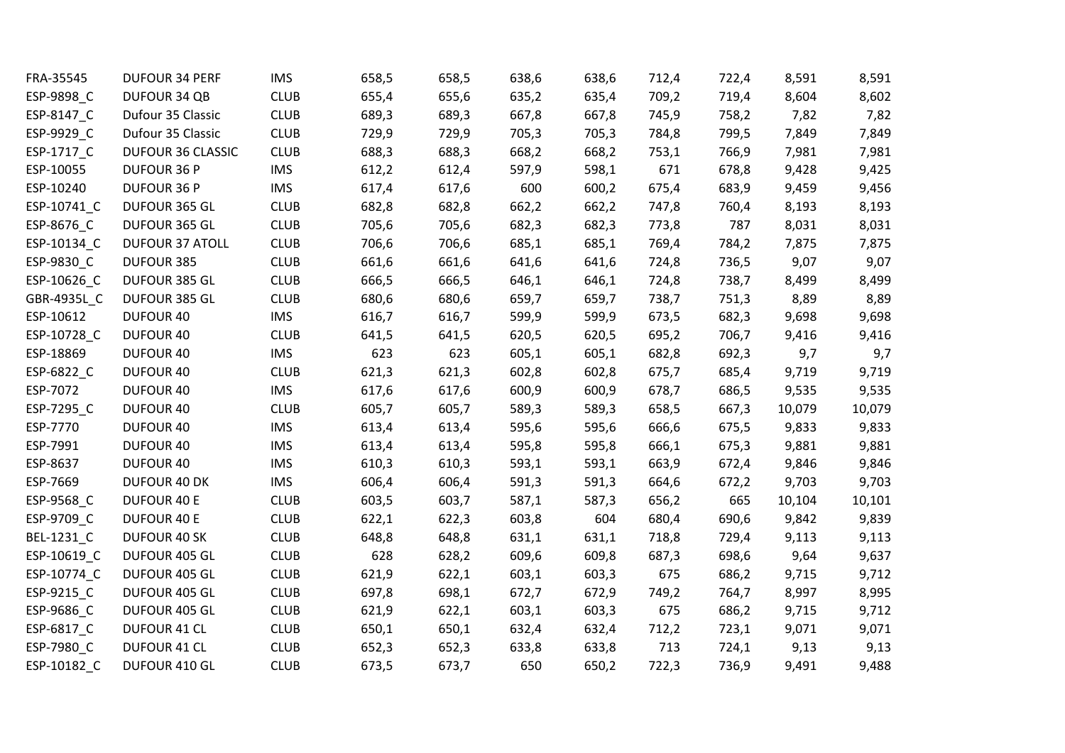| FRA-35545   | <b>DUFOUR 34 PERF</b>    | <b>IMS</b>  | 658,5 | 658,5 | 638,6 | 638,6 | 712,4 | 722,4 | 8,591  | 8,591  |
|-------------|--------------------------|-------------|-------|-------|-------|-------|-------|-------|--------|--------|
| ESP-9898_C  | DUFOUR 34 QB             | <b>CLUB</b> | 655,4 | 655,6 | 635,2 | 635,4 | 709,2 | 719,4 | 8,604  | 8,602  |
| ESP-8147_C  | Dufour 35 Classic        | <b>CLUB</b> | 689,3 | 689,3 | 667,8 | 667,8 | 745,9 | 758,2 | 7,82   | 7,82   |
| ESP-9929_C  | Dufour 35 Classic        | <b>CLUB</b> | 729,9 | 729,9 | 705,3 | 705,3 | 784,8 | 799,5 | 7,849  | 7,849  |
| ESP-1717_C  | <b>DUFOUR 36 CLASSIC</b> | <b>CLUB</b> | 688,3 | 688,3 | 668,2 | 668,2 | 753,1 | 766,9 | 7,981  | 7,981  |
| ESP-10055   | <b>DUFOUR 36 P</b>       | <b>IMS</b>  | 612,2 | 612,4 | 597,9 | 598,1 | 671   | 678,8 | 9,428  | 9,425  |
| ESP-10240   | <b>DUFOUR 36 P</b>       | <b>IMS</b>  | 617,4 | 617,6 | 600   | 600,2 | 675,4 | 683,9 | 9,459  | 9,456  |
| ESP-10741_C | DUFOUR 365 GL            | <b>CLUB</b> | 682,8 | 682,8 | 662,2 | 662,2 | 747,8 | 760,4 | 8,193  | 8,193  |
| ESP-8676_C  | DUFOUR 365 GL            | <b>CLUB</b> | 705,6 | 705,6 | 682,3 | 682,3 | 773,8 | 787   | 8,031  | 8,031  |
| ESP-10134 C | <b>DUFOUR 37 ATOLL</b>   | <b>CLUB</b> | 706,6 | 706,6 | 685,1 | 685,1 | 769,4 | 784,2 | 7,875  | 7,875  |
| ESP-9830_C  | DUFOUR 385               | <b>CLUB</b> | 661,6 | 661,6 | 641,6 | 641,6 | 724,8 | 736,5 | 9,07   | 9,07   |
| ESP-10626_C | DUFOUR 385 GL            | <b>CLUB</b> | 666,5 | 666,5 | 646,1 | 646,1 | 724,8 | 738,7 | 8,499  | 8,499  |
| GBR-4935L_C | DUFOUR 385 GL            | <b>CLUB</b> | 680,6 | 680,6 | 659,7 | 659,7 | 738,7 | 751,3 | 8,89   | 8,89   |
| ESP-10612   | DUFOUR 40                | <b>IMS</b>  | 616,7 | 616,7 | 599,9 | 599,9 | 673,5 | 682,3 | 9,698  | 9,698  |
| ESP-10728_C | DUFOUR 40                | <b>CLUB</b> | 641,5 | 641,5 | 620,5 | 620,5 | 695,2 | 706,7 | 9,416  | 9,416  |
| ESP-18869   | DUFOUR 40                | <b>IMS</b>  | 623   | 623   | 605,1 | 605,1 | 682,8 | 692,3 | 9,7    | 9,7    |
| ESP-6822_C  | DUFOUR 40                | <b>CLUB</b> | 621,3 | 621,3 | 602,8 | 602,8 | 675,7 | 685,4 | 9,719  | 9,719  |
| ESP-7072    | DUFOUR 40                | <b>IMS</b>  | 617,6 | 617,6 | 600,9 | 600,9 | 678,7 | 686,5 | 9,535  | 9,535  |
| ESP-7295_C  | DUFOUR 40                | <b>CLUB</b> | 605,7 | 605,7 | 589,3 | 589,3 | 658,5 | 667,3 | 10,079 | 10,079 |
| ESP-7770    | DUFOUR 40                | <b>IMS</b>  | 613,4 | 613,4 | 595,6 | 595,6 | 666,6 | 675,5 | 9,833  | 9,833  |
| ESP-7991    | <b>DUFOUR 40</b>         | <b>IMS</b>  | 613,4 | 613,4 | 595,8 | 595,8 | 666,1 | 675,3 | 9,881  | 9,881  |
| ESP-8637    | DUFOUR 40                | <b>IMS</b>  | 610,3 | 610,3 | 593,1 | 593,1 | 663,9 | 672,4 | 9,846  | 9,846  |
| ESP-7669    | DUFOUR 40 DK             | <b>IMS</b>  | 606,4 | 606,4 | 591,3 | 591,3 | 664,6 | 672,2 | 9,703  | 9,703  |
| ESP-9568_C  | <b>DUFOUR 40 E</b>       | <b>CLUB</b> | 603,5 | 603,7 | 587,1 | 587,3 | 656,2 | 665   | 10,104 | 10,101 |
| ESP-9709_C  | <b>DUFOUR 40 E</b>       | <b>CLUB</b> | 622,1 | 622,3 | 603,8 | 604   | 680,4 | 690,6 | 9,842  | 9,839  |
| BEL-1231_C  | DUFOUR 40 SK             | <b>CLUB</b> | 648,8 | 648,8 | 631,1 | 631,1 | 718,8 | 729,4 | 9,113  | 9,113  |
| ESP-10619_C | DUFOUR 405 GL            | <b>CLUB</b> | 628   | 628,2 | 609,6 | 609,8 | 687,3 | 698,6 | 9,64   | 9,637  |
| ESP-10774_C | DUFOUR 405 GL            | <b>CLUB</b> | 621,9 | 622,1 | 603,1 | 603,3 | 675   | 686,2 | 9,715  | 9,712  |
| ESP-9215_C  | DUFOUR 405 GL            | <b>CLUB</b> | 697,8 | 698,1 | 672,7 | 672,9 | 749,2 | 764,7 | 8,997  | 8,995  |
| ESP-9686_C  | DUFOUR 405 GL            | <b>CLUB</b> | 621,9 | 622,1 | 603,1 | 603,3 | 675   | 686,2 | 9,715  | 9,712  |
| ESP-6817_C  | <b>DUFOUR 41 CL</b>      | <b>CLUB</b> | 650,1 | 650,1 | 632,4 | 632,4 | 712,2 | 723,1 | 9,071  | 9,071  |
| ESP-7980_C  | DUFOUR 41 CL             | <b>CLUB</b> | 652,3 | 652,3 | 633,8 | 633,8 | 713   | 724,1 | 9,13   | 9,13   |
| ESP-10182 C | DUFOUR 410 GL            | <b>CLUB</b> | 673,5 | 673,7 | 650   | 650,2 | 722,3 | 736,9 | 9,491  | 9,488  |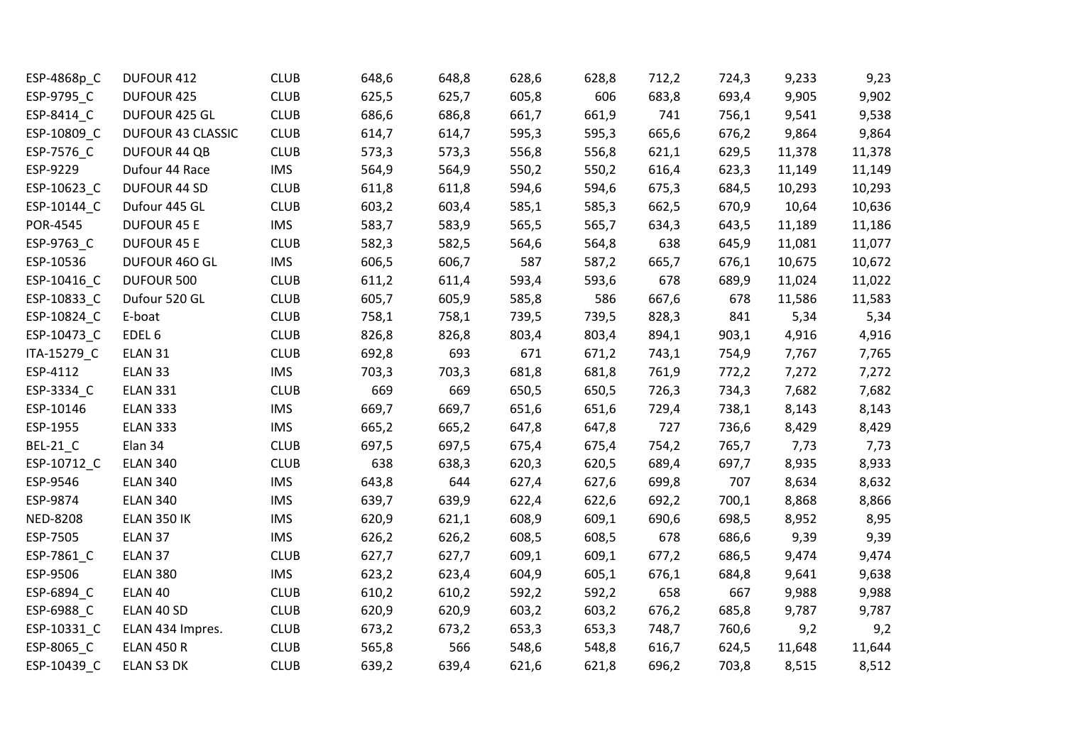| ESP-4868p_C     | DUFOUR 412               | <b>CLUB</b> | 648,6 | 648,8 | 628,6 | 628,8 | 712,2 | 724,3 | 9,233  | 9,23   |
|-----------------|--------------------------|-------------|-------|-------|-------|-------|-------|-------|--------|--------|
| ESP-9795_C      | DUFOUR 425               | <b>CLUB</b> | 625,5 | 625,7 | 605,8 | 606   | 683,8 | 693,4 | 9,905  | 9,902  |
| ESP-8414 C      | DUFOUR 425 GL            | <b>CLUB</b> | 686,6 | 686,8 | 661,7 | 661,9 | 741   | 756,1 | 9,541  | 9,538  |
| ESP-10809_C     | <b>DUFOUR 43 CLASSIC</b> | <b>CLUB</b> | 614,7 | 614,7 | 595,3 | 595,3 | 665,6 | 676,2 | 9,864  | 9,864  |
| ESP-7576_C      | <b>DUFOUR 44 QB</b>      | <b>CLUB</b> | 573,3 | 573,3 | 556,8 | 556,8 | 621,1 | 629,5 | 11,378 | 11,378 |
| ESP-9229        | Dufour 44 Race           | <b>IMS</b>  | 564,9 | 564,9 | 550,2 | 550,2 | 616,4 | 623,3 | 11,149 | 11,149 |
| ESP-10623_C     | <b>DUFOUR 44 SD</b>      | <b>CLUB</b> | 611,8 | 611,8 | 594,6 | 594,6 | 675,3 | 684,5 | 10,293 | 10,293 |
| ESP-10144_C     | Dufour 445 GL            | <b>CLUB</b> | 603,2 | 603,4 | 585,1 | 585,3 | 662,5 | 670,9 | 10,64  | 10,636 |
| POR-4545        | <b>DUFOUR 45 E</b>       | <b>IMS</b>  | 583,7 | 583,9 | 565,5 | 565,7 | 634,3 | 643,5 | 11,189 | 11,186 |
| ESP-9763_C      | <b>DUFOUR 45 E</b>       | <b>CLUB</b> | 582,3 | 582,5 | 564,6 | 564,8 | 638   | 645,9 | 11,081 | 11,077 |
| ESP-10536       | DUFOUR 460 GL            | <b>IMS</b>  | 606,5 | 606,7 | 587   | 587,2 | 665,7 | 676,1 | 10,675 | 10,672 |
| ESP-10416_C     | DUFOUR 500               | <b>CLUB</b> | 611,2 | 611,4 | 593,4 | 593,6 | 678   | 689,9 | 11,024 | 11,022 |
| ESP-10833_C     | Dufour 520 GL            | <b>CLUB</b> | 605,7 | 605,9 | 585,8 | 586   | 667,6 | 678   | 11,586 | 11,583 |
| ESP-10824_C     | E-boat                   | <b>CLUB</b> | 758,1 | 758,1 | 739,5 | 739,5 | 828,3 | 841   | 5,34   | 5,34   |
| ESP-10473_C     | EDEL <sub>6</sub>        | <b>CLUB</b> | 826,8 | 826,8 | 803,4 | 803,4 | 894,1 | 903,1 | 4,916  | 4,916  |
| ITA-15279_C     | ELAN 31                  | <b>CLUB</b> | 692,8 | 693   | 671   | 671,2 | 743,1 | 754,9 | 7,767  | 7,765  |
| ESP-4112        | ELAN 33                  | <b>IMS</b>  | 703,3 | 703,3 | 681,8 | 681,8 | 761,9 | 772,2 | 7,272  | 7,272  |
| ESP-3334_C      | <b>ELAN 331</b>          | <b>CLUB</b> | 669   | 669   | 650,5 | 650,5 | 726,3 | 734,3 | 7,682  | 7,682  |
| ESP-10146       | <b>ELAN 333</b>          | <b>IMS</b>  | 669,7 | 669,7 | 651,6 | 651,6 | 729,4 | 738,1 | 8,143  | 8,143  |
| ESP-1955        | <b>ELAN 333</b>          | <b>IMS</b>  | 665,2 | 665,2 | 647,8 | 647,8 | 727   | 736,6 | 8,429  | 8,429  |
| <b>BEL-21_C</b> | Elan 34                  | <b>CLUB</b> | 697,5 | 697,5 | 675,4 | 675,4 | 754,2 | 765,7 | 7,73   | 7,73   |
| ESP-10712_C     | <b>ELAN 340</b>          | <b>CLUB</b> | 638   | 638,3 | 620,3 | 620,5 | 689,4 | 697,7 | 8,935  | 8,933  |
| ESP-9546        | <b>ELAN 340</b>          | <b>IMS</b>  | 643,8 | 644   | 627,4 | 627,6 | 699,8 | 707   | 8,634  | 8,632  |
| ESP-9874        | <b>ELAN 340</b>          | <b>IMS</b>  | 639,7 | 639,9 | 622,4 | 622,6 | 692,2 | 700,1 | 8,868  | 8,866  |
| <b>NED-8208</b> | <b>ELAN 350 IK</b>       | <b>IMS</b>  | 620,9 | 621,1 | 608,9 | 609,1 | 690,6 | 698,5 | 8,952  | 8,95   |
| ESP-7505        | ELAN 37                  | <b>IMS</b>  | 626,2 | 626,2 | 608,5 | 608,5 | 678   | 686,6 | 9,39   | 9,39   |
| ESP-7861_C      | ELAN 37                  | <b>CLUB</b> | 627,7 | 627,7 | 609,1 | 609,1 | 677,2 | 686,5 | 9,474  | 9,474  |
| ESP-9506        | <b>ELAN 380</b>          | <b>IMS</b>  | 623,2 | 623,4 | 604,9 | 605,1 | 676,1 | 684,8 | 9,641  | 9,638  |
| ESP-6894_C      | ELAN 40                  | <b>CLUB</b> | 610,2 | 610,2 | 592,2 | 592,2 | 658   | 667   | 9,988  | 9,988  |
| ESP-6988_C      | ELAN 40 SD               | <b>CLUB</b> | 620,9 | 620,9 | 603,2 | 603,2 | 676,2 | 685,8 | 9,787  | 9,787  |
| ESP-10331_C     | ELAN 434 Impres.         | <b>CLUB</b> | 673,2 | 673,2 | 653,3 | 653,3 | 748,7 | 760,6 | 9,2    | 9,2    |
| ESP-8065_C      | <b>ELAN 450 R</b>        | <b>CLUB</b> | 565,8 | 566   | 548,6 | 548,8 | 616,7 | 624,5 | 11,648 | 11,644 |
| ESP-10439 C     | ELAN S3 DK               | <b>CLUB</b> | 639,2 | 639,4 | 621,6 | 621,8 | 696,2 | 703,8 | 8,515  | 8,512  |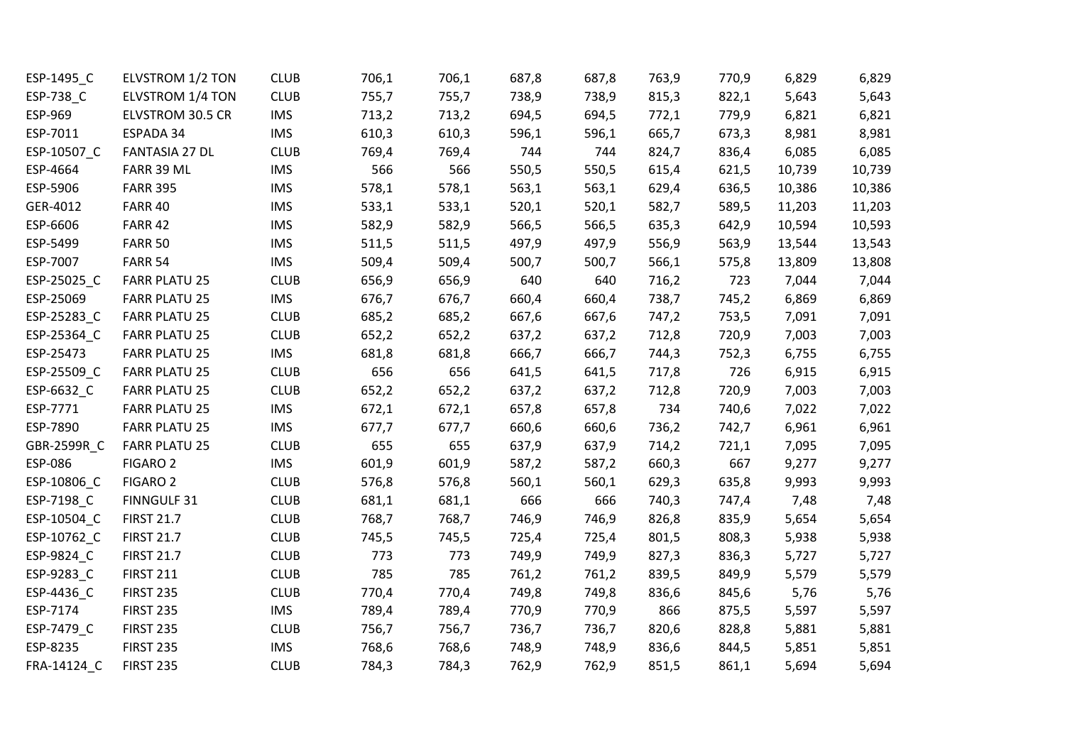| ESP-1495 C  | ELVSTROM 1/2 TON     | <b>CLUB</b> | 706,1 | 706,1 | 687,8 | 687,8 | 763,9 | 770,9 | 6,829  | 6,829  |
|-------------|----------------------|-------------|-------|-------|-------|-------|-------|-------|--------|--------|
| ESP-738_C   | ELVSTROM 1/4 TON     | <b>CLUB</b> | 755,7 | 755,7 | 738,9 | 738,9 | 815,3 | 822,1 | 5,643  | 5,643  |
| ESP-969     | ELVSTROM 30.5 CR     | <b>IMS</b>  | 713,2 | 713,2 | 694,5 | 694,5 | 772,1 | 779,9 | 6,821  | 6,821  |
| ESP-7011    | ESPADA 34            | <b>IMS</b>  | 610,3 | 610,3 | 596,1 | 596,1 | 665,7 | 673,3 | 8,981  | 8,981  |
| ESP-10507_C | FANTASIA 27 DL       | <b>CLUB</b> | 769,4 | 769,4 | 744   | 744   | 824,7 | 836,4 | 6,085  | 6,085  |
| ESP-4664    | FARR 39 ML           | <b>IMS</b>  | 566   | 566   | 550,5 | 550,5 | 615,4 | 621,5 | 10,739 | 10,739 |
| ESP-5906    | <b>FARR 395</b>      | <b>IMS</b>  | 578,1 | 578,1 | 563,1 | 563,1 | 629,4 | 636,5 | 10,386 | 10,386 |
| GER-4012    | <b>FARR 40</b>       | <b>IMS</b>  | 533,1 | 533,1 | 520,1 | 520,1 | 582,7 | 589,5 | 11,203 | 11,203 |
| ESP-6606    | <b>FARR 42</b>       | <b>IMS</b>  | 582,9 | 582,9 | 566,5 | 566,5 | 635,3 | 642,9 | 10,594 | 10,593 |
| ESP-5499    | <b>FARR 50</b>       | <b>IMS</b>  | 511,5 | 511,5 | 497,9 | 497,9 | 556,9 | 563,9 | 13,544 | 13,543 |
| ESP-7007    | <b>FARR 54</b>       | <b>IMS</b>  | 509,4 | 509,4 | 500,7 | 500,7 | 566,1 | 575,8 | 13,809 | 13,808 |
| ESP-25025_C | <b>FARR PLATU 25</b> | <b>CLUB</b> | 656,9 | 656,9 | 640   | 640   | 716,2 | 723   | 7,044  | 7,044  |
| ESP-25069   | <b>FARR PLATU 25</b> | <b>IMS</b>  | 676,7 | 676,7 | 660,4 | 660,4 | 738,7 | 745,2 | 6,869  | 6,869  |
| ESP-25283_C | <b>FARR PLATU 25</b> | <b>CLUB</b> | 685,2 | 685,2 | 667,6 | 667,6 | 747,2 | 753,5 | 7,091  | 7,091  |
| ESP-25364_C | <b>FARR PLATU 25</b> | <b>CLUB</b> | 652,2 | 652,2 | 637,2 | 637,2 | 712,8 | 720,9 | 7,003  | 7,003  |
| ESP-25473   | <b>FARR PLATU 25</b> | <b>IMS</b>  | 681,8 | 681,8 | 666,7 | 666,7 | 744,3 | 752,3 | 6,755  | 6,755  |
| ESP-25509_C | <b>FARR PLATU 25</b> | <b>CLUB</b> | 656   | 656   | 641,5 | 641,5 | 717,8 | 726   | 6,915  | 6,915  |
| ESP-6632_C  | <b>FARR PLATU 25</b> | <b>CLUB</b> | 652,2 | 652,2 | 637,2 | 637,2 | 712,8 | 720,9 | 7,003  | 7,003  |
| ESP-7771    | <b>FARR PLATU 25</b> | <b>IMS</b>  | 672,1 | 672,1 | 657,8 | 657,8 | 734   | 740,6 | 7,022  | 7,022  |
| ESP-7890    | <b>FARR PLATU 25</b> | <b>IMS</b>  | 677,7 | 677,7 | 660,6 | 660,6 | 736,2 | 742,7 | 6,961  | 6,961  |
| GBR-2599R_C | <b>FARR PLATU 25</b> | <b>CLUB</b> | 655   | 655   | 637,9 | 637,9 | 714,2 | 721,1 | 7,095  | 7,095  |
| ESP-086     | FIGARO <sub>2</sub>  | <b>IMS</b>  | 601,9 | 601,9 | 587,2 | 587,2 | 660,3 | 667   | 9,277  | 9,277  |
| ESP-10806_C | <b>FIGARO 2</b>      | <b>CLUB</b> | 576,8 | 576,8 | 560,1 | 560,1 | 629,3 | 635,8 | 9,993  | 9,993  |
| ESP-7198_C  | FINNGULF 31          | <b>CLUB</b> | 681,1 | 681,1 | 666   | 666   | 740,3 | 747,4 | 7,48   | 7,48   |
| ESP-10504_C | <b>FIRST 21.7</b>    | <b>CLUB</b> | 768,7 | 768,7 | 746,9 | 746,9 | 826,8 | 835,9 | 5,654  | 5,654  |
| ESP-10762_C | <b>FIRST 21.7</b>    | <b>CLUB</b> | 745,5 | 745,5 | 725,4 | 725,4 | 801,5 | 808,3 | 5,938  | 5,938  |
| ESP-9824_C  | <b>FIRST 21.7</b>    | <b>CLUB</b> | 773   | 773   | 749,9 | 749,9 | 827,3 | 836,3 | 5,727  | 5,727  |
| ESP-9283_C  | <b>FIRST 211</b>     | <b>CLUB</b> | 785   | 785   | 761,2 | 761,2 | 839,5 | 849,9 | 5,579  | 5,579  |
| ESP-4436_C  | <b>FIRST 235</b>     | <b>CLUB</b> | 770,4 | 770,4 | 749,8 | 749,8 | 836,6 | 845,6 | 5,76   | 5,76   |
| ESP-7174    | <b>FIRST 235</b>     | <b>IMS</b>  | 789,4 | 789,4 | 770,9 | 770,9 | 866   | 875,5 | 5,597  | 5,597  |
| ESP-7479_C  | <b>FIRST 235</b>     | <b>CLUB</b> | 756,7 | 756,7 | 736,7 | 736,7 | 820,6 | 828,8 | 5,881  | 5,881  |
| ESP-8235    | <b>FIRST 235</b>     | <b>IMS</b>  | 768,6 | 768,6 | 748,9 | 748,9 | 836,6 | 844,5 | 5,851  | 5,851  |
| FRA-14124 C | <b>FIRST 235</b>     | <b>CLUB</b> | 784,3 | 784,3 | 762,9 | 762,9 | 851,5 | 861,1 | 5,694  | 5,694  |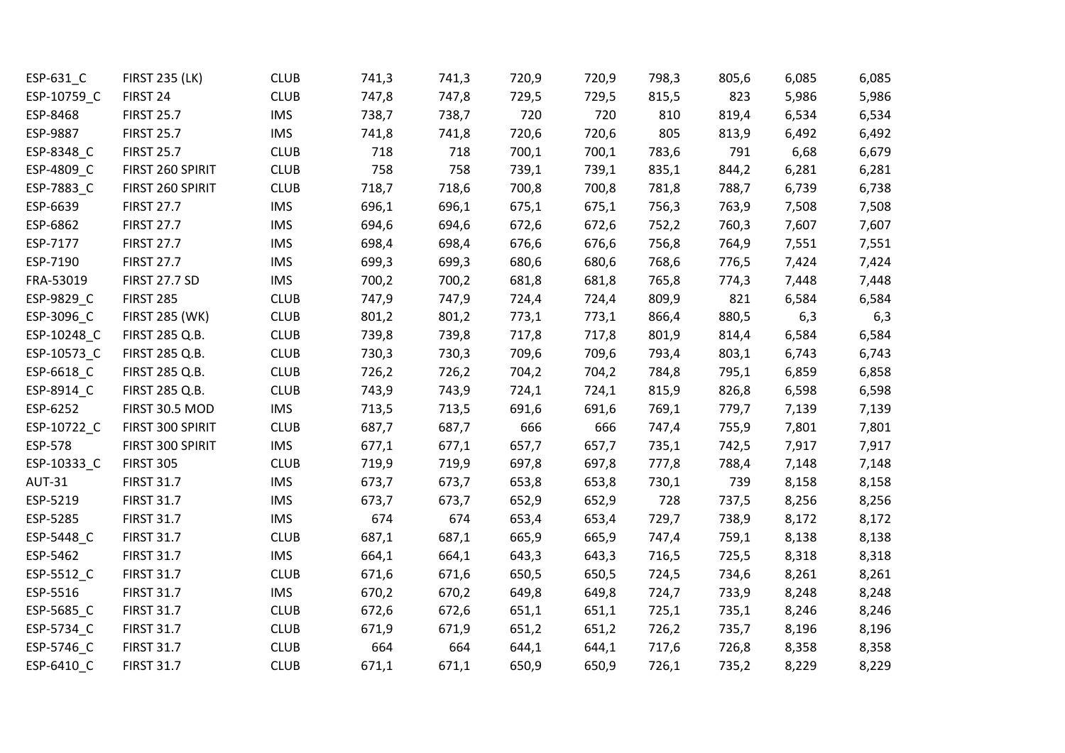| ESP-631_C     | <b>FIRST 235 (LK)</b> | <b>CLUB</b> | 741,3 | 741,3 | 720,9 | 720,9 | 798,3 | 805,6 | 6,085 | 6,085 |
|---------------|-----------------------|-------------|-------|-------|-------|-------|-------|-------|-------|-------|
| ESP-10759_C   | FIRST 24              | <b>CLUB</b> | 747,8 | 747,8 | 729,5 | 729,5 | 815,5 | 823   | 5,986 | 5,986 |
| ESP-8468      | <b>FIRST 25.7</b>     | <b>IMS</b>  | 738,7 | 738,7 | 720   | 720   | 810   | 819,4 | 6,534 | 6,534 |
| ESP-9887      | <b>FIRST 25.7</b>     | <b>IMS</b>  | 741,8 | 741,8 | 720,6 | 720,6 | 805   | 813,9 | 6,492 | 6,492 |
| ESP-8348_C    | <b>FIRST 25.7</b>     | <b>CLUB</b> | 718   | 718   | 700,1 | 700,1 | 783,6 | 791   | 6,68  | 6,679 |
| ESP-4809_C    | FIRST 260 SPIRIT      | <b>CLUB</b> | 758   | 758   | 739,1 | 739,1 | 835,1 | 844,2 | 6,281 | 6,281 |
| ESP-7883_C    | FIRST 260 SPIRIT      | <b>CLUB</b> | 718,7 | 718,6 | 700,8 | 700,8 | 781,8 | 788,7 | 6,739 | 6,738 |
| ESP-6639      | <b>FIRST 27.7</b>     | <b>IMS</b>  | 696,1 | 696,1 | 675,1 | 675,1 | 756,3 | 763,9 | 7,508 | 7,508 |
| ESP-6862      | <b>FIRST 27.7</b>     | <b>IMS</b>  | 694,6 | 694,6 | 672,6 | 672,6 | 752,2 | 760,3 | 7,607 | 7,607 |
| ESP-7177      | <b>FIRST 27.7</b>     | <b>IMS</b>  | 698,4 | 698,4 | 676,6 | 676,6 | 756,8 | 764,9 | 7,551 | 7,551 |
| ESP-7190      | <b>FIRST 27.7</b>     | <b>IMS</b>  | 699,3 | 699,3 | 680,6 | 680,6 | 768,6 | 776,5 | 7,424 | 7,424 |
| FRA-53019     | <b>FIRST 27.7 SD</b>  | <b>IMS</b>  | 700,2 | 700,2 | 681,8 | 681,8 | 765,8 | 774,3 | 7,448 | 7,448 |
| ESP-9829_C    | <b>FIRST 285</b>      | <b>CLUB</b> | 747,9 | 747,9 | 724,4 | 724,4 | 809,9 | 821   | 6,584 | 6,584 |
| ESP-3096_C    | <b>FIRST 285 (WK)</b> | <b>CLUB</b> | 801,2 | 801,2 | 773,1 | 773,1 | 866,4 | 880,5 | 6,3   | 6,3   |
| ESP-10248_C   | FIRST 285 Q.B.        | <b>CLUB</b> | 739,8 | 739,8 | 717,8 | 717,8 | 801,9 | 814,4 | 6,584 | 6,584 |
| ESP-10573_C   | FIRST 285 Q.B.        | <b>CLUB</b> | 730,3 | 730,3 | 709,6 | 709,6 | 793,4 | 803,1 | 6,743 | 6,743 |
| ESP-6618_C    | FIRST 285 Q.B.        | <b>CLUB</b> | 726,2 | 726,2 | 704,2 | 704,2 | 784,8 | 795,1 | 6,859 | 6,858 |
| ESP-8914_C    | FIRST 285 Q.B.        | <b>CLUB</b> | 743,9 | 743,9 | 724,1 | 724,1 | 815,9 | 826,8 | 6,598 | 6,598 |
| ESP-6252      | FIRST 30.5 MOD        | <b>IMS</b>  | 713,5 | 713,5 | 691,6 | 691,6 | 769,1 | 779,7 | 7,139 | 7,139 |
| ESP-10722_C   | FIRST 300 SPIRIT      | <b>CLUB</b> | 687,7 | 687,7 | 666   | 666   | 747,4 | 755,9 | 7,801 | 7,801 |
| ESP-578       | FIRST 300 SPIRIT      | <b>IMS</b>  | 677,1 | 677,1 | 657,7 | 657,7 | 735,1 | 742,5 | 7,917 | 7,917 |
| ESP-10333_C   | <b>FIRST 305</b>      | <b>CLUB</b> | 719,9 | 719,9 | 697,8 | 697,8 | 777,8 | 788,4 | 7,148 | 7,148 |
| <b>AUT-31</b> | <b>FIRST 31.7</b>     | <b>IMS</b>  | 673,7 | 673,7 | 653,8 | 653,8 | 730,1 | 739   | 8,158 | 8,158 |
| ESP-5219      | <b>FIRST 31.7</b>     | <b>IMS</b>  | 673,7 | 673,7 | 652,9 | 652,9 | 728   | 737,5 | 8,256 | 8,256 |
| ESP-5285      | <b>FIRST 31.7</b>     | <b>IMS</b>  | 674   | 674   | 653,4 | 653,4 | 729,7 | 738,9 | 8,172 | 8,172 |
| ESP-5448 C    | <b>FIRST 31.7</b>     | <b>CLUB</b> | 687,1 | 687,1 | 665,9 | 665,9 | 747,4 | 759,1 | 8,138 | 8,138 |
| ESP-5462      | <b>FIRST 31.7</b>     | <b>IMS</b>  | 664,1 | 664,1 | 643,3 | 643,3 | 716,5 | 725,5 | 8,318 | 8,318 |
| ESP-5512_C    | <b>FIRST 31.7</b>     | <b>CLUB</b> | 671,6 | 671,6 | 650,5 | 650,5 | 724,5 | 734,6 | 8,261 | 8,261 |
| ESP-5516      | <b>FIRST 31.7</b>     | <b>IMS</b>  | 670,2 | 670,2 | 649,8 | 649,8 | 724,7 | 733,9 | 8,248 | 8,248 |
| ESP-5685_C    | <b>FIRST 31.7</b>     | <b>CLUB</b> | 672,6 | 672,6 | 651,1 | 651,1 | 725,1 | 735,1 | 8,246 | 8,246 |
| ESP-5734_C    | <b>FIRST 31.7</b>     | <b>CLUB</b> | 671,9 | 671,9 | 651,2 | 651,2 | 726,2 | 735,7 | 8,196 | 8,196 |
| ESP-5746_C    | <b>FIRST 31.7</b>     | <b>CLUB</b> | 664   | 664   | 644,1 | 644,1 | 717,6 | 726,8 | 8,358 | 8,358 |
| ESP-6410 C    | <b>FIRST 31.7</b>     | <b>CLUB</b> | 671,1 | 671,1 | 650,9 | 650,9 | 726,1 | 735,2 | 8,229 | 8,229 |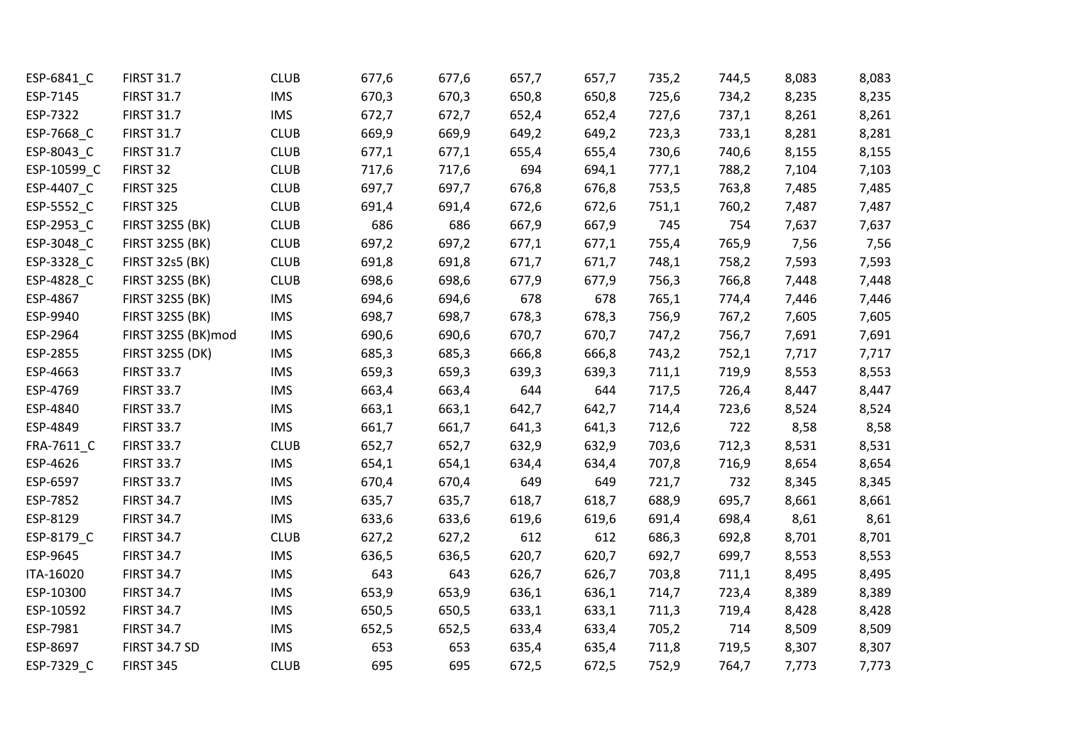| ESP-6841_C  | <b>FIRST 31.7</b>      | <b>CLUB</b> | 677,6 | 677,6 | 657,7 | 657,7 | 735,2 | 744,5 | 8,083 | 8,083 |
|-------------|------------------------|-------------|-------|-------|-------|-------|-------|-------|-------|-------|
| ESP-7145    | <b>FIRST 31.7</b>      | <b>IMS</b>  | 670,3 | 670,3 | 650,8 | 650,8 | 725,6 | 734,2 | 8,235 | 8,235 |
| ESP-7322    | <b>FIRST 31.7</b>      | <b>IMS</b>  | 672,7 | 672,7 | 652,4 | 652,4 | 727,6 | 737,1 | 8,261 | 8,261 |
| ESP-7668 C  | <b>FIRST 31.7</b>      | <b>CLUB</b> | 669,9 | 669,9 | 649,2 | 649,2 | 723,3 | 733,1 | 8,281 | 8,281 |
| ESP-8043_C  | <b>FIRST 31.7</b>      | <b>CLUB</b> | 677,1 | 677,1 | 655,4 | 655,4 | 730,6 | 740,6 | 8,155 | 8,155 |
| ESP-10599 C | FIRST 32               | <b>CLUB</b> | 717,6 | 717,6 | 694   | 694,1 | 777,1 | 788,2 | 7,104 | 7,103 |
| ESP-4407_C  | <b>FIRST 325</b>       | <b>CLUB</b> | 697,7 | 697,7 | 676,8 | 676,8 | 753,5 | 763,8 | 7,485 | 7,485 |
| ESP-5552_C  | <b>FIRST 325</b>       | <b>CLUB</b> | 691,4 | 691,4 | 672,6 | 672,6 | 751,1 | 760,2 | 7,487 | 7,487 |
| ESP-2953_C  | <b>FIRST 32S5 (BK)</b> | <b>CLUB</b> | 686   | 686   | 667,9 | 667,9 | 745   | 754   | 7,637 | 7,637 |
| ESP-3048_C  | <b>FIRST 32S5 (BK)</b> | <b>CLUB</b> | 697,2 | 697,2 | 677,1 | 677,1 | 755,4 | 765,9 | 7,56  | 7,56  |
| ESP-3328 C  | <b>FIRST 32s5 (BK)</b> | <b>CLUB</b> | 691,8 | 691,8 | 671,7 | 671,7 | 748,1 | 758,2 | 7,593 | 7,593 |
| ESP-4828_C  | <b>FIRST 32S5 (BK)</b> | <b>CLUB</b> | 698,6 | 698,6 | 677,9 | 677,9 | 756,3 | 766,8 | 7,448 | 7,448 |
| ESP-4867    | <b>FIRST 32S5 (BK)</b> | <b>IMS</b>  | 694,6 | 694,6 | 678   | 678   | 765,1 | 774,4 | 7,446 | 7,446 |
| ESP-9940    | <b>FIRST 32S5 (BK)</b> | <b>IMS</b>  | 698,7 | 698,7 | 678,3 | 678,3 | 756,9 | 767,2 | 7,605 | 7,605 |
| ESP-2964    | FIRST 32S5 (BK)mod     | <b>IMS</b>  | 690,6 | 690,6 | 670,7 | 670,7 | 747,2 | 756,7 | 7,691 | 7,691 |
| ESP-2855    | <b>FIRST 32S5 (DK)</b> | <b>IMS</b>  | 685,3 | 685,3 | 666,8 | 666,8 | 743,2 | 752,1 | 7,717 | 7,717 |
| ESP-4663    | <b>FIRST 33.7</b>      | <b>IMS</b>  | 659,3 | 659,3 | 639,3 | 639,3 | 711,1 | 719,9 | 8,553 | 8,553 |
| ESP-4769    | <b>FIRST 33.7</b>      | <b>IMS</b>  | 663,4 | 663,4 | 644   | 644   | 717,5 | 726,4 | 8,447 | 8,447 |
| ESP-4840    | <b>FIRST 33.7</b>      | <b>IMS</b>  | 663,1 | 663,1 | 642,7 | 642,7 | 714,4 | 723,6 | 8,524 | 8,524 |
| ESP-4849    | <b>FIRST 33.7</b>      | <b>IMS</b>  | 661,7 | 661,7 | 641,3 | 641,3 | 712,6 | 722   | 8,58  | 8,58  |
| FRA-7611_C  | <b>FIRST 33.7</b>      | <b>CLUB</b> | 652,7 | 652,7 | 632,9 | 632,9 | 703,6 | 712,3 | 8,531 | 8,531 |
| ESP-4626    | <b>FIRST 33.7</b>      | <b>IMS</b>  | 654,1 | 654,1 | 634,4 | 634,4 | 707,8 | 716,9 | 8,654 | 8,654 |
| ESP-6597    | <b>FIRST 33.7</b>      | <b>IMS</b>  | 670,4 | 670,4 | 649   | 649   | 721,7 | 732   | 8,345 | 8,345 |
| ESP-7852    | <b>FIRST 34.7</b>      | <b>IMS</b>  | 635,7 | 635,7 | 618,7 | 618,7 | 688,9 | 695,7 | 8,661 | 8,661 |
| ESP-8129    | <b>FIRST 34.7</b>      | <b>IMS</b>  | 633,6 | 633,6 | 619,6 | 619,6 | 691,4 | 698,4 | 8,61  | 8,61  |
| ESP-8179_C  | <b>FIRST 34.7</b>      | <b>CLUB</b> | 627,2 | 627,2 | 612   | 612   | 686,3 | 692,8 | 8,701 | 8,701 |
| ESP-9645    | <b>FIRST 34.7</b>      | <b>IMS</b>  | 636,5 | 636,5 | 620,7 | 620,7 | 692,7 | 699,7 | 8,553 | 8,553 |
| ITA-16020   | <b>FIRST 34.7</b>      | <b>IMS</b>  | 643   | 643   | 626,7 | 626,7 | 703,8 | 711,1 | 8,495 | 8,495 |
| ESP-10300   | <b>FIRST 34.7</b>      | <b>IMS</b>  | 653,9 | 653,9 | 636,1 | 636,1 | 714,7 | 723,4 | 8,389 | 8,389 |
| ESP-10592   | <b>FIRST 34.7</b>      | <b>IMS</b>  | 650,5 | 650,5 | 633,1 | 633,1 | 711,3 | 719,4 | 8,428 | 8,428 |
| ESP-7981    | <b>FIRST 34.7</b>      | <b>IMS</b>  | 652,5 | 652,5 | 633,4 | 633,4 | 705,2 | 714   | 8,509 | 8,509 |
| ESP-8697    | <b>FIRST 34.7 SD</b>   | <b>IMS</b>  | 653   | 653   | 635,4 | 635,4 | 711,8 | 719,5 | 8,307 | 8,307 |
| ESP-7329 C  | <b>FIRST 345</b>       | <b>CLUB</b> | 695   | 695   | 672,5 | 672,5 | 752,9 | 764,7 | 7,773 | 7,773 |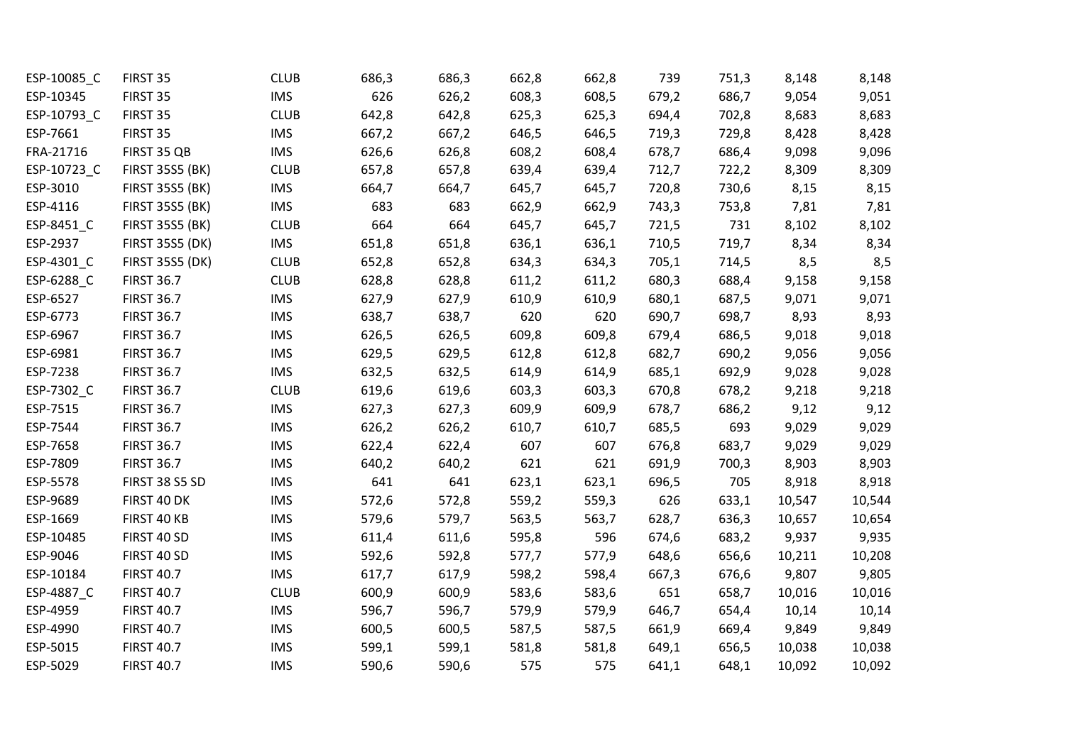| ESP-10085_C | FIRST 35               | <b>CLUB</b> | 686,3 | 686,3 | 662,8 | 662,8 | 739   | 751,3 | 8,148  | 8,148  |
|-------------|------------------------|-------------|-------|-------|-------|-------|-------|-------|--------|--------|
| ESP-10345   | FIRST 35               | <b>IMS</b>  | 626   | 626,2 | 608,3 | 608,5 | 679,2 | 686,7 | 9,054  | 9,051  |
| ESP-10793_C | FIRST 35               | <b>CLUB</b> | 642,8 | 642,8 | 625,3 | 625,3 | 694,4 | 702,8 | 8,683  | 8,683  |
| ESP-7661    | FIRST 35               | <b>IMS</b>  | 667,2 | 667,2 | 646,5 | 646,5 | 719,3 | 729,8 | 8,428  | 8,428  |
| FRA-21716   | FIRST 35 QB            | <b>IMS</b>  | 626,6 | 626,8 | 608,2 | 608,4 | 678,7 | 686,4 | 9,098  | 9,096  |
| ESP-10723_C | <b>FIRST 35S5 (BK)</b> | <b>CLUB</b> | 657,8 | 657,8 | 639,4 | 639,4 | 712,7 | 722,2 | 8,309  | 8,309  |
| ESP-3010    | <b>FIRST 35S5 (BK)</b> | <b>IMS</b>  | 664,7 | 664,7 | 645,7 | 645,7 | 720,8 | 730,6 | 8,15   | 8,15   |
| ESP-4116    | <b>FIRST 35S5 (BK)</b> | <b>IMS</b>  | 683   | 683   | 662,9 | 662,9 | 743,3 | 753,8 | 7,81   | 7,81   |
| ESP-8451_C  | <b>FIRST 35S5 (BK)</b> | <b>CLUB</b> | 664   | 664   | 645,7 | 645,7 | 721,5 | 731   | 8,102  | 8,102  |
| ESP-2937    | <b>FIRST 35S5 (DK)</b> | <b>IMS</b>  | 651,8 | 651,8 | 636,1 | 636,1 | 710,5 | 719,7 | 8,34   | 8,34   |
| ESP-4301_C  | <b>FIRST 35S5 (DK)</b> | <b>CLUB</b> | 652,8 | 652,8 | 634,3 | 634,3 | 705,1 | 714,5 | 8,5    | 8,5    |
| ESP-6288_C  | <b>FIRST 36.7</b>      | <b>CLUB</b> | 628,8 | 628,8 | 611,2 | 611,2 | 680,3 | 688,4 | 9,158  | 9,158  |
| ESP-6527    | <b>FIRST 36.7</b>      | <b>IMS</b>  | 627,9 | 627,9 | 610,9 | 610,9 | 680,1 | 687,5 | 9,071  | 9,071  |
| ESP-6773    | <b>FIRST 36.7</b>      | <b>IMS</b>  | 638,7 | 638,7 | 620   | 620   | 690,7 | 698,7 | 8,93   | 8,93   |
| ESP-6967    | <b>FIRST 36.7</b>      | <b>IMS</b>  | 626,5 | 626,5 | 609,8 | 609,8 | 679,4 | 686,5 | 9,018  | 9,018  |
| ESP-6981    | <b>FIRST 36.7</b>      | <b>IMS</b>  | 629,5 | 629,5 | 612,8 | 612,8 | 682,7 | 690,2 | 9,056  | 9,056  |
| ESP-7238    | <b>FIRST 36.7</b>      | <b>IMS</b>  | 632,5 | 632,5 | 614,9 | 614,9 | 685,1 | 692,9 | 9,028  | 9,028  |
| ESP-7302_C  | <b>FIRST 36.7</b>      | <b>CLUB</b> | 619,6 | 619,6 | 603,3 | 603,3 | 670,8 | 678,2 | 9,218  | 9,218  |
| ESP-7515    | <b>FIRST 36.7</b>      | <b>IMS</b>  | 627,3 | 627,3 | 609,9 | 609,9 | 678,7 | 686,2 | 9,12   | 9,12   |
| ESP-7544    | <b>FIRST 36.7</b>      | <b>IMS</b>  | 626,2 | 626,2 | 610,7 | 610,7 | 685,5 | 693   | 9,029  | 9,029  |
| ESP-7658    | <b>FIRST 36.7</b>      | <b>IMS</b>  | 622,4 | 622,4 | 607   | 607   | 676,8 | 683,7 | 9,029  | 9,029  |
| ESP-7809    | <b>FIRST 36.7</b>      | <b>IMS</b>  | 640,2 | 640,2 | 621   | 621   | 691,9 | 700,3 | 8,903  | 8,903  |
| ESP-5578    | <b>FIRST 38 S5 SD</b>  | <b>IMS</b>  | 641   | 641   | 623,1 | 623,1 | 696,5 | 705   | 8,918  | 8,918  |
| ESP-9689    | FIRST 40 DK            | <b>IMS</b>  | 572,6 | 572,8 | 559,2 | 559,3 | 626   | 633,1 | 10,547 | 10,544 |
| ESP-1669    | FIRST 40 KB            | <b>IMS</b>  | 579,6 | 579,7 | 563,5 | 563,7 | 628,7 | 636,3 | 10,657 | 10,654 |
| ESP-10485   | FIRST 40 SD            | <b>IMS</b>  | 611,4 | 611,6 | 595,8 | 596   | 674,6 | 683,2 | 9,937  | 9,935  |
| ESP-9046    | FIRST 40 SD            | <b>IMS</b>  | 592,6 | 592,8 | 577,7 | 577,9 | 648,6 | 656,6 | 10,211 | 10,208 |
| ESP-10184   | <b>FIRST 40.7</b>      | <b>IMS</b>  | 617,7 | 617,9 | 598,2 | 598,4 | 667,3 | 676,6 | 9,807  | 9,805  |
| ESP-4887_C  | <b>FIRST 40.7</b>      | <b>CLUB</b> | 600,9 | 600,9 | 583,6 | 583,6 | 651   | 658,7 | 10,016 | 10,016 |
| ESP-4959    | <b>FIRST 40.7</b>      | <b>IMS</b>  | 596,7 | 596,7 | 579,9 | 579,9 | 646,7 | 654,4 | 10,14  | 10,14  |
| ESP-4990    | <b>FIRST 40.7</b>      | <b>IMS</b>  | 600,5 | 600,5 | 587,5 | 587,5 | 661,9 | 669,4 | 9,849  | 9,849  |
| ESP-5015    | <b>FIRST 40.7</b>      | <b>IMS</b>  | 599,1 | 599,1 | 581,8 | 581,8 | 649,1 | 656,5 | 10,038 | 10,038 |
| ESP-5029    | <b>FIRST 40.7</b>      | <b>IMS</b>  | 590,6 | 590,6 | 575   | 575   | 641,1 | 648,1 | 10,092 | 10,092 |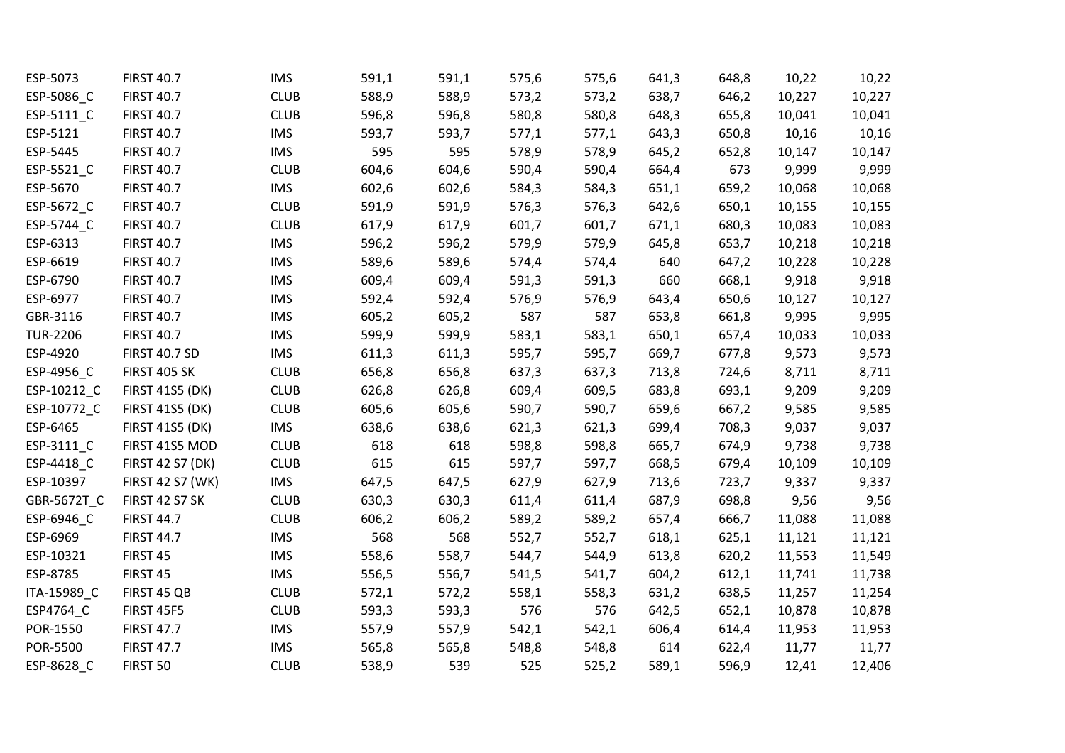| ESP-5073              | <b>FIRST 40.7</b>       | <b>IMS</b>  | 591,1 | 591,1 | 575,6 | 575,6 | 641,3 | 648,8 | 10,22  | 10,22  |
|-----------------------|-------------------------|-------------|-------|-------|-------|-------|-------|-------|--------|--------|
| ESP-5086_C            | <b>FIRST 40.7</b>       | <b>CLUB</b> | 588,9 | 588,9 | 573,2 | 573,2 | 638,7 | 646,2 | 10,227 | 10,227 |
| ESP-5111_C            | <b>FIRST 40.7</b>       | <b>CLUB</b> | 596,8 | 596,8 | 580,8 | 580,8 | 648,3 | 655,8 | 10,041 | 10,041 |
| ESP-5121              | <b>FIRST 40.7</b>       | <b>IMS</b>  | 593,7 | 593,7 | 577,1 | 577,1 | 643,3 | 650,8 | 10,16  | 10,16  |
| ESP-5445              | <b>FIRST 40.7</b>       | <b>IMS</b>  | 595   | 595   | 578,9 | 578,9 | 645,2 | 652,8 | 10,147 | 10,147 |
| ESP-5521_C            | <b>FIRST 40.7</b>       | <b>CLUB</b> | 604,6 | 604,6 | 590,4 | 590,4 | 664,4 | 673   | 9,999  | 9,999  |
| ESP-5670              | <b>FIRST 40.7</b>       | <b>IMS</b>  | 602,6 | 602,6 | 584,3 | 584,3 | 651,1 | 659,2 | 10,068 | 10,068 |
| ESP-5672_C            | <b>FIRST 40.7</b>       | <b>CLUB</b> | 591,9 | 591,9 | 576,3 | 576,3 | 642,6 | 650,1 | 10,155 | 10,155 |
| ESP-5744_C            | <b>FIRST 40.7</b>       | <b>CLUB</b> | 617,9 | 617,9 | 601,7 | 601,7 | 671,1 | 680,3 | 10,083 | 10,083 |
| ESP-6313              | <b>FIRST 40.7</b>       | <b>IMS</b>  | 596,2 | 596,2 | 579,9 | 579,9 | 645,8 | 653,7 | 10,218 | 10,218 |
| ESP-6619              | <b>FIRST 40.7</b>       | <b>IMS</b>  | 589,6 | 589,6 | 574,4 | 574,4 | 640   | 647,2 | 10,228 | 10,228 |
| ESP-6790              | <b>FIRST 40.7</b>       | <b>IMS</b>  | 609,4 | 609,4 | 591,3 | 591,3 | 660   | 668,1 | 9,918  | 9,918  |
| ESP-6977              | <b>FIRST 40.7</b>       | <b>IMS</b>  | 592,4 | 592,4 | 576,9 | 576,9 | 643,4 | 650,6 | 10,127 | 10,127 |
| GBR-3116              | <b>FIRST 40.7</b>       | <b>IMS</b>  | 605,2 | 605,2 | 587   | 587   | 653,8 | 661,8 | 9,995  | 9,995  |
| <b>TUR-2206</b>       | <b>FIRST 40.7</b>       | <b>IMS</b>  | 599,9 | 599,9 | 583,1 | 583,1 | 650,1 | 657,4 | 10,033 | 10,033 |
| ESP-4920              | <b>FIRST 40.7 SD</b>    | <b>IMS</b>  | 611,3 | 611,3 | 595,7 | 595,7 | 669,7 | 677,8 | 9,573  | 9,573  |
| ESP-4956_C            | <b>FIRST 405 SK</b>     | <b>CLUB</b> | 656,8 | 656,8 | 637,3 | 637,3 | 713,8 | 724,6 | 8,711  | 8,711  |
| ESP-10212_C           | <b>FIRST 41S5 (DK)</b>  | <b>CLUB</b> | 626,8 | 626,8 | 609,4 | 609,5 | 683,8 | 693,1 | 9,209  | 9,209  |
| ESP-10772_C           | <b>FIRST 41S5 (DK)</b>  | <b>CLUB</b> | 605,6 | 605,6 | 590,7 | 590,7 | 659,6 | 667,2 | 9,585  | 9,585  |
| ESP-6465              | <b>FIRST 41S5 (DK)</b>  | <b>IMS</b>  | 638,6 | 638,6 | 621,3 | 621,3 | 699,4 | 708,3 | 9,037  | 9,037  |
| ESP-3111_C            | FIRST 41S5 MOD          | <b>CLUB</b> | 618   | 618   | 598,8 | 598,8 | 665,7 | 674,9 | 9,738  | 9,738  |
| ESP-4418 <sub>C</sub> | <b>FIRST 42 S7 (DK)</b> | <b>CLUB</b> | 615   | 615   | 597,7 | 597,7 | 668,5 | 679,4 | 10,109 | 10,109 |
| ESP-10397             | <b>FIRST 42 S7 (WK)</b> | <b>IMS</b>  | 647,5 | 647,5 | 627,9 | 627,9 | 713,6 | 723,7 | 9,337  | 9,337  |
| GBR-5672T_C           | <b>FIRST 42 S7 SK</b>   | <b>CLUB</b> | 630,3 | 630,3 | 611,4 | 611,4 | 687,9 | 698,8 | 9,56   | 9,56   |
| ESP-6946_C            | <b>FIRST 44.7</b>       | <b>CLUB</b> | 606,2 | 606,2 | 589,2 | 589,2 | 657,4 | 666,7 | 11,088 | 11,088 |
| ESP-6969              | <b>FIRST 44.7</b>       | <b>IMS</b>  | 568   | 568   | 552,7 | 552,7 | 618,1 | 625,1 | 11,121 | 11,121 |
| ESP-10321             | FIRST 45                | <b>IMS</b>  | 558,6 | 558,7 | 544,7 | 544,9 | 613,8 | 620,2 | 11,553 | 11,549 |
| ESP-8785              | FIRST 45                | <b>IMS</b>  | 556,5 | 556,7 | 541,5 | 541,7 | 604,2 | 612,1 | 11,741 | 11,738 |
| ITA-15989 C           | FIRST 45 QB             | <b>CLUB</b> | 572,1 | 572,2 | 558,1 | 558,3 | 631,2 | 638,5 | 11,257 | 11,254 |
| ESP4764_C             | <b>FIRST 45F5</b>       | <b>CLUB</b> | 593,3 | 593,3 | 576   | 576   | 642,5 | 652,1 | 10,878 | 10,878 |
| POR-1550              | <b>FIRST 47.7</b>       | <b>IMS</b>  | 557,9 | 557,9 | 542,1 | 542,1 | 606,4 | 614,4 | 11,953 | 11,953 |
| POR-5500              | <b>FIRST 47.7</b>       | <b>IMS</b>  | 565,8 | 565,8 | 548,8 | 548,8 | 614   | 622,4 | 11,77  | 11,77  |
| ESP-8628 C            | FIRST 50                | <b>CLUB</b> | 538,9 | 539   | 525   | 525,2 | 589,1 | 596,9 | 12,41  | 12,406 |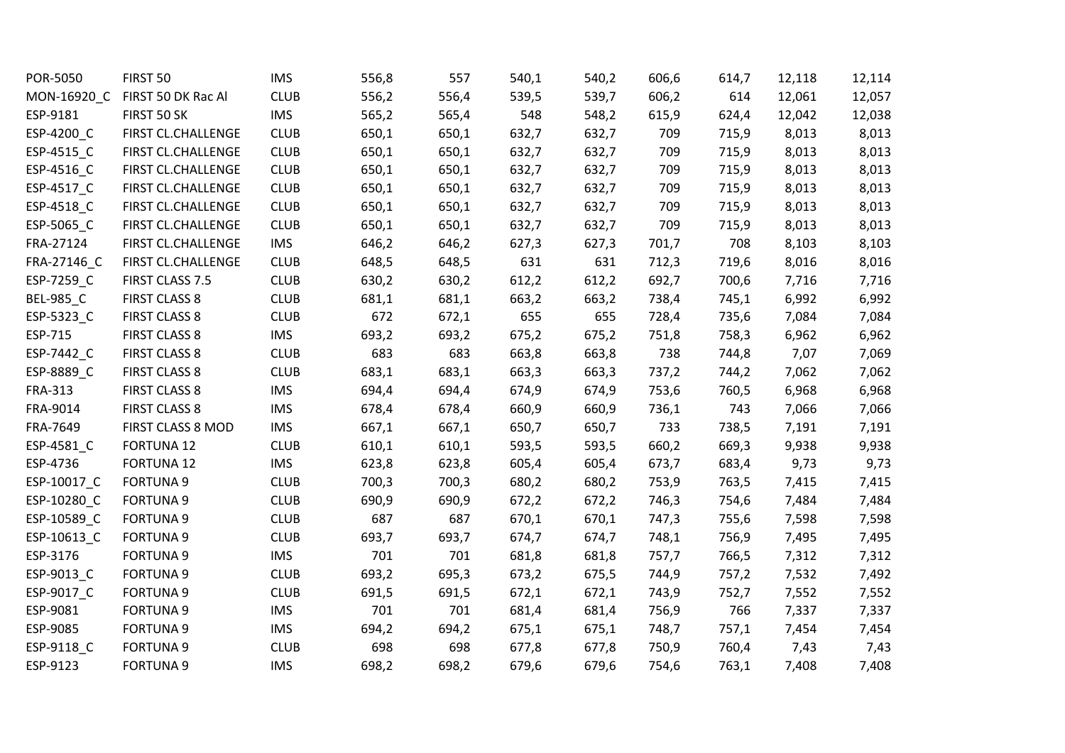| POR-5050         | FIRST 50             | <b>IMS</b>  | 556,8 | 557   | 540,1 | 540,2 | 606,6 | 614,7 | 12,118 | 12,114 |
|------------------|----------------------|-------------|-------|-------|-------|-------|-------|-------|--------|--------|
| MON-16920 C      | FIRST 50 DK Rac Al   | <b>CLUB</b> | 556,2 | 556,4 | 539,5 | 539,7 | 606,2 | 614   | 12,061 | 12,057 |
| ESP-9181         | FIRST 50 SK          | <b>IMS</b>  | 565,2 | 565,4 | 548   | 548,2 | 615,9 | 624,4 | 12,042 | 12,038 |
| ESP-4200 C       | FIRST CL.CHALLENGE   | <b>CLUB</b> | 650,1 | 650,1 | 632,7 | 632,7 | 709   | 715,9 | 8,013  | 8,013  |
| ESP-4515_C       | FIRST CL.CHALLENGE   | <b>CLUB</b> | 650,1 | 650,1 | 632,7 | 632,7 | 709   | 715,9 | 8,013  | 8,013  |
| ESP-4516_C       | FIRST CL.CHALLENGE   | <b>CLUB</b> | 650,1 | 650,1 | 632,7 | 632,7 | 709   | 715,9 | 8,013  | 8,013  |
| ESP-4517_C       | FIRST CL.CHALLENGE   | <b>CLUB</b> | 650,1 | 650,1 | 632,7 | 632,7 | 709   | 715,9 | 8,013  | 8,013  |
| ESP-4518_C       | FIRST CL.CHALLENGE   | <b>CLUB</b> | 650,1 | 650,1 | 632,7 | 632,7 | 709   | 715,9 | 8,013  | 8,013  |
| ESP-5065_C       | FIRST CL.CHALLENGE   | <b>CLUB</b> | 650,1 | 650,1 | 632,7 | 632,7 | 709   | 715,9 | 8,013  | 8,013  |
| FRA-27124        | FIRST CL.CHALLENGE   | <b>IMS</b>  | 646,2 | 646,2 | 627,3 | 627,3 | 701,7 | 708   | 8,103  | 8,103  |
| FRA-27146 C      | FIRST CL.CHALLENGE   | <b>CLUB</b> | 648,5 | 648,5 | 631   | 631   | 712,3 | 719,6 | 8,016  | 8,016  |
| ESP-7259_C       | FIRST CLASS 7.5      | <b>CLUB</b> | 630,2 | 630,2 | 612,2 | 612,2 | 692,7 | 700,6 | 7,716  | 7,716  |
| <b>BEL-985_C</b> | <b>FIRST CLASS 8</b> | <b>CLUB</b> | 681,1 | 681,1 | 663,2 | 663,2 | 738,4 | 745,1 | 6,992  | 6,992  |
| ESP-5323_C       | <b>FIRST CLASS 8</b> | <b>CLUB</b> | 672   | 672,1 | 655   | 655   | 728,4 | 735,6 | 7,084  | 7,084  |
| ESP-715          | <b>FIRST CLASS 8</b> | <b>IMS</b>  | 693,2 | 693,2 | 675,2 | 675,2 | 751,8 | 758,3 | 6,962  | 6,962  |
| ESP-7442_C       | <b>FIRST CLASS 8</b> | <b>CLUB</b> | 683   | 683   | 663,8 | 663,8 | 738   | 744,8 | 7,07   | 7,069  |
| ESP-8889_C       | <b>FIRST CLASS 8</b> | <b>CLUB</b> | 683,1 | 683,1 | 663,3 | 663,3 | 737,2 | 744,2 | 7,062  | 7,062  |
| <b>FRA-313</b>   | <b>FIRST CLASS 8</b> | <b>IMS</b>  | 694,4 | 694,4 | 674,9 | 674,9 | 753,6 | 760,5 | 6,968  | 6,968  |
| FRA-9014         | <b>FIRST CLASS 8</b> | <b>IMS</b>  | 678,4 | 678,4 | 660,9 | 660,9 | 736,1 | 743   | 7,066  | 7,066  |
| FRA-7649         | FIRST CLASS 8 MOD    | <b>IMS</b>  | 667,1 | 667,1 | 650,7 | 650,7 | 733   | 738,5 | 7,191  | 7,191  |
| ESP-4581_C       | <b>FORTUNA 12</b>    | <b>CLUB</b> | 610,1 | 610,1 | 593,5 | 593,5 | 660,2 | 669,3 | 9,938  | 9,938  |
| ESP-4736         | <b>FORTUNA 12</b>    | <b>IMS</b>  | 623,8 | 623,8 | 605,4 | 605,4 | 673,7 | 683,4 | 9,73   | 9,73   |
| ESP-10017_C      | <b>FORTUNA 9</b>     | <b>CLUB</b> | 700,3 | 700,3 | 680,2 | 680,2 | 753,9 | 763,5 | 7,415  | 7,415  |
| ESP-10280_C      | <b>FORTUNA 9</b>     | <b>CLUB</b> | 690,9 | 690,9 | 672,2 | 672,2 | 746,3 | 754,6 | 7,484  | 7,484  |
| ESP-10589 C      | <b>FORTUNA 9</b>     | <b>CLUB</b> | 687   | 687   | 670,1 | 670,1 | 747,3 | 755,6 | 7,598  | 7,598  |
| ESP-10613_C      | <b>FORTUNA 9</b>     | <b>CLUB</b> | 693,7 | 693,7 | 674,7 | 674,7 | 748,1 | 756,9 | 7,495  | 7,495  |
| ESP-3176         | <b>FORTUNA 9</b>     | <b>IMS</b>  | 701   | 701   | 681,8 | 681,8 | 757,7 | 766,5 | 7,312  | 7,312  |
| ESP-9013_C       | <b>FORTUNA 9</b>     | <b>CLUB</b> | 693,2 | 695,3 | 673,2 | 675,5 | 744,9 | 757,2 | 7,532  | 7,492  |
| ESP-9017_C       | <b>FORTUNA 9</b>     | <b>CLUB</b> | 691,5 | 691,5 | 672,1 | 672,1 | 743,9 | 752,7 | 7,552  | 7,552  |
| ESP-9081         | <b>FORTUNA 9</b>     | <b>IMS</b>  | 701   | 701   | 681,4 | 681,4 | 756,9 | 766   | 7,337  | 7,337  |
| ESP-9085         | <b>FORTUNA 9</b>     | <b>IMS</b>  | 694,2 | 694,2 | 675,1 | 675,1 | 748,7 | 757,1 | 7,454  | 7,454  |
| ESP-9118_C       | <b>FORTUNA 9</b>     | <b>CLUB</b> | 698   | 698   | 677,8 | 677,8 | 750,9 | 760,4 | 7,43   | 7,43   |
| ESP-9123         | <b>FORTUNA 9</b>     | <b>IMS</b>  | 698,2 | 698,2 | 679,6 | 679,6 | 754,6 | 763,1 | 7,408  | 7,408  |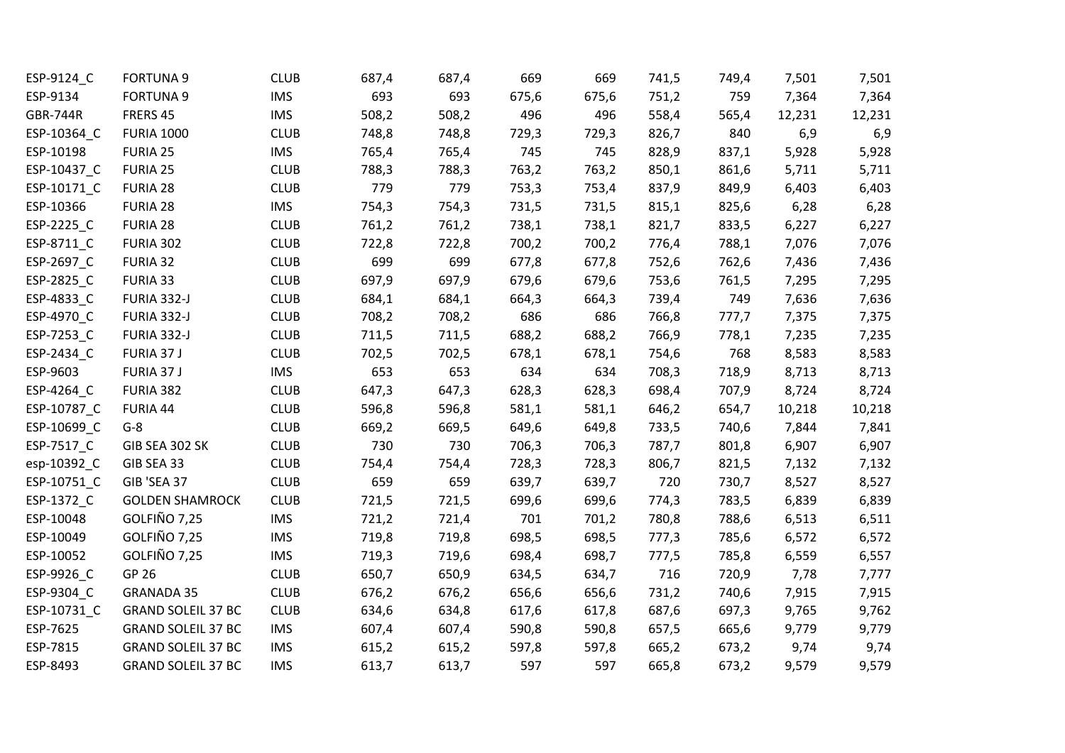| ESP-9124_C      | <b>FORTUNA 9</b>          | <b>CLUB</b> | 687,4 | 687,4 | 669   | 669   | 741,5 | 749,4 | 7,501  | 7,501  |
|-----------------|---------------------------|-------------|-------|-------|-------|-------|-------|-------|--------|--------|
| ESP-9134        | <b>FORTUNA 9</b>          | <b>IMS</b>  | 693   | 693   | 675,6 | 675,6 | 751,2 | 759   | 7,364  | 7,364  |
| <b>GBR-744R</b> | FRERS 45                  | <b>IMS</b>  | 508,2 | 508,2 | 496   | 496   | 558,4 | 565,4 | 12,231 | 12,231 |
| ESP-10364_C     | <b>FURIA 1000</b>         | <b>CLUB</b> | 748,8 | 748,8 | 729,3 | 729,3 | 826,7 | 840   | 6,9    | 6,9    |
| ESP-10198       | <b>FURIA 25</b>           | <b>IMS</b>  | 765,4 | 765,4 | 745   | 745   | 828,9 | 837,1 | 5,928  | 5,928  |
| ESP-10437_C     | FURIA 25                  | <b>CLUB</b> | 788,3 | 788,3 | 763,2 | 763,2 | 850,1 | 861,6 | 5,711  | 5,711  |
| ESP-10171_C     | FURIA 28                  | <b>CLUB</b> | 779   | 779   | 753,3 | 753,4 | 837,9 | 849,9 | 6,403  | 6,403  |
| ESP-10366       | FURIA 28                  | <b>IMS</b>  | 754,3 | 754,3 | 731,5 | 731,5 | 815,1 | 825,6 | 6,28   | 6,28   |
| ESP-2225_C      | FURIA 28                  | <b>CLUB</b> | 761,2 | 761,2 | 738,1 | 738,1 | 821,7 | 833,5 | 6,227  | 6,227  |
| ESP-8711_C      | FURIA 302                 | <b>CLUB</b> | 722,8 | 722,8 | 700,2 | 700,2 | 776,4 | 788,1 | 7,076  | 7,076  |
| ESP-2697_C      | FURIA 32                  | <b>CLUB</b> | 699   | 699   | 677,8 | 677,8 | 752,6 | 762,6 | 7,436  | 7,436  |
| ESP-2825_C      | FURIA 33                  | <b>CLUB</b> | 697,9 | 697,9 | 679,6 | 679,6 | 753,6 | 761,5 | 7,295  | 7,295  |
| ESP-4833_C      | FURIA 332-J               | <b>CLUB</b> | 684,1 | 684,1 | 664,3 | 664,3 | 739,4 | 749   | 7,636  | 7,636  |
| ESP-4970_C      | FURIA 332-J               | <b>CLUB</b> | 708,2 | 708,2 | 686   | 686   | 766,8 | 777,7 | 7,375  | 7,375  |
| ESP-7253_C      | FURIA 332-J               | <b>CLUB</b> | 711,5 | 711,5 | 688,2 | 688,2 | 766,9 | 778,1 | 7,235  | 7,235  |
| ESP-2434_C      | FURIA 37 J                | <b>CLUB</b> | 702,5 | 702,5 | 678,1 | 678,1 | 754,6 | 768   | 8,583  | 8,583  |
| ESP-9603        | FURIA 37 J                | <b>IMS</b>  | 653   | 653   | 634   | 634   | 708,3 | 718,9 | 8,713  | 8,713  |
| ESP-4264_C      | FURIA 382                 | <b>CLUB</b> | 647,3 | 647,3 | 628,3 | 628,3 | 698,4 | 707,9 | 8,724  | 8,724  |
| ESP-10787_C     | FURIA 44                  | <b>CLUB</b> | 596,8 | 596,8 | 581,1 | 581,1 | 646,2 | 654,7 | 10,218 | 10,218 |
| ESP-10699_C     | $G-8$                     | <b>CLUB</b> | 669,2 | 669,5 | 649,6 | 649,8 | 733,5 | 740,6 | 7,844  | 7,841  |
| ESP-7517_C      | GIB SEA 302 SK            | <b>CLUB</b> | 730   | 730   | 706,3 | 706,3 | 787,7 | 801,8 | 6,907  | 6,907  |
| esp-10392_C     | GIB SEA 33                | <b>CLUB</b> | 754,4 | 754,4 | 728,3 | 728,3 | 806,7 | 821,5 | 7,132  | 7,132  |
| ESP-10751_C     | GIB 'SEA 37               | <b>CLUB</b> | 659   | 659   | 639,7 | 639,7 | 720   | 730,7 | 8,527  | 8,527  |
| ESP-1372_C      | <b>GOLDEN SHAMROCK</b>    | <b>CLUB</b> | 721,5 | 721,5 | 699,6 | 699,6 | 774,3 | 783,5 | 6,839  | 6,839  |
| ESP-10048       | GOLFIÑO 7,25              | <b>IMS</b>  | 721,2 | 721,4 | 701   | 701,2 | 780,8 | 788,6 | 6,513  | 6,511  |
| ESP-10049       | GOLFIÑO 7,25              | <b>IMS</b>  | 719,8 | 719,8 | 698,5 | 698,5 | 777,3 | 785,6 | 6,572  | 6,572  |
| ESP-10052       | GOLFIÑO 7,25              | <b>IMS</b>  | 719,3 | 719,6 | 698,4 | 698,7 | 777,5 | 785,8 | 6,559  | 6,557  |
| ESP-9926_C      | GP 26                     | <b>CLUB</b> | 650,7 | 650,9 | 634,5 | 634,7 | 716   | 720,9 | 7,78   | 7,777  |
| ESP-9304_C      | <b>GRANADA 35</b>         | <b>CLUB</b> | 676,2 | 676,2 | 656,6 | 656,6 | 731,2 | 740,6 | 7,915  | 7,915  |
| ESP-10731_C     | <b>GRAND SOLEIL 37 BC</b> | <b>CLUB</b> | 634,6 | 634,8 | 617,6 | 617,8 | 687,6 | 697,3 | 9,765  | 9,762  |
| ESP-7625        | <b>GRAND SOLEIL 37 BC</b> | <b>IMS</b>  | 607,4 | 607,4 | 590,8 | 590,8 | 657,5 | 665,6 | 9,779  | 9,779  |
| ESP-7815        | <b>GRAND SOLEIL 37 BC</b> | <b>IMS</b>  | 615,2 | 615,2 | 597,8 | 597,8 | 665,2 | 673,2 | 9,74   | 9,74   |
| ESP-8493        | <b>GRAND SOLEIL 37 BC</b> | <b>IMS</b>  | 613,7 | 613,7 | 597   | 597   | 665,8 | 673,2 | 9,579  | 9,579  |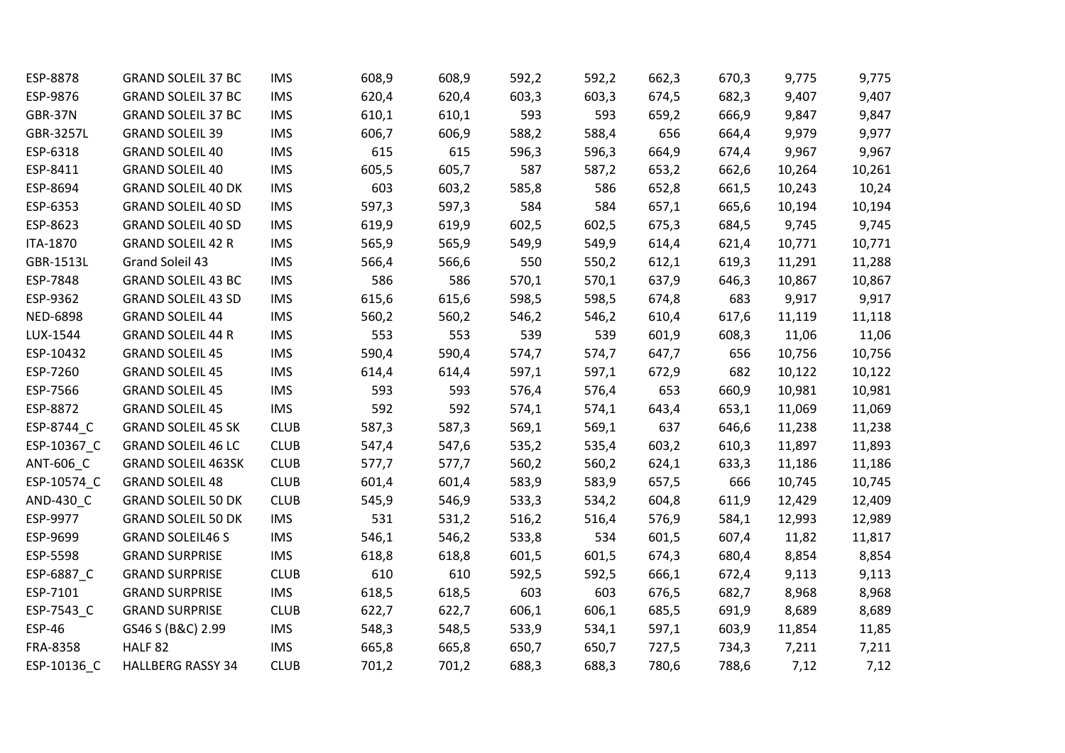| ESP-8878              | <b>GRAND SOLEIL 37 BC</b> | <b>IMS</b>  | 608,9 | 608,9 | 592,2 | 592,2 | 662,3 | 670,3 | 9,775  | 9,775  |
|-----------------------|---------------------------|-------------|-------|-------|-------|-------|-------|-------|--------|--------|
| ESP-9876              | <b>GRAND SOLEIL 37 BC</b> | <b>IMS</b>  | 620,4 | 620,4 | 603,3 | 603,3 | 674,5 | 682,3 | 9,407  | 9,407  |
| GBR-37N               | <b>GRAND SOLEIL 37 BC</b> | <b>IMS</b>  | 610,1 | 610,1 | 593   | 593   | 659,2 | 666,9 | 9,847  | 9,847  |
| GBR-3257L             | <b>GRAND SOLEIL 39</b>    | <b>IMS</b>  | 606,7 | 606,9 | 588,2 | 588,4 | 656   | 664,4 | 9,979  | 9,977  |
| ESP-6318              | <b>GRAND SOLEIL 40</b>    | <b>IMS</b>  | 615   | 615   | 596,3 | 596,3 | 664,9 | 674,4 | 9,967  | 9,967  |
| ESP-8411              | <b>GRAND SOLEIL 40</b>    | <b>IMS</b>  | 605,5 | 605,7 | 587   | 587,2 | 653,2 | 662,6 | 10,264 | 10,261 |
| ESP-8694              | <b>GRAND SOLEIL 40 DK</b> | <b>IMS</b>  | 603   | 603,2 | 585,8 | 586   | 652,8 | 661,5 | 10,243 | 10,24  |
| ESP-6353              | <b>GRAND SOLEIL 40 SD</b> | <b>IMS</b>  | 597,3 | 597,3 | 584   | 584   | 657,1 | 665,6 | 10,194 | 10,194 |
| ESP-8623              | <b>GRAND SOLEIL 40 SD</b> | <b>IMS</b>  | 619,9 | 619,9 | 602,5 | 602,5 | 675,3 | 684,5 | 9,745  | 9,745  |
| ITA-1870              | <b>GRAND SOLEIL 42 R</b>  | <b>IMS</b>  | 565,9 | 565,9 | 549,9 | 549,9 | 614,4 | 621,4 | 10,771 | 10,771 |
| GBR-1513L             | Grand Soleil 43           | <b>IMS</b>  | 566,4 | 566,6 | 550   | 550,2 | 612,1 | 619,3 | 11,291 | 11,288 |
| ESP-7848              | <b>GRAND SOLEIL 43 BC</b> | <b>IMS</b>  | 586   | 586   | 570,1 | 570,1 | 637,9 | 646,3 | 10,867 | 10,867 |
| ESP-9362              | <b>GRAND SOLEIL 43 SD</b> | <b>IMS</b>  | 615,6 | 615,6 | 598,5 | 598,5 | 674,8 | 683   | 9,917  | 9,917  |
| <b>NED-6898</b>       | <b>GRAND SOLEIL 44</b>    | <b>IMS</b>  | 560,2 | 560,2 | 546,2 | 546,2 | 610,4 | 617,6 | 11,119 | 11,118 |
| LUX-1544              | <b>GRAND SOLEIL 44 R</b>  | <b>IMS</b>  | 553   | 553   | 539   | 539   | 601,9 | 608,3 | 11,06  | 11,06  |
| ESP-10432             | <b>GRAND SOLEIL 45</b>    | <b>IMS</b>  | 590,4 | 590,4 | 574,7 | 574,7 | 647,7 | 656   | 10,756 | 10,756 |
| ESP-7260              | <b>GRAND SOLEIL 45</b>    | <b>IMS</b>  | 614,4 | 614,4 | 597,1 | 597,1 | 672,9 | 682   | 10,122 | 10,122 |
| ESP-7566              | <b>GRAND SOLEIL 45</b>    | <b>IMS</b>  | 593   | 593   | 576,4 | 576,4 | 653   | 660,9 | 10,981 | 10,981 |
| ESP-8872              | <b>GRAND SOLEIL 45</b>    | <b>IMS</b>  | 592   | 592   | 574,1 | 574,1 | 643,4 | 653,1 | 11,069 | 11,069 |
| ESP-8744_C            | <b>GRAND SOLEIL 45 SK</b> | <b>CLUB</b> | 587,3 | 587,3 | 569,1 | 569,1 | 637   | 646,6 | 11,238 | 11,238 |
| ESP-10367_C           | <b>GRAND SOLEIL 46 LC</b> | <b>CLUB</b> | 547,4 | 547,6 | 535,2 | 535,4 | 603,2 | 610,3 | 11,897 | 11,893 |
| ANT-606_C             | <b>GRAND SOLEIL 463SK</b> | <b>CLUB</b> | 577,7 | 577,7 | 560,2 | 560,2 | 624,1 | 633,3 | 11,186 | 11,186 |
| ESP-10574_C           | <b>GRAND SOLEIL 48</b>    | <b>CLUB</b> | 601,4 | 601,4 | 583,9 | 583,9 | 657,5 | 666   | 10,745 | 10,745 |
| AND-430 <sub>_C</sub> | <b>GRAND SOLEIL 50 DK</b> | <b>CLUB</b> | 545,9 | 546,9 | 533,3 | 534,2 | 604,8 | 611,9 | 12,429 | 12,409 |
| ESP-9977              | <b>GRAND SOLEIL 50 DK</b> | <b>IMS</b>  | 531   | 531,2 | 516,2 | 516,4 | 576,9 | 584,1 | 12,993 | 12,989 |
| ESP-9699              | <b>GRAND SOLEIL46 S</b>   | <b>IMS</b>  | 546,1 | 546,2 | 533,8 | 534   | 601,5 | 607,4 | 11,82  | 11,817 |
| ESP-5598              | <b>GRAND SURPRISE</b>     | <b>IMS</b>  | 618,8 | 618,8 | 601,5 | 601,5 | 674,3 | 680,4 | 8,854  | 8,854  |
| ESP-6887_C            | <b>GRAND SURPRISE</b>     | <b>CLUB</b> | 610   | 610   | 592,5 | 592,5 | 666,1 | 672,4 | 9,113  | 9,113  |
| ESP-7101              | <b>GRAND SURPRISE</b>     | <b>IMS</b>  | 618,5 | 618,5 | 603   | 603   | 676,5 | 682,7 | 8,968  | 8,968  |
| ESP-7543_C            | <b>GRAND SURPRISE</b>     | <b>CLUB</b> | 622,7 | 622,7 | 606,1 | 606,1 | 685,5 | 691,9 | 8,689  | 8,689  |
| <b>ESP-46</b>         | GS46 S (B&C) 2.99         | <b>IMS</b>  | 548,3 | 548,5 | 533,9 | 534,1 | 597,1 | 603,9 | 11,854 | 11,85  |
| FRA-8358              | HALF <sub>82</sub>        | <b>IMS</b>  | 665,8 | 665,8 | 650,7 | 650,7 | 727,5 | 734,3 | 7,211  | 7,211  |
| ESP-10136 C           | <b>HALLBERG RASSY 34</b>  | <b>CLUB</b> | 701,2 | 701,2 | 688,3 | 688,3 | 780,6 | 788,6 | 7,12   | 7,12   |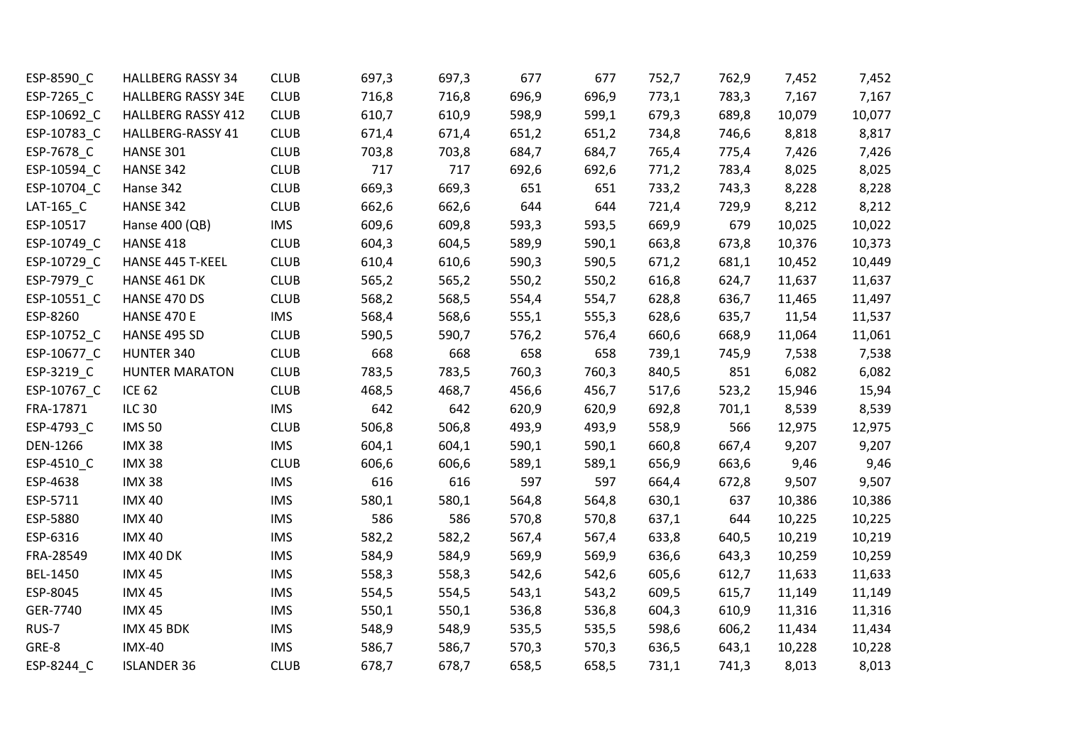| ESP-8590 C            | <b>HALLBERG RASSY 34</b>  | <b>CLUB</b> | 697,3 | 697,3 | 677   | 677   | 752,7 | 762,9 | 7,452  | 7,452  |
|-----------------------|---------------------------|-------------|-------|-------|-------|-------|-------|-------|--------|--------|
| ESP-7265_C            | <b>HALLBERG RASSY 34E</b> | <b>CLUB</b> | 716,8 | 716,8 | 696,9 | 696,9 | 773,1 | 783,3 | 7,167  | 7,167  |
| ESP-10692_C           | <b>HALLBERG RASSY 412</b> | <b>CLUB</b> | 610,7 | 610,9 | 598,9 | 599,1 | 679,3 | 689,8 | 10,079 | 10,077 |
| ESP-10783_C           | HALLBERG-RASSY 41         | <b>CLUB</b> | 671,4 | 671,4 | 651,2 | 651,2 | 734,8 | 746,6 | 8,818  | 8,817  |
| ESP-7678_C            | HANSE 301                 | <b>CLUB</b> | 703,8 | 703,8 | 684,7 | 684,7 | 765,4 | 775,4 | 7,426  | 7,426  |
| ESP-10594 C           | HANSE 342                 | <b>CLUB</b> | 717   | 717   | 692,6 | 692,6 | 771,2 | 783,4 | 8,025  | 8,025  |
| ESP-10704_C           | Hanse 342                 | <b>CLUB</b> | 669,3 | 669,3 | 651   | 651   | 733,2 | 743,3 | 8,228  | 8,228  |
| LAT-165_C             | HANSE 342                 | <b>CLUB</b> | 662,6 | 662,6 | 644   | 644   | 721,4 | 729,9 | 8,212  | 8,212  |
| ESP-10517             | Hanse 400 (QB)            | <b>IMS</b>  | 609,6 | 609,8 | 593,3 | 593,5 | 669,9 | 679   | 10,025 | 10,022 |
| ESP-10749_C           | <b>HANSE 418</b>          | <b>CLUB</b> | 604,3 | 604,5 | 589,9 | 590,1 | 663,8 | 673,8 | 10,376 | 10,373 |
| ESP-10729_C           | HANSE 445 T-KEEL          | <b>CLUB</b> | 610,4 | 610,6 | 590,3 | 590,5 | 671,2 | 681,1 | 10,452 | 10,449 |
| ESP-7979_C            | HANSE 461 DK              | <b>CLUB</b> | 565,2 | 565,2 | 550,2 | 550,2 | 616,8 | 624,7 | 11,637 | 11,637 |
| ESP-10551_C           | HANSE 470 DS              | <b>CLUB</b> | 568,2 | 568,5 | 554,4 | 554,7 | 628,8 | 636,7 | 11,465 | 11,497 |
| ESP-8260              | HANSE 470 E               | <b>IMS</b>  | 568,4 | 568,6 | 555,1 | 555,3 | 628,6 | 635,7 | 11,54  | 11,537 |
| ESP-10752_C           | HANSE 495 SD              | <b>CLUB</b> | 590,5 | 590,7 | 576,2 | 576,4 | 660,6 | 668,9 | 11,064 | 11,061 |
| ESP-10677_C           | HUNTER 340                | <b>CLUB</b> | 668   | 668   | 658   | 658   | 739,1 | 745,9 | 7,538  | 7,538  |
| ESP-3219_C            | <b>HUNTER MARATON</b>     | <b>CLUB</b> | 783,5 | 783,5 | 760,3 | 760,3 | 840,5 | 851   | 6,082  | 6,082  |
| ESP-10767_C           | <b>ICE 62</b>             | <b>CLUB</b> | 468,5 | 468,7 | 456,6 | 456,7 | 517,6 | 523,2 | 15,946 | 15,94  |
| FRA-17871             | <b>ILC 30</b>             | <b>IMS</b>  | 642   | 642   | 620,9 | 620,9 | 692,8 | 701,1 | 8,539  | 8,539  |
| ESP-4793_C            | <b>IMS 50</b>             | <b>CLUB</b> | 506,8 | 506,8 | 493,9 | 493,9 | 558,9 | 566   | 12,975 | 12,975 |
| DEN-1266              | <b>IMX 38</b>             | <b>IMS</b>  | 604,1 | 604,1 | 590,1 | 590,1 | 660,8 | 667,4 | 9,207  | 9,207  |
| ESP-4510 <sub>C</sub> | <b>IMX 38</b>             | <b>CLUB</b> | 606,6 | 606,6 | 589,1 | 589,1 | 656,9 | 663,6 | 9,46   | 9,46   |
| ESP-4638              | <b>IMX 38</b>             | <b>IMS</b>  | 616   | 616   | 597   | 597   | 664,4 | 672,8 | 9,507  | 9,507  |
| ESP-5711              | <b>IMX 40</b>             | <b>IMS</b>  | 580,1 | 580,1 | 564,8 | 564,8 | 630,1 | 637   | 10,386 | 10,386 |
| ESP-5880              | <b>IMX 40</b>             | <b>IMS</b>  | 586   | 586   | 570,8 | 570,8 | 637,1 | 644   | 10,225 | 10,225 |
| ESP-6316              | <b>IMX 40</b>             | <b>IMS</b>  | 582,2 | 582,2 | 567,4 | 567,4 | 633,8 | 640,5 | 10,219 | 10,219 |
| FRA-28549             | IMX 40 DK                 | <b>IMS</b>  | 584,9 | 584,9 | 569,9 | 569,9 | 636,6 | 643,3 | 10,259 | 10,259 |
| <b>BEL-1450</b>       | <b>IMX 45</b>             | <b>IMS</b>  | 558,3 | 558,3 | 542,6 | 542,6 | 605,6 | 612,7 | 11,633 | 11,633 |
| ESP-8045              | <b>IMX 45</b>             | <b>IMS</b>  | 554,5 | 554,5 | 543,1 | 543,2 | 609,5 | 615,7 | 11,149 | 11,149 |
| GER-7740              | <b>IMX 45</b>             | <b>IMS</b>  | 550,1 | 550,1 | 536,8 | 536,8 | 604,3 | 610,9 | 11,316 | 11,316 |
| RUS-7                 | IMX 45 BDK                | <b>IMS</b>  | 548,9 | 548,9 | 535,5 | 535,5 | 598,6 | 606,2 | 11,434 | 11,434 |
| GRE-8                 | <b>IMX-40</b>             | <b>IMS</b>  | 586,7 | 586,7 | 570,3 | 570,3 | 636,5 | 643,1 | 10,228 | 10,228 |
| ESP-8244 C            | <b>ISLANDER 36</b>        | <b>CLUB</b> | 678,7 | 678,7 | 658,5 | 658,5 | 731,1 | 741,3 | 8,013  | 8,013  |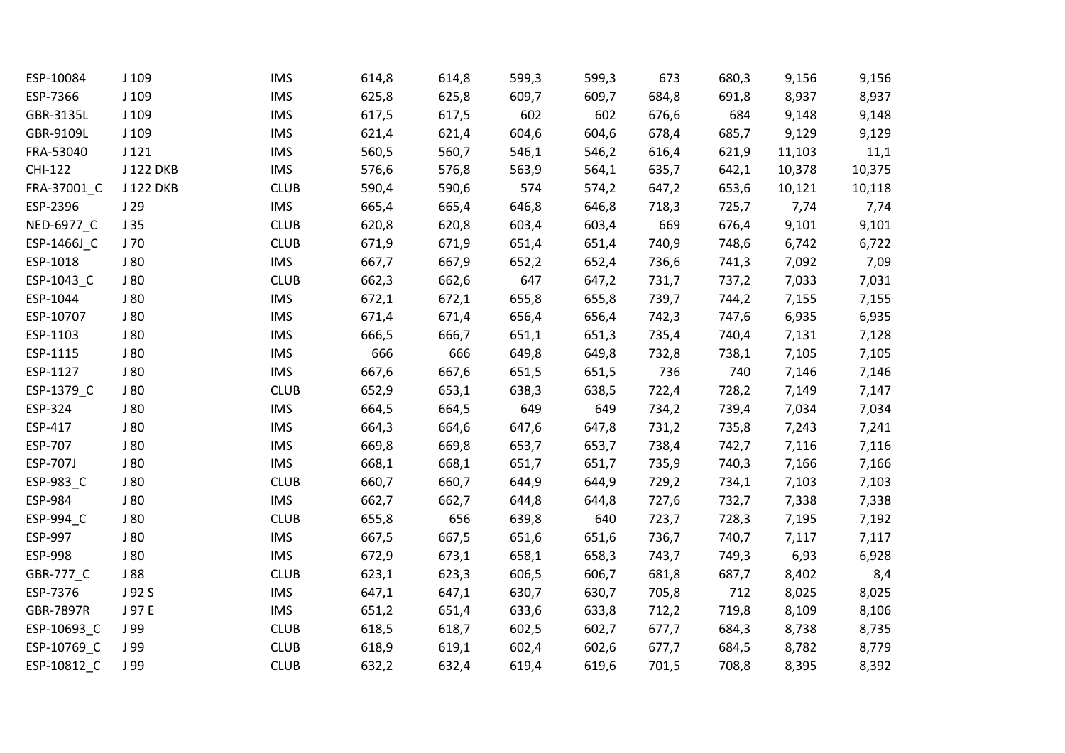| ESP-10084       | J 109     | <b>IMS</b>  | 614,8 | 614,8 | 599,3 | 599,3 | 673   | 680,3 | 9,156  | 9,156  |
|-----------------|-----------|-------------|-------|-------|-------|-------|-------|-------|--------|--------|
| ESP-7366        | J 109     | <b>IMS</b>  | 625,8 | 625,8 | 609,7 | 609,7 | 684,8 | 691,8 | 8,937  | 8,937  |
| GBR-3135L       | $J$ 109   | <b>IMS</b>  | 617,5 | 617,5 | 602   | 602   | 676,6 | 684   | 9,148  | 9,148  |
| GBR-9109L       | $J$ 109   | <b>IMS</b>  | 621,4 | 621,4 | 604,6 | 604,6 | 678,4 | 685,7 | 9,129  | 9,129  |
| FRA-53040       | J121      | <b>IMS</b>  | 560,5 | 560,7 | 546,1 | 546,2 | 616,4 | 621,9 | 11,103 | 11,1   |
| <b>CHI-122</b>  | J 122 DKB | <b>IMS</b>  | 576,6 | 576,8 | 563,9 | 564,1 | 635,7 | 642,1 | 10,378 | 10,375 |
| FRA-37001_C     | J 122 DKB | <b>CLUB</b> | 590,4 | 590,6 | 574   | 574,2 | 647,2 | 653,6 | 10,121 | 10,118 |
| ESP-2396        | J29       | <b>IMS</b>  | 665,4 | 665,4 | 646,8 | 646,8 | 718,3 | 725,7 | 7,74   | 7,74   |
| NED-6977_C      | J35       | <b>CLUB</b> | 620,8 | 620,8 | 603,4 | 603,4 | 669   | 676,4 | 9,101  | 9,101  |
| ESP-1466J_C     | J 70      | <b>CLUB</b> | 671,9 | 671,9 | 651,4 | 651,4 | 740,9 | 748,6 | 6,742  | 6,722  |
| ESP-1018        | J80       | <b>IMS</b>  | 667,7 | 667,9 | 652,2 | 652,4 | 736,6 | 741,3 | 7,092  | 7,09   |
| ESP-1043_C      | J80       | <b>CLUB</b> | 662,3 | 662,6 | 647   | 647,2 | 731,7 | 737,2 | 7,033  | 7,031  |
| ESP-1044        | J80       | <b>IMS</b>  | 672,1 | 672,1 | 655,8 | 655,8 | 739,7 | 744,2 | 7,155  | 7,155  |
| ESP-10707       | J 80      | <b>IMS</b>  | 671,4 | 671,4 | 656,4 | 656,4 | 742,3 | 747,6 | 6,935  | 6,935  |
| ESP-1103        | J80       | <b>IMS</b>  | 666,5 | 666,7 | 651,1 | 651,3 | 735,4 | 740,4 | 7,131  | 7,128  |
| ESP-1115        | J80       | <b>IMS</b>  | 666   | 666   | 649,8 | 649,8 | 732,8 | 738,1 | 7,105  | 7,105  |
| ESP-1127        | J80       | <b>IMS</b>  | 667,6 | 667,6 | 651,5 | 651,5 | 736   | 740   | 7,146  | 7,146  |
| ESP-1379_C      | J80       | <b>CLUB</b> | 652,9 | 653,1 | 638,3 | 638,5 | 722,4 | 728,2 | 7,149  | 7,147  |
| ESP-324         | J80       | <b>IMS</b>  | 664,5 | 664,5 | 649   | 649   | 734,2 | 739,4 | 7,034  | 7,034  |
| ESP-417         | J80       | <b>IMS</b>  | 664,3 | 664,6 | 647,6 | 647,8 | 731,2 | 735,8 | 7,243  | 7,241  |
| ESP-707         | J 80      | <b>IMS</b>  | 669,8 | 669,8 | 653,7 | 653,7 | 738,4 | 742,7 | 7,116  | 7,116  |
| <b>ESP-707J</b> | J 80      | <b>IMS</b>  | 668,1 | 668,1 | 651,7 | 651,7 | 735,9 | 740,3 | 7,166  | 7,166  |
| ESP-983_C       | J80       | <b>CLUB</b> | 660,7 | 660,7 | 644,9 | 644,9 | 729,2 | 734,1 | 7,103  | 7,103  |
| ESP-984         | J80       | <b>IMS</b>  | 662,7 | 662,7 | 644,8 | 644,8 | 727,6 | 732,7 | 7,338  | 7,338  |
| ESP-994_C       | J 80      | <b>CLUB</b> | 655,8 | 656   | 639,8 | 640   | 723,7 | 728,3 | 7,195  | 7,192  |
| ESP-997         | J80       | <b>IMS</b>  | 667,5 | 667,5 | 651,6 | 651,6 | 736,7 | 740,7 | 7,117  | 7,117  |
| ESP-998         | J 80      | <b>IMS</b>  | 672,9 | 673,1 | 658,1 | 658,3 | 743,7 | 749,3 | 6,93   | 6,928  |
| GBR-777_C       | J 88      | <b>CLUB</b> | 623,1 | 623,3 | 606,5 | 606,7 | 681,8 | 687,7 | 8,402  | 8,4    |
| ESP-7376        | J 92 S    | <b>IMS</b>  | 647,1 | 647,1 | 630,7 | 630,7 | 705,8 | 712   | 8,025  | 8,025  |
| GBR-7897R       | J 97 E    | <b>IMS</b>  | 651,2 | 651,4 | 633,6 | 633,8 | 712,2 | 719,8 | 8,109  | 8,106  |
| ESP-10693_C     | J 99      | <b>CLUB</b> | 618,5 | 618,7 | 602,5 | 602,7 | 677,7 | 684,3 | 8,738  | 8,735  |
| ESP-10769_C     | J 99      | <b>CLUB</b> | 618,9 | 619,1 | 602,4 | 602,6 | 677,7 | 684,5 | 8,782  | 8,779  |
| ESP-10812_C     | J 99      | <b>CLUB</b> | 632,2 | 632,4 | 619,4 | 619,6 | 701,5 | 708,8 | 8,395  | 8,392  |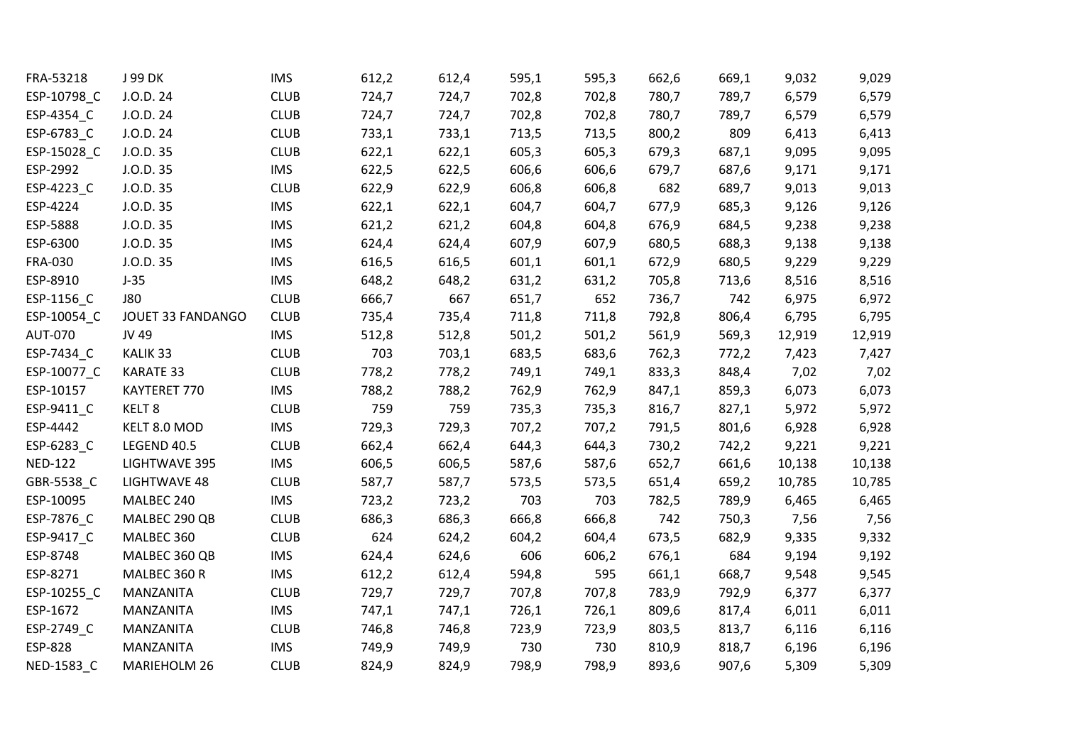| FRA-53218      | J 99 DK            | <b>IMS</b>  | 612,2 | 612,4 | 595,1 | 595,3 | 662,6 | 669,1 | 9,032  | 9,029  |
|----------------|--------------------|-------------|-------|-------|-------|-------|-------|-------|--------|--------|
| ESP-10798_C    | J.O.D. 24          | <b>CLUB</b> | 724,7 | 724,7 | 702,8 | 702,8 | 780,7 | 789,7 | 6,579  | 6,579  |
| ESP-4354_C     | J.O.D. 24          | <b>CLUB</b> | 724,7 | 724,7 | 702,8 | 702,8 | 780,7 | 789,7 | 6,579  | 6,579  |
| ESP-6783_C     | J.O.D. 24          | <b>CLUB</b> | 733,1 | 733,1 | 713,5 | 713,5 | 800,2 | 809   | 6,413  | 6,413  |
| ESP-15028_C    | J.O.D.35           | <b>CLUB</b> | 622,1 | 622,1 | 605,3 | 605,3 | 679,3 | 687,1 | 9,095  | 9,095  |
| ESP-2992       | J.O.D.35           | <b>IMS</b>  | 622,5 | 622,5 | 606,6 | 606,6 | 679,7 | 687,6 | 9,171  | 9,171  |
| ESP-4223_C     | J.O.D.35           | <b>CLUB</b> | 622,9 | 622,9 | 606,8 | 606,8 | 682   | 689,7 | 9,013  | 9,013  |
| ESP-4224       | J.O.D.35           | <b>IMS</b>  | 622,1 | 622,1 | 604,7 | 604,7 | 677,9 | 685,3 | 9,126  | 9,126  |
| ESP-5888       | J.O.D.35           | <b>IMS</b>  | 621,2 | 621,2 | 604,8 | 604,8 | 676,9 | 684,5 | 9,238  | 9,238  |
| ESP-6300       | J.O.D.35           | <b>IMS</b>  | 624,4 | 624,4 | 607,9 | 607,9 | 680,5 | 688,3 | 9,138  | 9,138  |
| <b>FRA-030</b> | J.O.D.35           | <b>IMS</b>  | 616,5 | 616,5 | 601,1 | 601,1 | 672,9 | 680,5 | 9,229  | 9,229  |
| ESP-8910       | $J-35$             | <b>IMS</b>  | 648,2 | 648,2 | 631,2 | 631,2 | 705,8 | 713,6 | 8,516  | 8,516  |
| ESP-1156_C     | <b>J80</b>         | <b>CLUB</b> | 666,7 | 667   | 651,7 | 652   | 736,7 | 742   | 6,975  | 6,972  |
| ESP-10054_C    | JOUET 33 FANDANGO  | <b>CLUB</b> | 735,4 | 735,4 | 711,8 | 711,8 | 792,8 | 806,4 | 6,795  | 6,795  |
| <b>AUT-070</b> | JV 49              | <b>IMS</b>  | 512,8 | 512,8 | 501,2 | 501,2 | 561,9 | 569,3 | 12,919 | 12,919 |
| ESP-7434_C     | KALIK 33           | <b>CLUB</b> | 703   | 703,1 | 683,5 | 683,6 | 762,3 | 772,2 | 7,423  | 7,427  |
| ESP-10077_C    | <b>KARATE 33</b>   | <b>CLUB</b> | 778,2 | 778,2 | 749,1 | 749,1 | 833,3 | 848,4 | 7,02   | 7,02   |
| ESP-10157      | KAYTERET 770       | <b>IMS</b>  | 788,2 | 788,2 | 762,9 | 762,9 | 847,1 | 859,3 | 6,073  | 6,073  |
| ESP-9411_C     | KELT <sub>8</sub>  | <b>CLUB</b> | 759   | 759   | 735,3 | 735,3 | 816,7 | 827,1 | 5,972  | 5,972  |
| ESP-4442       | KELT 8.0 MOD       | <b>IMS</b>  | 729,3 | 729,3 | 707,2 | 707,2 | 791,5 | 801,6 | 6,928  | 6,928  |
| ESP-6283_C     | <b>LEGEND 40.5</b> | <b>CLUB</b> | 662,4 | 662,4 | 644,3 | 644,3 | 730,2 | 742,2 | 9,221  | 9,221  |
| <b>NED-122</b> | LIGHTWAVE 395      | <b>IMS</b>  | 606,5 | 606,5 | 587,6 | 587,6 | 652,7 | 661,6 | 10,138 | 10,138 |
| GBR-5538_C     | LIGHTWAVE 48       | <b>CLUB</b> | 587,7 | 587,7 | 573,5 | 573,5 | 651,4 | 659,2 | 10,785 | 10,785 |
| ESP-10095      | MALBEC 240         | <b>IMS</b>  | 723,2 | 723,2 | 703   | 703   | 782,5 | 789,9 | 6,465  | 6,465  |
| ESP-7876_C     | MALBEC 290 QB      | <b>CLUB</b> | 686,3 | 686,3 | 666,8 | 666,8 | 742   | 750,3 | 7,56   | 7,56   |
| ESP-9417_C     | MALBEC 360         | <b>CLUB</b> | 624   | 624,2 | 604,2 | 604,4 | 673,5 | 682,9 | 9,335  | 9,332  |
| ESP-8748       | MALBEC 360 QB      | <b>IMS</b>  | 624,4 | 624,6 | 606   | 606,2 | 676,1 | 684   | 9,194  | 9,192  |
| ESP-8271       | MALBEC 360 R       | <b>IMS</b>  | 612,2 | 612,4 | 594,8 | 595   | 661,1 | 668,7 | 9,548  | 9,545  |
| ESP-10255_C    | MANZANITA          | <b>CLUB</b> | 729,7 | 729,7 | 707,8 | 707,8 | 783,9 | 792,9 | 6,377  | 6,377  |
| ESP-1672       | MANZANITA          | <b>IMS</b>  | 747,1 | 747,1 | 726,1 | 726,1 | 809,6 | 817,4 | 6,011  | 6,011  |
| ESP-2749_C     | MANZANITA          | <b>CLUB</b> | 746,8 | 746,8 | 723,9 | 723,9 | 803,5 | 813,7 | 6,116  | 6,116  |
| <b>ESP-828</b> | MANZANITA          | <b>IMS</b>  | 749,9 | 749,9 | 730   | 730   | 810,9 | 818,7 | 6,196  | 6,196  |
| NED-1583 C     | MARIEHOLM 26       | <b>CLUB</b> | 824,9 | 824,9 | 798,9 | 798,9 | 893,6 | 907,6 | 5,309  | 5,309  |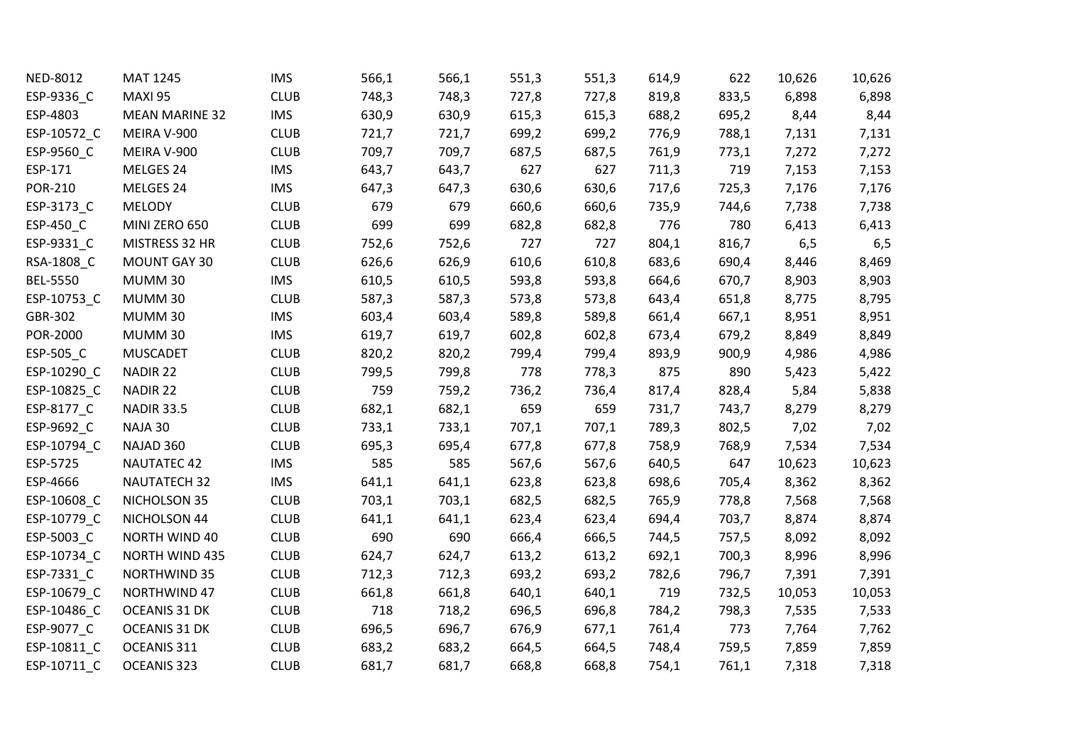| NED-8012        | MAT 1245              | <b>IMS</b>  | 566,1 | 566,1 | 551,3 | 551,3 | 614,9 | 622   | 10,626 | 10,626 |
|-----------------|-----------------------|-------------|-------|-------|-------|-------|-------|-------|--------|--------|
| ESP-9336_C      | MAXI 95               | <b>CLUB</b> | 748,3 | 748,3 | 727,8 | 727,8 | 819,8 | 833,5 | 6,898  | 6,898  |
| ESP-4803        | <b>MEAN MARINE 32</b> | <b>IMS</b>  | 630,9 | 630,9 | 615,3 | 615,3 | 688,2 | 695,2 | 8,44   | 8,44   |
| ESP-10572_C     | MEIRA V-900           | <b>CLUB</b> | 721,7 | 721,7 | 699,2 | 699,2 | 776,9 | 788,1 | 7,131  | 7,131  |
| ESP-9560_C      | MEIRA V-900           | <b>CLUB</b> | 709,7 | 709,7 | 687,5 | 687,5 | 761,9 | 773,1 | 7,272  | 7,272  |
| ESP-171         | MELGES 24             | <b>IMS</b>  | 643,7 | 643,7 | 627   | 627   | 711,3 | 719   | 7,153  | 7,153  |
| <b>POR-210</b>  | MELGES 24             | <b>IMS</b>  | 647,3 | 647,3 | 630,6 | 630,6 | 717,6 | 725,3 | 7,176  | 7,176  |
| ESP-3173_C      | <b>MELODY</b>         | <b>CLUB</b> | 679   | 679   | 660,6 | 660,6 | 735,9 | 744,6 | 7,738  | 7,738  |
| ESP-450_C       | MINI ZERO 650         | <b>CLUB</b> | 699   | 699   | 682,8 | 682,8 | 776   | 780   | 6,413  | 6,413  |
| ESP-9331_C      | MISTRESS 32 HR        | <b>CLUB</b> | 752,6 | 752,6 | 727   | 727   | 804,1 | 816,7 | 6,5    | 6,5    |
| RSA-1808_C      | MOUNT GAY 30          | <b>CLUB</b> | 626,6 | 626,9 | 610,6 | 610,8 | 683,6 | 690,4 | 8,446  | 8,469  |
| <b>BEL-5550</b> | MUMM 30               | <b>IMS</b>  | 610,5 | 610,5 | 593,8 | 593,8 | 664,6 | 670,7 | 8,903  | 8,903  |
| ESP-10753_C     | MUMM 30               | <b>CLUB</b> | 587,3 | 587,3 | 573,8 | 573,8 | 643,4 | 651,8 | 8,775  | 8,795  |
| GBR-302         | MUMM 30               | <b>IMS</b>  | 603,4 | 603,4 | 589,8 | 589,8 | 661,4 | 667,1 | 8,951  | 8,951  |
| POR-2000        | MUMM 30               | <b>IMS</b>  | 619,7 | 619,7 | 602,8 | 602,8 | 673,4 | 679,2 | 8,849  | 8,849  |
| ESP-505_C       | <b>MUSCADET</b>       | <b>CLUB</b> | 820,2 | 820,2 | 799,4 | 799,4 | 893,9 | 900,9 | 4,986  | 4,986  |
| ESP-10290_C     | NADIR 22              | <b>CLUB</b> | 799,5 | 799,8 | 778   | 778,3 | 875   | 890   | 5,423  | 5,422  |
| ESP-10825_C     | NADIR 22              | <b>CLUB</b> | 759   | 759,2 | 736,2 | 736,4 | 817,4 | 828,4 | 5,84   | 5,838  |
| ESP-8177_C      | <b>NADIR 33.5</b>     | <b>CLUB</b> | 682,1 | 682,1 | 659   | 659   | 731,7 | 743,7 | 8,279  | 8,279  |
| ESP-9692_C      | NAJA 30               | <b>CLUB</b> | 733,1 | 733,1 | 707,1 | 707,1 | 789,3 | 802,5 | 7,02   | 7,02   |
| ESP-10794_C     | NAJAD 360             | <b>CLUB</b> | 695,3 | 695,4 | 677,8 | 677,8 | 758,9 | 768,9 | 7,534  | 7,534  |
| ESP-5725        | <b>NAUTATEC 42</b>    | <b>IMS</b>  | 585   | 585   | 567,6 | 567,6 | 640,5 | 647   | 10,623 | 10,623 |
| ESP-4666        | <b>NAUTATECH 32</b>   | <b>IMS</b>  | 641,1 | 641,1 | 623,8 | 623,8 | 698,6 | 705,4 | 8,362  | 8,362  |
| ESP-10608_C     | NICHOLSON 35          | <b>CLUB</b> | 703,1 | 703,1 | 682,5 | 682,5 | 765,9 | 778,8 | 7,568  | 7,568  |
| ESP-10779_C     | NICHOLSON 44          | <b>CLUB</b> | 641,1 | 641,1 | 623,4 | 623,4 | 694,4 | 703,7 | 8,874  | 8,874  |
| ESP-5003_C      | NORTH WIND 40         | <b>CLUB</b> | 690   | 690   | 666,4 | 666,5 | 744,5 | 757,5 | 8,092  | 8,092  |
| ESP-10734_C     | NORTH WIND 435        | <b>CLUB</b> | 624,7 | 624,7 | 613,2 | 613,2 | 692,1 | 700,3 | 8,996  | 8,996  |
| ESP-7331_C      | <b>NORTHWIND 35</b>   | <b>CLUB</b> | 712,3 | 712,3 | 693,2 | 693,2 | 782,6 | 796,7 | 7,391  | 7,391  |
| ESP-10679_C     | NORTHWIND 47          | <b>CLUB</b> | 661,8 | 661,8 | 640,1 | 640,1 | 719   | 732,5 | 10,053 | 10,053 |
| ESP-10486_C     | OCEANIS 31 DK         | <b>CLUB</b> | 718   | 718,2 | 696,5 | 696,8 | 784,2 | 798,3 | 7,535  | 7,533  |
| ESP-9077_C      | OCEANIS 31 DK         | <b>CLUB</b> | 696,5 | 696,7 | 676,9 | 677,1 | 761,4 | 773   | 7,764  | 7,762  |
| ESP-10811_C     | OCEANIS 311           | <b>CLUB</b> | 683,2 | 683,2 | 664,5 | 664,5 | 748,4 | 759,5 | 7,859  | 7,859  |
| ESP-10711 C     | OCEANIS 323           | <b>CLUB</b> | 681,7 | 681,7 | 668,8 | 668,8 | 754,1 | 761,1 | 7,318  | 7,318  |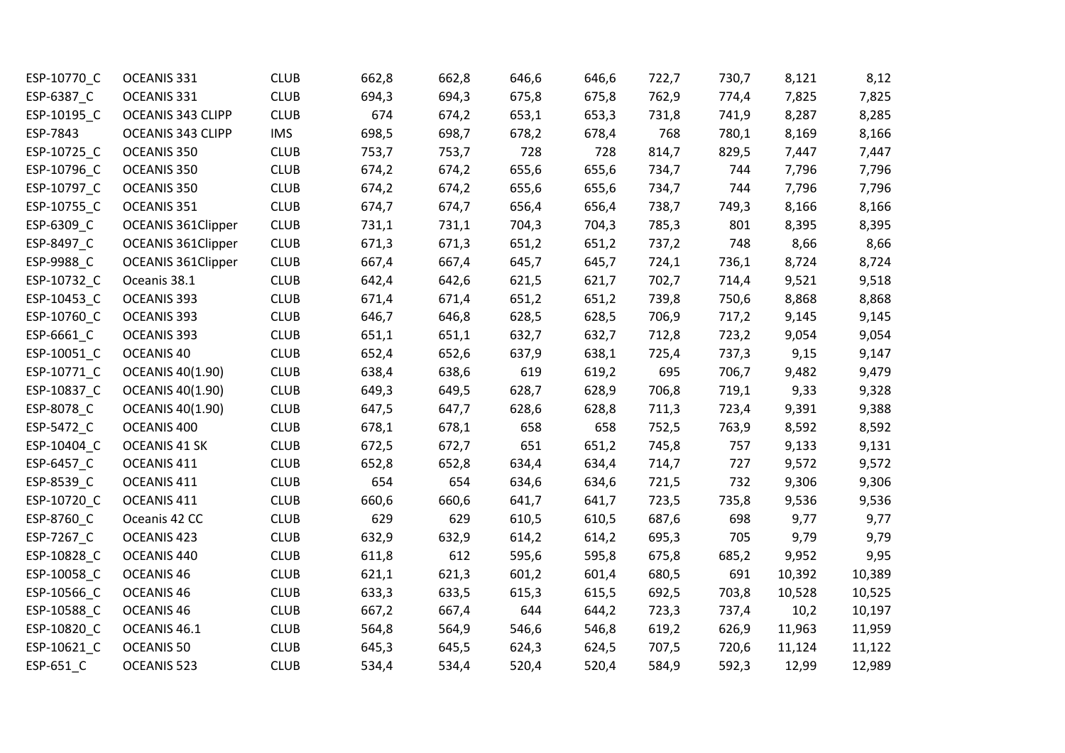| ESP-10770_C | OCEANIS 331               | <b>CLUB</b> | 662,8 | 662,8 | 646,6 | 646,6 | 722,7 | 730,7 | 8,121  | 8,12   |
|-------------|---------------------------|-------------|-------|-------|-------|-------|-------|-------|--------|--------|
| ESP-6387_C  | OCEANIS 331               | <b>CLUB</b> | 694,3 | 694,3 | 675,8 | 675,8 | 762,9 | 774,4 | 7,825  | 7,825  |
| ESP-10195 C | OCEANIS 343 CLIPP         | <b>CLUB</b> | 674   | 674,2 | 653,1 | 653,3 | 731,8 | 741,9 | 8,287  | 8,285  |
| ESP-7843    | OCEANIS 343 CLIPP         | <b>IMS</b>  | 698,5 | 698,7 | 678,2 | 678,4 | 768   | 780,1 | 8,169  | 8,166  |
| ESP-10725_C | OCEANIS 350               | <b>CLUB</b> | 753,7 | 753,7 | 728   | 728   | 814,7 | 829,5 | 7,447  | 7,447  |
| ESP-10796_C | OCEANIS 350               | <b>CLUB</b> | 674,2 | 674,2 | 655,6 | 655,6 | 734,7 | 744   | 7,796  | 7,796  |
| ESP-10797_C | OCEANIS 350               | <b>CLUB</b> | 674,2 | 674,2 | 655,6 | 655,6 | 734,7 | 744   | 7,796  | 7,796  |
| ESP-10755_C | OCEANIS 351               | <b>CLUB</b> | 674,7 | 674,7 | 656,4 | 656,4 | 738,7 | 749,3 | 8,166  | 8,166  |
| ESP-6309_C  | <b>OCEANIS 361Clipper</b> | <b>CLUB</b> | 731,1 | 731,1 | 704,3 | 704,3 | 785,3 | 801   | 8,395  | 8,395  |
| ESP-8497_C  | OCEANIS 361Clipper        | <b>CLUB</b> | 671,3 | 671,3 | 651,2 | 651,2 | 737,2 | 748   | 8,66   | 8,66   |
| ESP-9988_C  | <b>OCEANIS 361Clipper</b> | <b>CLUB</b> | 667,4 | 667,4 | 645,7 | 645,7 | 724,1 | 736,1 | 8,724  | 8,724  |
| ESP-10732 C | Oceanis 38.1              | <b>CLUB</b> | 642,4 | 642,6 | 621,5 | 621,7 | 702,7 | 714,4 | 9,521  | 9,518  |
| ESP-10453_C | OCEANIS 393               | <b>CLUB</b> | 671,4 | 671,4 | 651,2 | 651,2 | 739,8 | 750,6 | 8,868  | 8,868  |
| ESP-10760_C | OCEANIS 393               | <b>CLUB</b> | 646,7 | 646,8 | 628,5 | 628,5 | 706,9 | 717,2 | 9,145  | 9,145  |
| ESP-6661_C  | OCEANIS 393               | <b>CLUB</b> | 651,1 | 651,1 | 632,7 | 632,7 | 712,8 | 723,2 | 9,054  | 9,054  |
| ESP-10051_C | OCEANIS 40                | <b>CLUB</b> | 652,4 | 652,6 | 637,9 | 638,1 | 725,4 | 737,3 | 9,15   | 9,147  |
| ESP-10771_C | <b>OCEANIS 40(1.90)</b>   | <b>CLUB</b> | 638,4 | 638,6 | 619   | 619,2 | 695   | 706,7 | 9,482  | 9,479  |
| ESP-10837_C | <b>OCEANIS 40(1.90)</b>   | <b>CLUB</b> | 649,3 | 649,5 | 628,7 | 628,9 | 706,8 | 719,1 | 9,33   | 9,328  |
| ESP-8078 C  | <b>OCEANIS 40(1.90)</b>   | <b>CLUB</b> | 647,5 | 647,7 | 628,6 | 628,8 | 711,3 | 723,4 | 9,391  | 9,388  |
| ESP-5472_C  | OCEANIS 400               | <b>CLUB</b> | 678,1 | 678,1 | 658   | 658   | 752,5 | 763,9 | 8,592  | 8,592  |
| ESP-10404_C | OCEANIS 41 SK             | <b>CLUB</b> | 672,5 | 672,7 | 651   | 651,2 | 745,8 | 757   | 9,133  | 9,131  |
| ESP-6457_C  | OCEANIS 411               | <b>CLUB</b> | 652,8 | 652,8 | 634,4 | 634,4 | 714,7 | 727   | 9,572  | 9,572  |
| ESP-8539_C  | OCEANIS 411               | <b>CLUB</b> | 654   | 654   | 634,6 | 634,6 | 721,5 | 732   | 9,306  | 9,306  |
| ESP-10720_C | OCEANIS 411               | <b>CLUB</b> | 660,6 | 660,6 | 641,7 | 641,7 | 723,5 | 735,8 | 9,536  | 9,536  |
| ESP-8760_C  | Oceanis 42 CC             | <b>CLUB</b> | 629   | 629   | 610,5 | 610,5 | 687,6 | 698   | 9,77   | 9,77   |
| ESP-7267_C  | OCEANIS 423               | <b>CLUB</b> | 632,9 | 632,9 | 614,2 | 614,2 | 695,3 | 705   | 9,79   | 9,79   |
| ESP-10828_C | OCEANIS 440               | <b>CLUB</b> | 611,8 | 612   | 595,6 | 595,8 | 675,8 | 685,2 | 9,952  | 9,95   |
| ESP-10058_C | OCEANIS <sub>46</sub>     | <b>CLUB</b> | 621,1 | 621,3 | 601,2 | 601,4 | 680,5 | 691   | 10,392 | 10,389 |
| ESP-10566_C | OCEANIS <sub>46</sub>     | <b>CLUB</b> | 633,3 | 633,5 | 615,3 | 615,5 | 692,5 | 703,8 | 10,528 | 10,525 |
| ESP-10588 C | OCEANIS <sub>46</sub>     | <b>CLUB</b> | 667,2 | 667,4 | 644   | 644,2 | 723,3 | 737,4 | 10,2   | 10,197 |
| ESP-10820_C | OCEANIS 46.1              | <b>CLUB</b> | 564,8 | 564,9 | 546,6 | 546,8 | 619,2 | 626,9 | 11,963 | 11,959 |
| ESP-10621_C | OCEANIS 50                | <b>CLUB</b> | 645,3 | 645,5 | 624,3 | 624,5 | 707,5 | 720,6 | 11,124 | 11,122 |
| ESP-651 C   | OCEANIS 523               | <b>CLUB</b> | 534,4 | 534,4 | 520,4 | 520,4 | 584,9 | 592,3 | 12,99  | 12,989 |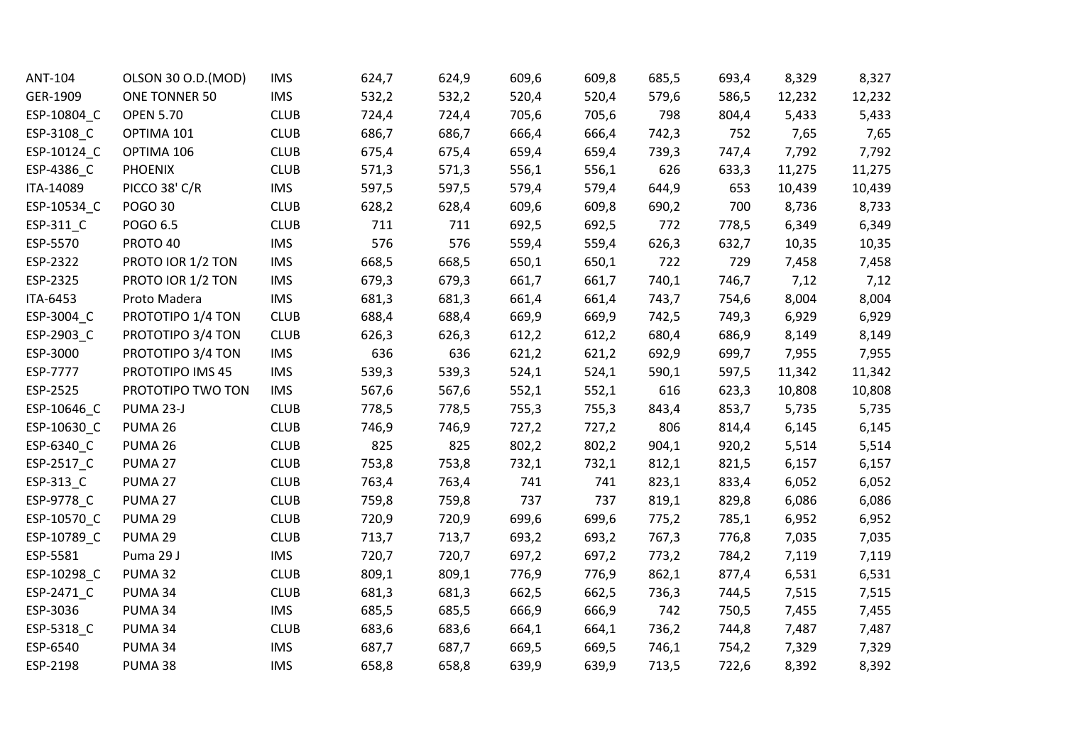| ANT-104     | OLSON 30 O.D. (MOD) | <b>IMS</b>  | 624,7 | 624,9 | 609,6 | 609,8 | 685,5 | 693,4 | 8,329  | 8,327  |
|-------------|---------------------|-------------|-------|-------|-------|-------|-------|-------|--------|--------|
| GER-1909    | ONE TONNER 50       | <b>IMS</b>  | 532,2 | 532,2 | 520,4 | 520,4 | 579,6 | 586,5 | 12,232 | 12,232 |
| ESP-10804 C | <b>OPEN 5.70</b>    | <b>CLUB</b> | 724,4 | 724,4 | 705,6 | 705,6 | 798   | 804,4 | 5,433  | 5,433  |
| ESP-3108_C  | OPTIMA 101          | <b>CLUB</b> | 686,7 | 686,7 | 666,4 | 666,4 | 742,3 | 752   | 7,65   | 7,65   |
| ESP-10124_C | OPTIMA 106          | <b>CLUB</b> | 675,4 | 675,4 | 659,4 | 659,4 | 739,3 | 747,4 | 7,792  | 7,792  |
| ESP-4386_C  | <b>PHOENIX</b>      | <b>CLUB</b> | 571,3 | 571,3 | 556,1 | 556,1 | 626   | 633,3 | 11,275 | 11,275 |
| ITA-14089   | PICCO 38' C/R       | <b>IMS</b>  | 597,5 | 597,5 | 579,4 | 579,4 | 644,9 | 653   | 10,439 | 10,439 |
| ESP-10534_C | <b>POGO 30</b>      | <b>CLUB</b> | 628,2 | 628,4 | 609,6 | 609,8 | 690,2 | 700   | 8,736  | 8,733  |
| ESP-311_C   | POGO 6.5            | <b>CLUB</b> | 711   | 711   | 692,5 | 692,5 | 772   | 778,5 | 6,349  | 6,349  |
| ESP-5570    | PROTO 40            | <b>IMS</b>  | 576   | 576   | 559,4 | 559,4 | 626,3 | 632,7 | 10,35  | 10,35  |
| ESP-2322    | PROTO IOR 1/2 TON   | <b>IMS</b>  | 668,5 | 668,5 | 650,1 | 650,1 | 722   | 729   | 7,458  | 7,458  |
| ESP-2325    | PROTO IOR 1/2 TON   | <b>IMS</b>  | 679,3 | 679,3 | 661,7 | 661,7 | 740,1 | 746,7 | 7,12   | 7,12   |
| ITA-6453    | Proto Madera        | <b>IMS</b>  | 681,3 | 681,3 | 661,4 | 661,4 | 743,7 | 754,6 | 8,004  | 8,004  |
| ESP-3004_C  | PROTOTIPO 1/4 TON   | <b>CLUB</b> | 688,4 | 688,4 | 669,9 | 669,9 | 742,5 | 749,3 | 6,929  | 6,929  |
| ESP-2903_C  | PROTOTIPO 3/4 TON   | <b>CLUB</b> | 626,3 | 626,3 | 612,2 | 612,2 | 680,4 | 686,9 | 8,149  | 8,149  |
| ESP-3000    | PROTOTIPO 3/4 TON   | <b>IMS</b>  | 636   | 636   | 621,2 | 621,2 | 692,9 | 699,7 | 7,955  | 7,955  |
| ESP-7777    | PROTOTIPO IMS 45    | <b>IMS</b>  | 539,3 | 539,3 | 524,1 | 524,1 | 590,1 | 597,5 | 11,342 | 11,342 |
| ESP-2525    | PROTOTIPO TWO TON   | <b>IMS</b>  | 567,6 | 567,6 | 552,1 | 552,1 | 616   | 623,3 | 10,808 | 10,808 |
| ESP-10646_C | PUMA 23-J           | <b>CLUB</b> | 778,5 | 778,5 | 755,3 | 755,3 | 843,4 | 853,7 | 5,735  | 5,735  |
| ESP-10630_C | PUMA 26             | <b>CLUB</b> | 746,9 | 746,9 | 727,2 | 727,2 | 806   | 814,4 | 6,145  | 6,145  |
| ESP-6340 C  | PUMA 26             | <b>CLUB</b> | 825   | 825   | 802,2 | 802,2 | 904,1 | 920,2 | 5,514  | 5,514  |
| ESP-2517_C  | PUMA 27             | <b>CLUB</b> | 753,8 | 753,8 | 732,1 | 732,1 | 812,1 | 821,5 | 6,157  | 6,157  |
| ESP-313_C   | PUMA 27             | <b>CLUB</b> | 763,4 | 763,4 | 741   | 741   | 823,1 | 833,4 | 6,052  | 6,052  |
| ESP-9778 C  | PUMA 27             | <b>CLUB</b> | 759,8 | 759,8 | 737   | 737   | 819,1 | 829,8 | 6,086  | 6,086  |
| ESP-10570_C | PUMA 29             | <b>CLUB</b> | 720,9 | 720,9 | 699,6 | 699,6 | 775,2 | 785,1 | 6,952  | 6,952  |
| ESP-10789_C | PUMA 29             | <b>CLUB</b> | 713,7 | 713,7 | 693,2 | 693,2 | 767,3 | 776,8 | 7,035  | 7,035  |
| ESP-5581    | Puma 29 J           | <b>IMS</b>  | 720,7 | 720,7 | 697,2 | 697,2 | 773,2 | 784,2 | 7,119  | 7,119  |
| ESP-10298_C | PUMA 32             | <b>CLUB</b> | 809,1 | 809,1 | 776,9 | 776,9 | 862,1 | 877,4 | 6,531  | 6,531  |
| ESP-2471_C  | PUMA 34             | <b>CLUB</b> | 681,3 | 681,3 | 662,5 | 662,5 | 736,3 | 744,5 | 7,515  | 7,515  |
| ESP-3036    | PUMA 34             | <b>IMS</b>  | 685,5 | 685,5 | 666,9 | 666,9 | 742   | 750,5 | 7,455  | 7,455  |
| ESP-5318_C  | PUMA 34             | <b>CLUB</b> | 683,6 | 683,6 | 664,1 | 664,1 | 736,2 | 744,8 | 7,487  | 7,487  |
| ESP-6540    | PUMA 34             | <b>IMS</b>  | 687,7 | 687,7 | 669,5 | 669,5 | 746,1 | 754,2 | 7,329  | 7,329  |
| ESP-2198    | PUMA 38             | <b>IMS</b>  | 658,8 | 658,8 | 639,9 | 639,9 | 713,5 | 722,6 | 8,392  | 8,392  |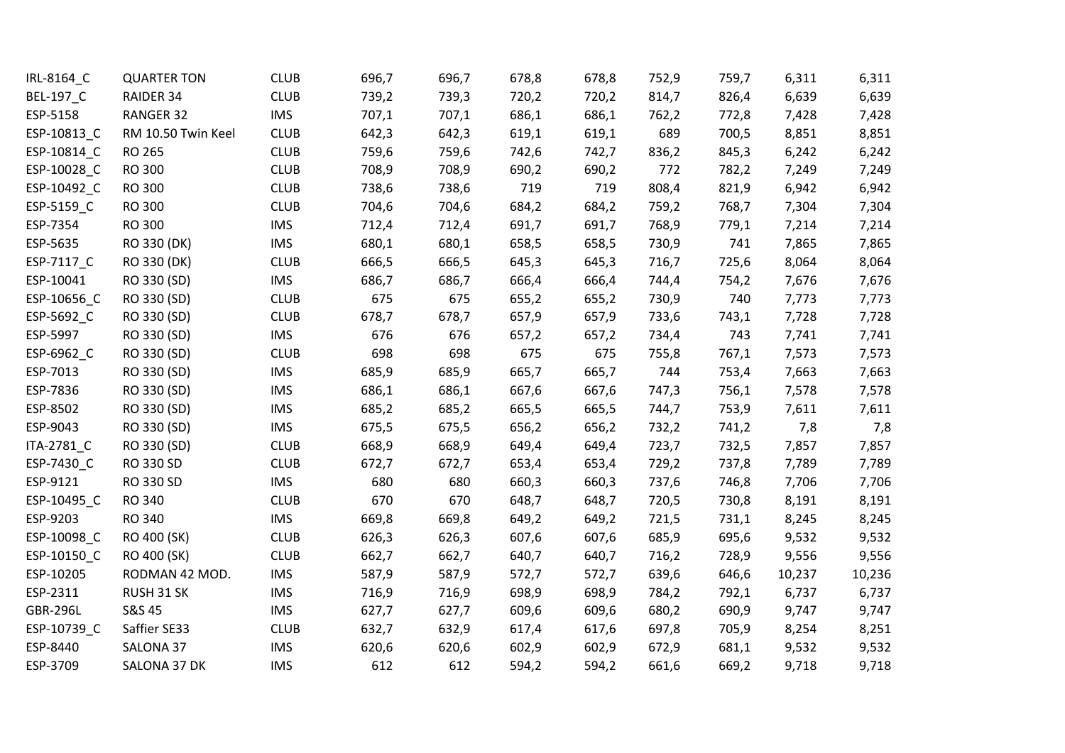| IRL-8164_C       | <b>QUARTER TON</b> | <b>CLUB</b> | 696,7 | 696,7 | 678,8 | 678,8 | 752,9 | 759,7 | 6,311  | 6,311  |
|------------------|--------------------|-------------|-------|-------|-------|-------|-------|-------|--------|--------|
| <b>BEL-197_C</b> | RAIDER 34          | <b>CLUB</b> | 739,2 | 739,3 | 720,2 | 720,2 | 814,7 | 826,4 | 6,639  | 6,639  |
| ESP-5158         | RANGER 32          | <b>IMS</b>  | 707,1 | 707,1 | 686,1 | 686,1 | 762,2 | 772,8 | 7,428  | 7,428  |
| ESP-10813_C      | RM 10.50 Twin Keel | <b>CLUB</b> | 642,3 | 642,3 | 619,1 | 619,1 | 689   | 700,5 | 8,851  | 8,851  |
| ESP-10814_C      | RO 265             | <b>CLUB</b> | 759,6 | 759,6 | 742,6 | 742,7 | 836,2 | 845,3 | 6,242  | 6,242  |
| ESP-10028 C      | RO 300             | <b>CLUB</b> | 708,9 | 708,9 | 690,2 | 690,2 | 772   | 782,2 | 7,249  | 7,249  |
| ESP-10492_C      | RO 300             | <b>CLUB</b> | 738,6 | 738,6 | 719   | 719   | 808,4 | 821,9 | 6,942  | 6,942  |
| ESP-5159_C       | RO 300             | <b>CLUB</b> | 704,6 | 704,6 | 684,2 | 684,2 | 759,2 | 768,7 | 7,304  | 7,304  |
| ESP-7354         | RO 300             | <b>IMS</b>  | 712,4 | 712,4 | 691,7 | 691,7 | 768,9 | 779,1 | 7,214  | 7,214  |
| ESP-5635         | RO 330 (DK)        | <b>IMS</b>  | 680,1 | 680,1 | 658,5 | 658,5 | 730,9 | 741   | 7,865  | 7,865  |
| ESP-7117 C       | RO 330 (DK)        | <b>CLUB</b> | 666,5 | 666,5 | 645,3 | 645,3 | 716,7 | 725,6 | 8,064  | 8,064  |
| ESP-10041        | RO 330 (SD)        | <b>IMS</b>  | 686,7 | 686,7 | 666,4 | 666,4 | 744,4 | 754,2 | 7,676  | 7,676  |
| ESP-10656_C      | RO 330 (SD)        | <b>CLUB</b> | 675   | 675   | 655,2 | 655,2 | 730,9 | 740   | 7,773  | 7,773  |
| ESP-5692_C       | RO 330 (SD)        | <b>CLUB</b> | 678,7 | 678,7 | 657,9 | 657,9 | 733,6 | 743,1 | 7,728  | 7,728  |
| ESP-5997         | RO 330 (SD)        | <b>IMS</b>  | 676   | 676   | 657,2 | 657,2 | 734,4 | 743   | 7,741  | 7,741  |
| ESP-6962_C       | RO 330 (SD)        | <b>CLUB</b> | 698   | 698   | 675   | 675   | 755,8 | 767,1 | 7,573  | 7,573  |
| ESP-7013         | RO 330 (SD)        | <b>IMS</b>  | 685,9 | 685,9 | 665,7 | 665,7 | 744   | 753,4 | 7,663  | 7,663  |
| ESP-7836         | RO 330 (SD)        | <b>IMS</b>  | 686,1 | 686,1 | 667,6 | 667,6 | 747,3 | 756,1 | 7,578  | 7,578  |
| ESP-8502         | RO 330 (SD)        | <b>IMS</b>  | 685,2 | 685,2 | 665,5 | 665,5 | 744,7 | 753,9 | 7,611  | 7,611  |
| ESP-9043         | RO 330 (SD)        | <b>IMS</b>  | 675,5 | 675,5 | 656,2 | 656,2 | 732,2 | 741,2 | 7,8    | 7,8    |
| ITA-2781_C       | RO 330 (SD)        | <b>CLUB</b> | 668,9 | 668,9 | 649,4 | 649,4 | 723,7 | 732,5 | 7,857  | 7,857  |
| ESP-7430_C       | RO 330 SD          | <b>CLUB</b> | 672,7 | 672,7 | 653,4 | 653,4 | 729,2 | 737,8 | 7,789  | 7,789  |
| ESP-9121         | RO 330 SD          | <b>IMS</b>  | 680   | 680   | 660,3 | 660,3 | 737,6 | 746,8 | 7,706  | 7,706  |
| ESP-10495_C      | RO 340             | <b>CLUB</b> | 670   | 670   | 648,7 | 648,7 | 720,5 | 730,8 | 8,191  | 8,191  |
| ESP-9203         | RO 340             | <b>IMS</b>  | 669,8 | 669,8 | 649,2 | 649,2 | 721,5 | 731,1 | 8,245  | 8,245  |
| ESP-10098 C      | RO 400 (SK)        | <b>CLUB</b> | 626,3 | 626,3 | 607,6 | 607,6 | 685,9 | 695,6 | 9,532  | 9,532  |
| ESP-10150_C      | RO 400 (SK)        | <b>CLUB</b> | 662,7 | 662,7 | 640,7 | 640,7 | 716,2 | 728,9 | 9,556  | 9,556  |
| ESP-10205        | RODMAN 42 MOD.     | <b>IMS</b>  | 587,9 | 587,9 | 572,7 | 572,7 | 639,6 | 646,6 | 10,237 | 10,236 |
| ESP-2311         | RUSH 31 SK         | <b>IMS</b>  | 716,9 | 716,9 | 698,9 | 698,9 | 784,2 | 792,1 | 6,737  | 6,737  |
| <b>GBR-296L</b>  | S&S 45             | <b>IMS</b>  | 627,7 | 627,7 | 609,6 | 609,6 | 680,2 | 690,9 | 9,747  | 9,747  |
| ESP-10739_C      | Saffier SE33       | <b>CLUB</b> | 632,7 | 632,9 | 617,4 | 617,6 | 697,8 | 705,9 | 8,254  | 8,251  |
| ESP-8440         | SALONA 37          | <b>IMS</b>  | 620,6 | 620,6 | 602,9 | 602,9 | 672,9 | 681,1 | 9,532  | 9,532  |
| ESP-3709         | SALONA 37 DK       | <b>IMS</b>  | 612   | 612   | 594,2 | 594,2 | 661,6 | 669,2 | 9,718  | 9,718  |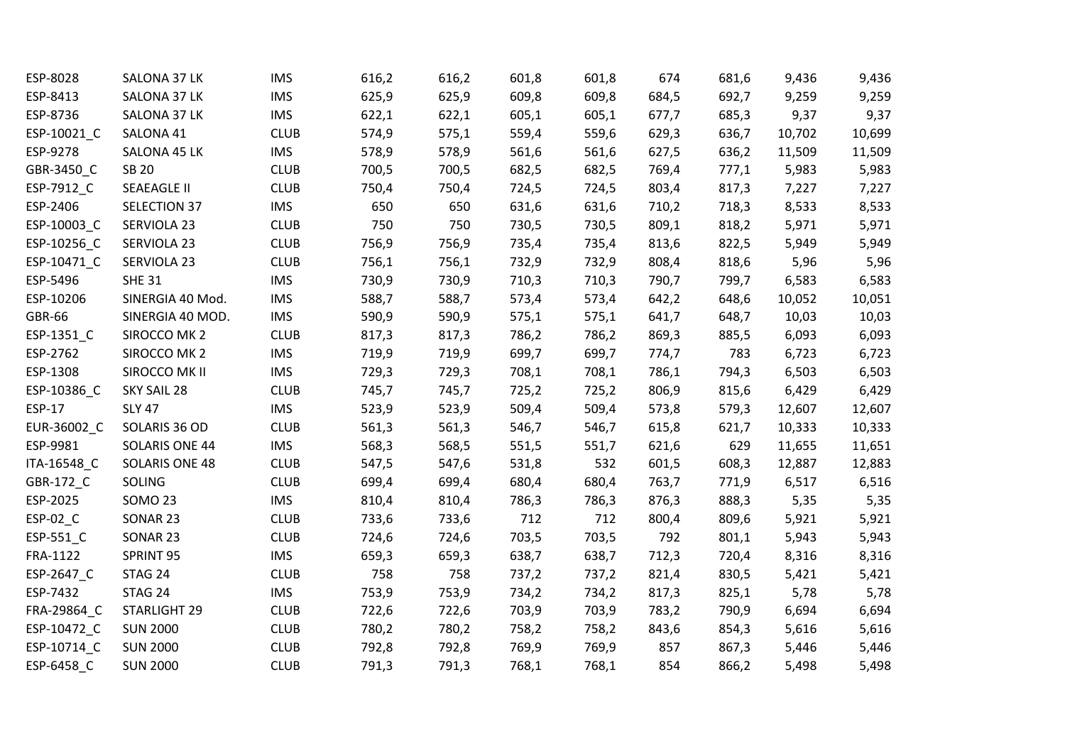| ESP-8028      | SALONA 37 LK       | <b>IMS</b>  | 616,2 | 616,2 | 601,8 | 601,8 | 674   | 681,6 | 9,436  | 9,436  |
|---------------|--------------------|-------------|-------|-------|-------|-------|-------|-------|--------|--------|
| ESP-8413      | SALONA 37 LK       | <b>IMS</b>  | 625,9 | 625,9 | 609,8 | 609,8 | 684,5 | 692,7 | 9,259  | 9,259  |
| ESP-8736      | SALONA 37 LK       | <b>IMS</b>  | 622,1 | 622,1 | 605,1 | 605,1 | 677,7 | 685,3 | 9,37   | 9,37   |
| ESP-10021_C   | SALONA 41          | <b>CLUB</b> | 574,9 | 575,1 | 559,4 | 559,6 | 629,3 | 636,7 | 10,702 | 10,699 |
| ESP-9278      | SALONA 45 LK       | <b>IMS</b>  | 578,9 | 578,9 | 561,6 | 561,6 | 627,5 | 636,2 | 11,509 | 11,509 |
| GBR-3450_C    | <b>SB 20</b>       | <b>CLUB</b> | 700,5 | 700,5 | 682,5 | 682,5 | 769,4 | 777,1 | 5,983  | 5,983  |
| ESP-7912_C    | <b>SEAEAGLE II</b> | <b>CLUB</b> | 750,4 | 750,4 | 724,5 | 724,5 | 803,4 | 817,3 | 7,227  | 7,227  |
| ESP-2406      | SELECTION 37       | <b>IMS</b>  | 650   | 650   | 631,6 | 631,6 | 710,2 | 718,3 | 8,533  | 8,533  |
| ESP-10003_C   | SERVIOLA 23        | <b>CLUB</b> | 750   | 750   | 730,5 | 730,5 | 809,1 | 818,2 | 5,971  | 5,971  |
| ESP-10256_C   | SERVIOLA 23        | <b>CLUB</b> | 756,9 | 756,9 | 735,4 | 735,4 | 813,6 | 822,5 | 5,949  | 5,949  |
| ESP-10471_C   | SERVIOLA 23        | <b>CLUB</b> | 756,1 | 756,1 | 732,9 | 732,9 | 808,4 | 818,6 | 5,96   | 5,96   |
| ESP-5496      | <b>SHE 31</b>      | <b>IMS</b>  | 730,9 | 730,9 | 710,3 | 710,3 | 790,7 | 799,7 | 6,583  | 6,583  |
| ESP-10206     | SINERGIA 40 Mod.   | <b>IMS</b>  | 588,7 | 588,7 | 573,4 | 573,4 | 642,2 | 648,6 | 10,052 | 10,051 |
| <b>GBR-66</b> | SINERGIA 40 MOD.   | <b>IMS</b>  | 590,9 | 590,9 | 575,1 | 575,1 | 641,7 | 648,7 | 10,03  | 10,03  |
| ESP-1351_C    | SIROCCO MK 2       | <b>CLUB</b> | 817,3 | 817,3 | 786,2 | 786,2 | 869,3 | 885,5 | 6,093  | 6,093  |
| ESP-2762      | SIROCCO MK 2       | <b>IMS</b>  | 719,9 | 719,9 | 699,7 | 699,7 | 774,7 | 783   | 6,723  | 6,723  |
| ESP-1308      | SIROCCO MK II      | <b>IMS</b>  | 729,3 | 729,3 | 708,1 | 708,1 | 786,1 | 794,3 | 6,503  | 6,503  |
| ESP-10386_C   | SKY SAIL 28        | <b>CLUB</b> | 745,7 | 745,7 | 725,2 | 725,2 | 806,9 | 815,6 | 6,429  | 6,429  |
| ESP-17        | <b>SLY 47</b>      | <b>IMS</b>  | 523,9 | 523,9 | 509,4 | 509,4 | 573,8 | 579,3 | 12,607 | 12,607 |
| EUR-36002 C   | SOLARIS 36 OD      | <b>CLUB</b> | 561,3 | 561,3 | 546,7 | 546,7 | 615,8 | 621,7 | 10,333 | 10,333 |
| ESP-9981      | SOLARIS ONE 44     | <b>IMS</b>  | 568,3 | 568,5 | 551,5 | 551,7 | 621,6 | 629   | 11,655 | 11,651 |
| ITA-16548 C   | SOLARIS ONE 48     | <b>CLUB</b> | 547,5 | 547,6 | 531,8 | 532   | 601,5 | 608,3 | 12,887 | 12,883 |
| GBR-172_C     | SOLING             | <b>CLUB</b> | 699,4 | 699,4 | 680,4 | 680,4 | 763,7 | 771,9 | 6,517  | 6,516  |
| ESP-2025      | <b>SOMO 23</b>     | <b>IMS</b>  | 810,4 | 810,4 | 786,3 | 786,3 | 876,3 | 888,3 | 5,35   | 5,35   |
| ESP-02_C      | SONAR 23           | <b>CLUB</b> | 733,6 | 733,6 | 712   | 712   | 800,4 | 809,6 | 5,921  | 5,921  |
| ESP-551_C     | SONAR 23           | <b>CLUB</b> | 724,6 | 724,6 | 703,5 | 703,5 | 792   | 801,1 | 5,943  | 5,943  |
| FRA-1122      | SPRINT 95          | <b>IMS</b>  | 659,3 | 659,3 | 638,7 | 638,7 | 712,3 | 720,4 | 8,316  | 8,316  |
| ESP-2647_C    | STAG 24            | <b>CLUB</b> | 758   | 758   | 737,2 | 737,2 | 821,4 | 830,5 | 5,421  | 5,421  |
| ESP-7432      | STAG 24            | <b>IMS</b>  | 753,9 | 753,9 | 734,2 | 734,2 | 817,3 | 825,1 | 5,78   | 5,78   |
| FRA-29864_C   | STARLIGHT 29       | <b>CLUB</b> | 722,6 | 722,6 | 703,9 | 703,9 | 783,2 | 790,9 | 6,694  | 6,694  |
| ESP-10472_C   | <b>SUN 2000</b>    | <b>CLUB</b> | 780,2 | 780,2 | 758,2 | 758,2 | 843,6 | 854,3 | 5,616  | 5,616  |
| ESP-10714_C   | <b>SUN 2000</b>    | <b>CLUB</b> | 792,8 | 792,8 | 769,9 | 769,9 | 857   | 867,3 | 5,446  | 5,446  |
| ESP-6458 C    | <b>SUN 2000</b>    | <b>CLUB</b> | 791,3 | 791,3 | 768,1 | 768,1 | 854   | 866,2 | 5,498  | 5,498  |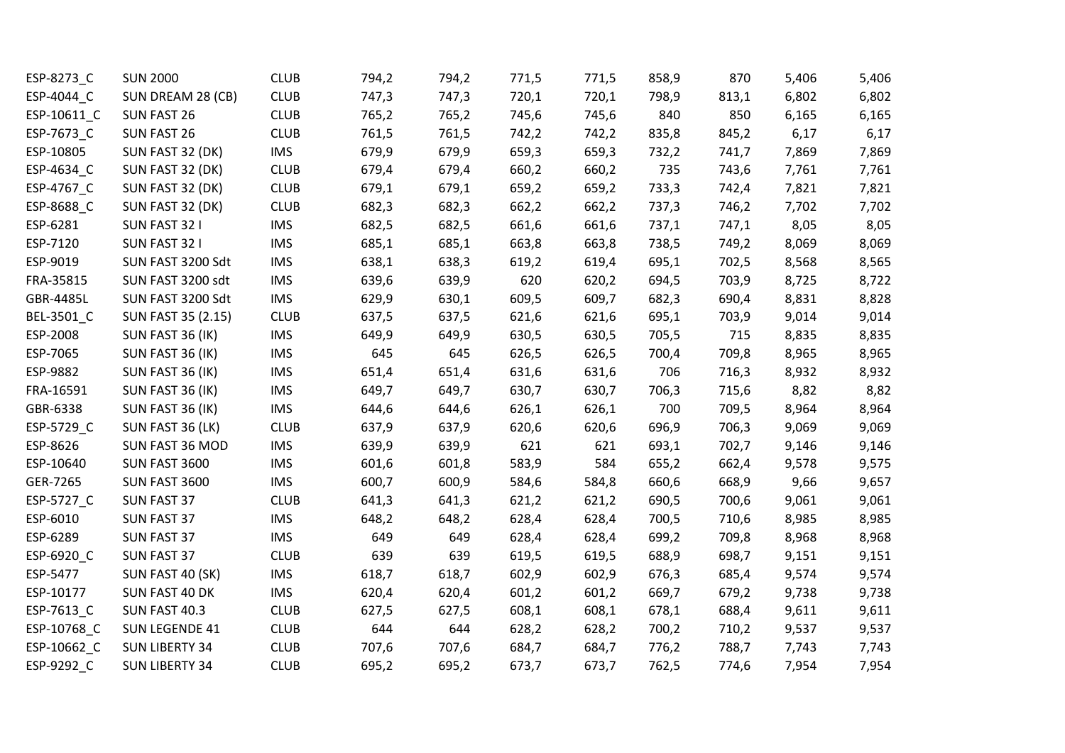| ESP-8273_C  | <b>SUN 2000</b>       | <b>CLUB</b> | 794,2 | 794,2 | 771,5 | 771,5 | 858,9 | 870   | 5,406 | 5,406 |
|-------------|-----------------------|-------------|-------|-------|-------|-------|-------|-------|-------|-------|
| ESP-4044 C  | SUN DREAM 28 (CB)     | <b>CLUB</b> | 747,3 | 747,3 | 720,1 | 720,1 | 798,9 | 813,1 | 6,802 | 6,802 |
| ESP-10611_C | SUN FAST 26           | <b>CLUB</b> | 765,2 | 765,2 | 745,6 | 745,6 | 840   | 850   | 6,165 | 6,165 |
| ESP-7673_C  | SUN FAST 26           | <b>CLUB</b> | 761,5 | 761,5 | 742,2 | 742,2 | 835,8 | 845,2 | 6,17  | 6,17  |
| ESP-10805   | SUN FAST 32 (DK)      | <b>IMS</b>  | 679,9 | 679,9 | 659,3 | 659,3 | 732,2 | 741,7 | 7,869 | 7,869 |
| ESP-4634_C  | SUN FAST 32 (DK)      | <b>CLUB</b> | 679,4 | 679,4 | 660,2 | 660,2 | 735   | 743,6 | 7,761 | 7,761 |
| ESP-4767_C  | SUN FAST 32 (DK)      | <b>CLUB</b> | 679,1 | 679,1 | 659,2 | 659,2 | 733,3 | 742,4 | 7,821 | 7,821 |
| ESP-8688_C  | SUN FAST 32 (DK)      | <b>CLUB</b> | 682,3 | 682,3 | 662,2 | 662,2 | 737,3 | 746,2 | 7,702 | 7,702 |
| ESP-6281    | SUN FAST 32 I         | <b>IMS</b>  | 682,5 | 682,5 | 661,6 | 661,6 | 737,1 | 747,1 | 8,05  | 8,05  |
| ESP-7120    | SUN FAST 32 I         | <b>IMS</b>  | 685,1 | 685,1 | 663,8 | 663,8 | 738,5 | 749,2 | 8,069 | 8,069 |
| ESP-9019    | SUN FAST 3200 Sdt     | <b>IMS</b>  | 638,1 | 638,3 | 619,2 | 619,4 | 695,1 | 702,5 | 8,568 | 8,565 |
| FRA-35815   | SUN FAST 3200 sdt     | <b>IMS</b>  | 639,6 | 639,9 | 620   | 620,2 | 694,5 | 703,9 | 8,725 | 8,722 |
| GBR-4485L   | SUN FAST 3200 Sdt     | <b>IMS</b>  | 629,9 | 630,1 | 609,5 | 609,7 | 682,3 | 690,4 | 8,831 | 8,828 |
| BEL-3501_C  | SUN FAST 35 (2.15)    | <b>CLUB</b> | 637,5 | 637,5 | 621,6 | 621,6 | 695,1 | 703,9 | 9,014 | 9,014 |
| ESP-2008    | SUN FAST 36 (IK)      | <b>IMS</b>  | 649,9 | 649,9 | 630,5 | 630,5 | 705,5 | 715   | 8,835 | 8,835 |
| ESP-7065    | SUN FAST 36 (IK)      | <b>IMS</b>  | 645   | 645   | 626,5 | 626,5 | 700,4 | 709,8 | 8,965 | 8,965 |
| ESP-9882    | SUN FAST 36 (IK)      | <b>IMS</b>  | 651,4 | 651,4 | 631,6 | 631,6 | 706   | 716,3 | 8,932 | 8,932 |
| FRA-16591   | SUN FAST 36 (IK)      | <b>IMS</b>  | 649,7 | 649,7 | 630,7 | 630,7 | 706,3 | 715,6 | 8,82  | 8,82  |
| GBR-6338    | SUN FAST 36 (IK)      | <b>IMS</b>  | 644,6 | 644,6 | 626,1 | 626,1 | 700   | 709,5 | 8,964 | 8,964 |
| ESP-5729_C  | SUN FAST 36 (LK)      | <b>CLUB</b> | 637,9 | 637,9 | 620,6 | 620,6 | 696,9 | 706,3 | 9,069 | 9,069 |
| ESP-8626    | SUN FAST 36 MOD       | <b>IMS</b>  | 639,9 | 639,9 | 621   | 621   | 693,1 | 702,7 | 9,146 | 9,146 |
| ESP-10640   | SUN FAST 3600         | <b>IMS</b>  | 601,6 | 601,8 | 583,9 | 584   | 655,2 | 662,4 | 9,578 | 9,575 |
| GER-7265    | SUN FAST 3600         | <b>IMS</b>  | 600,7 | 600,9 | 584,6 | 584,8 | 660,6 | 668,9 | 9,66  | 9,657 |
| ESP-5727_C  | SUN FAST 37           | <b>CLUB</b> | 641,3 | 641,3 | 621,2 | 621,2 | 690,5 | 700,6 | 9,061 | 9,061 |
| ESP-6010    | SUN FAST 37           | <b>IMS</b>  | 648,2 | 648,2 | 628,4 | 628,4 | 700,5 | 710,6 | 8,985 | 8,985 |
| ESP-6289    | SUN FAST 37           | <b>IMS</b>  | 649   | 649   | 628,4 | 628,4 | 699,2 | 709,8 | 8,968 | 8,968 |
| ESP-6920_C  | <b>SUN FAST 37</b>    | <b>CLUB</b> | 639   | 639   | 619,5 | 619,5 | 688,9 | 698,7 | 9,151 | 9,151 |
| ESP-5477    | SUN FAST 40 (SK)      | <b>IMS</b>  | 618,7 | 618,7 | 602,9 | 602,9 | 676,3 | 685,4 | 9,574 | 9,574 |
| ESP-10177   | SUN FAST 40 DK        | <b>IMS</b>  | 620,4 | 620,4 | 601,2 | 601,2 | 669,7 | 679,2 | 9,738 | 9,738 |
| ESP-7613_C  | SUN FAST 40.3         | <b>CLUB</b> | 627,5 | 627,5 | 608,1 | 608,1 | 678,1 | 688,4 | 9,611 | 9,611 |
| ESP-10768_C | SUN LEGENDE 41        | <b>CLUB</b> | 644   | 644   | 628,2 | 628,2 | 700,2 | 710,2 | 9,537 | 9,537 |
| ESP-10662_C | <b>SUN LIBERTY 34</b> | <b>CLUB</b> | 707,6 | 707,6 | 684,7 | 684,7 | 776,2 | 788,7 | 7,743 | 7,743 |
| ESP-9292 C  | <b>SUN LIBERTY 34</b> | <b>CLUB</b> | 695,2 | 695,2 | 673,7 | 673,7 | 762,5 | 774,6 | 7,954 | 7,954 |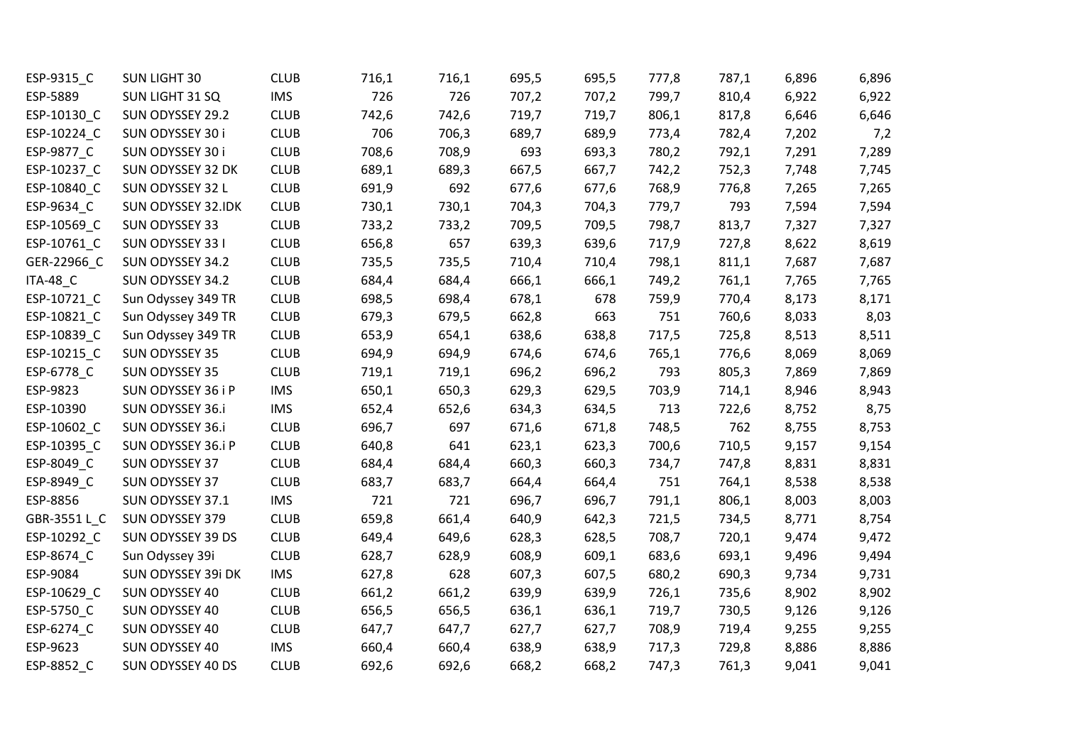| ESP-9315_C            | <b>SUN LIGHT 30</b>       | <b>CLUB</b> | 716,1 | 716,1 | 695,5 | 695,5 | 777,8 | 787,1 | 6,896 | 6,896 |
|-----------------------|---------------------------|-------------|-------|-------|-------|-------|-------|-------|-------|-------|
| ESP-5889              | SUN LIGHT 31 SQ           | <b>IMS</b>  | 726   | 726   | 707,2 | 707,2 | 799,7 | 810,4 | 6,922 | 6,922 |
| ESP-10130_C           | SUN ODYSSEY 29.2          | <b>CLUB</b> | 742,6 | 742,6 | 719,7 | 719,7 | 806,1 | 817,8 | 6,646 | 6,646 |
| ESP-10224_C           | SUN ODYSSEY 30 i          | <b>CLUB</b> | 706   | 706,3 | 689,7 | 689,9 | 773,4 | 782,4 | 7,202 | 7,2   |
| ESP-9877_C            | SUN ODYSSEY 30 i          | <b>CLUB</b> | 708,6 | 708,9 | 693   | 693,3 | 780,2 | 792,1 | 7,291 | 7,289 |
| ESP-10237_C           | SUN ODYSSEY 32 DK         | <b>CLUB</b> | 689,1 | 689,3 | 667,5 | 667,7 | 742,2 | 752,3 | 7,748 | 7,745 |
| ESP-10840_C           | SUN ODYSSEY 32 L          | <b>CLUB</b> | 691,9 | 692   | 677,6 | 677,6 | 768,9 | 776,8 | 7,265 | 7,265 |
| ESP-9634_C            | <b>SUN ODYSSEY 32.IDK</b> | <b>CLUB</b> | 730,1 | 730,1 | 704,3 | 704,3 | 779,7 | 793   | 7,594 | 7,594 |
| ESP-10569_C           | SUN ODYSSEY 33            | <b>CLUB</b> | 733,2 | 733,2 | 709,5 | 709,5 | 798,7 | 813,7 | 7,327 | 7,327 |
| ESP-10761_C           | SUN ODYSSEY 33 I          | <b>CLUB</b> | 656,8 | 657   | 639,3 | 639,6 | 717,9 | 727,8 | 8,622 | 8,619 |
| GER-22966_C           | SUN ODYSSEY 34.2          | <b>CLUB</b> | 735,5 | 735,5 | 710,4 | 710,4 | 798,1 | 811,1 | 7,687 | 7,687 |
| <b>ITA-48_C</b>       | SUN ODYSSEY 34.2          | <b>CLUB</b> | 684,4 | 684,4 | 666,1 | 666,1 | 749,2 | 761,1 | 7,765 | 7,765 |
| ESP-10721_C           | Sun Odyssey 349 TR        | <b>CLUB</b> | 698,5 | 698,4 | 678,1 | 678   | 759,9 | 770,4 | 8,173 | 8,171 |
| ESP-10821_C           | Sun Odyssey 349 TR        | <b>CLUB</b> | 679,3 | 679,5 | 662,8 | 663   | 751   | 760,6 | 8,033 | 8,03  |
| ESP-10839_C           | Sun Odyssey 349 TR        | <b>CLUB</b> | 653,9 | 654,1 | 638,6 | 638,8 | 717,5 | 725,8 | 8,513 | 8,511 |
| ESP-10215 C           | SUN ODYSSEY 35            | <b>CLUB</b> | 694,9 | 694,9 | 674,6 | 674,6 | 765,1 | 776,6 | 8,069 | 8,069 |
| ESP-6778_C            | SUN ODYSSEY 35            | <b>CLUB</b> | 719,1 | 719,1 | 696,2 | 696,2 | 793   | 805,3 | 7,869 | 7,869 |
| ESP-9823              | SUN ODYSSEY 36 i P        | <b>IMS</b>  | 650,1 | 650,3 | 629,3 | 629,5 | 703,9 | 714,1 | 8,946 | 8,943 |
| ESP-10390             | SUN ODYSSEY 36.i          | <b>IMS</b>  | 652,4 | 652,6 | 634,3 | 634,5 | 713   | 722,6 | 8,752 | 8,75  |
| ESP-10602_C           | SUN ODYSSEY 36.i          | <b>CLUB</b> | 696,7 | 697   | 671,6 | 671,8 | 748,5 | 762   | 8,755 | 8,753 |
| ESP-10395_C           | SUN ODYSSEY 36.i P        | <b>CLUB</b> | 640,8 | 641   | 623,1 | 623,3 | 700,6 | 710,5 | 9,157 | 9,154 |
| ESP-8049_C            | SUN ODYSSEY 37            | <b>CLUB</b> | 684,4 | 684,4 | 660,3 | 660,3 | 734,7 | 747,8 | 8,831 | 8,831 |
| ESP-8949_C            | SUN ODYSSEY 37            | <b>CLUB</b> | 683,7 | 683,7 | 664,4 | 664,4 | 751   | 764,1 | 8,538 | 8,538 |
| ESP-8856              | SUN ODYSSEY 37.1          | <b>IMS</b>  | 721   | 721   | 696,7 | 696,7 | 791,1 | 806,1 | 8,003 | 8,003 |
| GBR-3551 L_C          | SUN ODYSSEY 379           | <b>CLUB</b> | 659,8 | 661,4 | 640,9 | 642,3 | 721,5 | 734,5 | 8,771 | 8,754 |
| ESP-10292_C           | SUN ODYSSEY 39 DS         | <b>CLUB</b> | 649,4 | 649,6 | 628,3 | 628,5 | 708,7 | 720,1 | 9,474 | 9,472 |
| ESP-8674_C            | Sun Odyssey 39i           | <b>CLUB</b> | 628,7 | 628,9 | 608,9 | 609,1 | 683,6 | 693,1 | 9,496 | 9,494 |
| ESP-9084              | SUN ODYSSEY 39i DK        | <b>IMS</b>  | 627,8 | 628   | 607,3 | 607,5 | 680,2 | 690,3 | 9,734 | 9,731 |
| ESP-10629_C           | SUN ODYSSEY 40            | <b>CLUB</b> | 661,2 | 661,2 | 639,9 | 639,9 | 726,1 | 735,6 | 8,902 | 8,902 |
| ESP-5750 <sub>C</sub> | SUN ODYSSEY 40            | <b>CLUB</b> | 656,5 | 656,5 | 636,1 | 636,1 | 719,7 | 730,5 | 9,126 | 9,126 |
| ESP-6274_C            | SUN ODYSSEY 40            | <b>CLUB</b> | 647,7 | 647,7 | 627,7 | 627,7 | 708,9 | 719,4 | 9,255 | 9,255 |
| ESP-9623              | SUN ODYSSEY 40            | <b>IMS</b>  | 660,4 | 660,4 | 638,9 | 638,9 | 717,3 | 729,8 | 8,886 | 8,886 |
| ESP-8852 C            | SUN ODYSSEY 40 DS         | <b>CLUB</b> | 692,6 | 692,6 | 668,2 | 668,2 | 747,3 | 761,3 | 9,041 | 9,041 |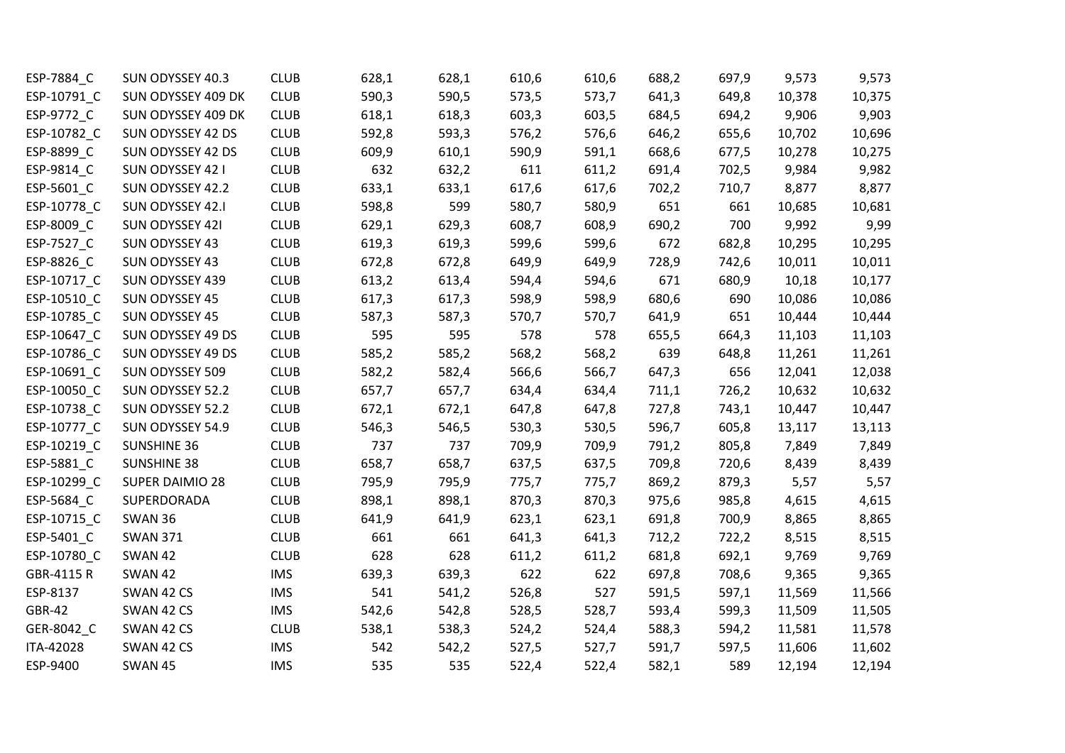| ESP-7884_C    | SUN ODYSSEY 40.3   | <b>CLUB</b> | 628,1 | 628,1 | 610,6 | 610,6 | 688,2 | 697,9 | 9,573  | 9,573  |
|---------------|--------------------|-------------|-------|-------|-------|-------|-------|-------|--------|--------|
| ESP-10791_C   | SUN ODYSSEY 409 DK | <b>CLUB</b> | 590,3 | 590,5 | 573,5 | 573,7 | 641,3 | 649,8 | 10,378 | 10,375 |
| ESP-9772_C    | SUN ODYSSEY 409 DK | <b>CLUB</b> | 618,1 | 618,3 | 603,3 | 603,5 | 684,5 | 694,2 | 9,906  | 9,903  |
| ESP-10782_C   | SUN ODYSSEY 42 DS  | <b>CLUB</b> | 592,8 | 593,3 | 576,2 | 576,6 | 646,2 | 655,6 | 10,702 | 10,696 |
| ESP-8899_C    | SUN ODYSSEY 42 DS  | <b>CLUB</b> | 609,9 | 610,1 | 590,9 | 591,1 | 668,6 | 677,5 | 10,278 | 10,275 |
| ESP-9814_C    | SUN ODYSSEY 42 I   | <b>CLUB</b> | 632   | 632,2 | 611   | 611,2 | 691,4 | 702,5 | 9,984  | 9,982  |
| ESP-5601_C    | SUN ODYSSEY 42.2   | <b>CLUB</b> | 633,1 | 633,1 | 617,6 | 617,6 | 702,2 | 710,7 | 8,877  | 8,877  |
| ESP-10778_C   | SUN ODYSSEY 42.I   | <b>CLUB</b> | 598,8 | 599   | 580,7 | 580,9 | 651   | 661   | 10,685 | 10,681 |
| ESP-8009_C    | SUN ODYSSEY 421    | <b>CLUB</b> | 629,1 | 629,3 | 608,7 | 608,9 | 690,2 | 700   | 9,992  | 9,99   |
| ESP-7527_C    | SUN ODYSSEY 43     | <b>CLUB</b> | 619,3 | 619,3 | 599,6 | 599,6 | 672   | 682,8 | 10,295 | 10,295 |
| ESP-8826_C    | SUN ODYSSEY 43     | <b>CLUB</b> | 672,8 | 672,8 | 649,9 | 649,9 | 728,9 | 742,6 | 10,011 | 10,011 |
| ESP-10717_C   | SUN ODYSSEY 439    | <b>CLUB</b> | 613,2 | 613,4 | 594,4 | 594,6 | 671   | 680,9 | 10,18  | 10,177 |
| ESP-10510_C   | SUN ODYSSEY 45     | <b>CLUB</b> | 617,3 | 617,3 | 598,9 | 598,9 | 680,6 | 690   | 10,086 | 10,086 |
| ESP-10785_C   | SUN ODYSSEY 45     | <b>CLUB</b> | 587,3 | 587,3 | 570,7 | 570,7 | 641,9 | 651   | 10,444 | 10,444 |
| ESP-10647_C   | SUN ODYSSEY 49 DS  | <b>CLUB</b> | 595   | 595   | 578   | 578   | 655,5 | 664,3 | 11,103 | 11,103 |
| ESP-10786_C   | SUN ODYSSEY 49 DS  | <b>CLUB</b> | 585,2 | 585,2 | 568,2 | 568,2 | 639   | 648,8 | 11,261 | 11,261 |
| ESP-10691_C   | SUN ODYSSEY 509    | <b>CLUB</b> | 582,2 | 582,4 | 566,6 | 566,7 | 647,3 | 656   | 12,041 | 12,038 |
| ESP-10050_C   | SUN ODYSSEY 52.2   | <b>CLUB</b> | 657,7 | 657,7 | 634,4 | 634,4 | 711,1 | 726,2 | 10,632 | 10,632 |
| ESP-10738_C   | SUN ODYSSEY 52.2   | <b>CLUB</b> | 672,1 | 672,1 | 647,8 | 647,8 | 727,8 | 743,1 | 10,447 | 10,447 |
| ESP-10777 C   | SUN ODYSSEY 54.9   | <b>CLUB</b> | 546,3 | 546,5 | 530,3 | 530,5 | 596,7 | 605,8 | 13,117 | 13,113 |
| ESP-10219_C   | <b>SUNSHINE 36</b> | <b>CLUB</b> | 737   | 737   | 709,9 | 709,9 | 791,2 | 805,8 | 7,849  | 7,849  |
| ESP-5881_C    | <b>SUNSHINE 38</b> | <b>CLUB</b> | 658,7 | 658,7 | 637,5 | 637,5 | 709,8 | 720,6 | 8,439  | 8,439  |
| ESP-10299_C   | SUPER DAIMIO 28    | <b>CLUB</b> | 795,9 | 795,9 | 775,7 | 775,7 | 869,2 | 879,3 | 5,57   | 5,57   |
| ESP-5684_C    | SUPERDORADA        | <b>CLUB</b> | 898,1 | 898,1 | 870,3 | 870,3 | 975,6 | 985,8 | 4,615  | 4,615  |
| ESP-10715_C   | SWAN 36            | <b>CLUB</b> | 641,9 | 641,9 | 623,1 | 623,1 | 691,8 | 700,9 | 8,865  | 8,865  |
| ESP-5401_C    | <b>SWAN 371</b>    | <b>CLUB</b> | 661   | 661   | 641,3 | 641,3 | 712,2 | 722,2 | 8,515  | 8,515  |
| ESP-10780_C   | SWAN 42            | <b>CLUB</b> | 628   | 628   | 611,2 | 611,2 | 681,8 | 692,1 | 9,769  | 9,769  |
| GBR-4115 R    | <b>SWAN 42</b>     | <b>IMS</b>  | 639,3 | 639,3 | 622   | 622   | 697,8 | 708,6 | 9,365  | 9,365  |
| ESP-8137      | SWAN 42 CS         | <b>IMS</b>  | 541   | 541,2 | 526,8 | 527   | 591,5 | 597,1 | 11,569 | 11,566 |
| <b>GBR-42</b> | SWAN 42 CS         | <b>IMS</b>  | 542,6 | 542,8 | 528,5 | 528,7 | 593,4 | 599,3 | 11,509 | 11,505 |
| GER-8042_C    | SWAN 42 CS         | <b>CLUB</b> | 538,1 | 538,3 | 524,2 | 524,4 | 588,3 | 594,2 | 11,581 | 11,578 |
| ITA-42028     | SWAN 42 CS         | <b>IMS</b>  | 542   | 542,2 | 527,5 | 527,7 | 591,7 | 597,5 | 11,606 | 11,602 |
| ESP-9400      | <b>SWAN 45</b>     | <b>IMS</b>  | 535   | 535   | 522,4 | 522,4 | 582,1 | 589   | 12,194 | 12,194 |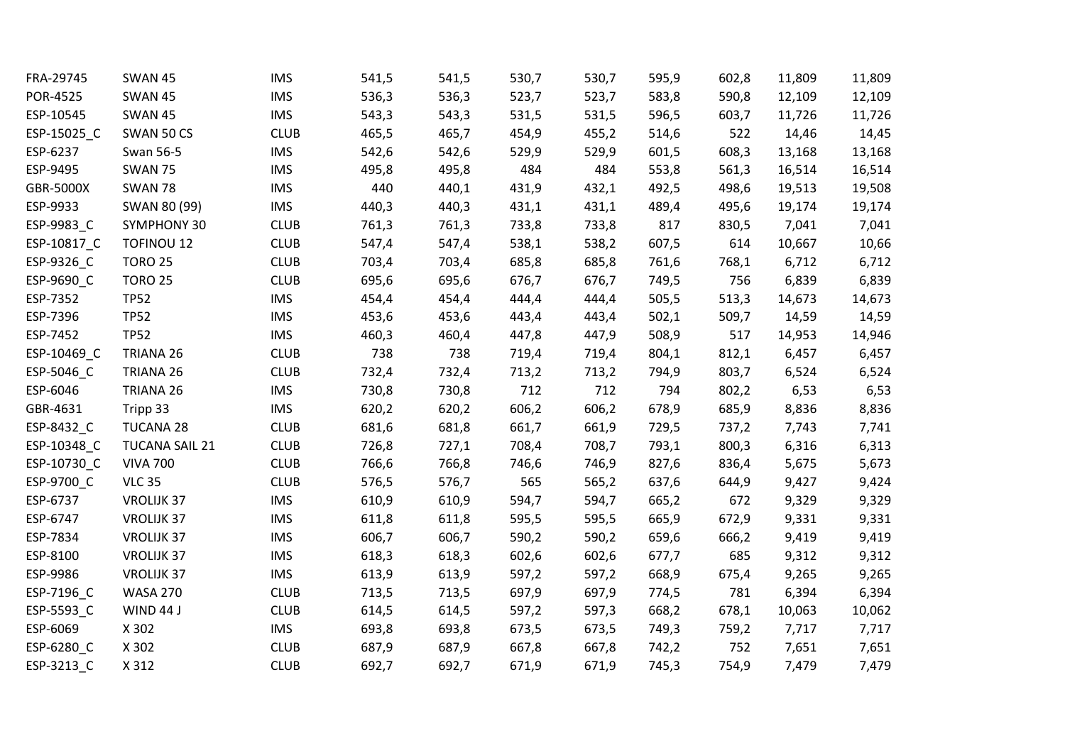| FRA-29745   | <b>SWAN 45</b>        | <b>IMS</b>  | 541,5 | 541,5 | 530,7 | 530,7 | 595,9 | 602,8 | 11,809 | 11,809 |
|-------------|-----------------------|-------------|-------|-------|-------|-------|-------|-------|--------|--------|
| POR-4525    | <b>SWAN 45</b>        | <b>IMS</b>  | 536,3 | 536,3 | 523,7 | 523,7 | 583,8 | 590,8 | 12,109 | 12,109 |
| ESP-10545   | <b>SWAN 45</b>        | <b>IMS</b>  | 543,3 | 543,3 | 531,5 | 531,5 | 596,5 | 603,7 | 11,726 | 11,726 |
| ESP-15025_C | SWAN 50 CS            | <b>CLUB</b> | 465,5 | 465,7 | 454,9 | 455,2 | 514,6 | 522   | 14,46  | 14,45  |
| ESP-6237    | Swan 56-5             | <b>IMS</b>  | 542,6 | 542,6 | 529,9 | 529,9 | 601,5 | 608,3 | 13,168 | 13,168 |
| ESP-9495    | <b>SWAN 75</b>        | <b>IMS</b>  | 495,8 | 495,8 | 484   | 484   | 553,8 | 561,3 | 16,514 | 16,514 |
| GBR-5000X   | <b>SWAN 78</b>        | <b>IMS</b>  | 440   | 440,1 | 431,9 | 432,1 | 492,5 | 498,6 | 19,513 | 19,508 |
| ESP-9933    | SWAN 80 (99)          | <b>IMS</b>  | 440,3 | 440,3 | 431,1 | 431,1 | 489,4 | 495,6 | 19,174 | 19,174 |
| ESP-9983_C  | SYMPHONY 30           | <b>CLUB</b> | 761,3 | 761,3 | 733,8 | 733,8 | 817   | 830,5 | 7,041  | 7,041  |
| ESP-10817_C | <b>TOFINOU 12</b>     | <b>CLUB</b> | 547,4 | 547,4 | 538,1 | 538,2 | 607,5 | 614   | 10,667 | 10,66  |
| ESP-9326_C  | <b>TORO 25</b>        | <b>CLUB</b> | 703,4 | 703,4 | 685,8 | 685,8 | 761,6 | 768,1 | 6,712  | 6,712  |
| ESP-9690_C  | <b>TORO 25</b>        | <b>CLUB</b> | 695,6 | 695,6 | 676,7 | 676,7 | 749,5 | 756   | 6,839  | 6,839  |
| ESP-7352    | <b>TP52</b>           | <b>IMS</b>  | 454,4 | 454,4 | 444,4 | 444,4 | 505,5 | 513,3 | 14,673 | 14,673 |
| ESP-7396    | <b>TP52</b>           | <b>IMS</b>  | 453,6 | 453,6 | 443,4 | 443,4 | 502,1 | 509,7 | 14,59  | 14,59  |
| ESP-7452    | <b>TP52</b>           | <b>IMS</b>  | 460,3 | 460,4 | 447,8 | 447,9 | 508,9 | 517   | 14,953 | 14,946 |
| ESP-10469_C | TRIANA 26             | <b>CLUB</b> | 738   | 738   | 719,4 | 719,4 | 804,1 | 812,1 | 6,457  | 6,457  |
| ESP-5046_C  | TRIANA 26             | <b>CLUB</b> | 732,4 | 732,4 | 713,2 | 713,2 | 794,9 | 803,7 | 6,524  | 6,524  |
| ESP-6046    | TRIANA 26             | <b>IMS</b>  | 730,8 | 730,8 | 712   | 712   | 794   | 802,2 | 6,53   | 6,53   |
| GBR-4631    | Tripp 33              | <b>IMS</b>  | 620,2 | 620,2 | 606,2 | 606,2 | 678,9 | 685,9 | 8,836  | 8,836  |
| ESP-8432_C  | <b>TUCANA 28</b>      | <b>CLUB</b> | 681,6 | 681,8 | 661,7 | 661,9 | 729,5 | 737,2 | 7,743  | 7,741  |
| ESP-10348_C | <b>TUCANA SAIL 21</b> | <b>CLUB</b> | 726,8 | 727,1 | 708,4 | 708,7 | 793,1 | 800,3 | 6,316  | 6,313  |
| ESP-10730_C | <b>VIVA 700</b>       | <b>CLUB</b> | 766,6 | 766,8 | 746,6 | 746,9 | 827,6 | 836,4 | 5,675  | 5,673  |
| ESP-9700_C  | <b>VLC 35</b>         | <b>CLUB</b> | 576,5 | 576,7 | 565   | 565,2 | 637,6 | 644,9 | 9,427  | 9,424  |
| ESP-6737    | VROLIJK 37            | <b>IMS</b>  | 610,9 | 610,9 | 594,7 | 594,7 | 665,2 | 672   | 9,329  | 9,329  |
| ESP-6747    | <b>VROLIJK 37</b>     | <b>IMS</b>  | 611,8 | 611,8 | 595,5 | 595,5 | 665,9 | 672,9 | 9,331  | 9,331  |
| ESP-7834    | <b>VROLIJK 37</b>     | <b>IMS</b>  | 606,7 | 606,7 | 590,2 | 590,2 | 659,6 | 666,2 | 9,419  | 9,419  |
| ESP-8100    | <b>VROLIJK 37</b>     | <b>IMS</b>  | 618,3 | 618,3 | 602,6 | 602,6 | 677,7 | 685   | 9,312  | 9,312  |
| ESP-9986    | <b>VROLIJK 37</b>     | <b>IMS</b>  | 613,9 | 613,9 | 597,2 | 597,2 | 668,9 | 675,4 | 9,265  | 9,265  |
| ESP-7196_C  | <b>WASA 270</b>       | <b>CLUB</b> | 713,5 | 713,5 | 697,9 | 697,9 | 774,5 | 781   | 6,394  | 6,394  |
| ESP-5593_C  | WIND 44 J             | <b>CLUB</b> | 614,5 | 614,5 | 597,2 | 597,3 | 668,2 | 678,1 | 10,063 | 10,062 |
| ESP-6069    | X 302                 | <b>IMS</b>  | 693,8 | 693,8 | 673,5 | 673,5 | 749,3 | 759,2 | 7,717  | 7,717  |
| ESP-6280_C  | X 302                 | <b>CLUB</b> | 687,9 | 687,9 | 667,8 | 667,8 | 742,2 | 752   | 7,651  | 7,651  |
| ESP-3213 C  | X 312                 | <b>CLUB</b> | 692,7 | 692,7 | 671,9 | 671,9 | 745,3 | 754,9 | 7,479  | 7,479  |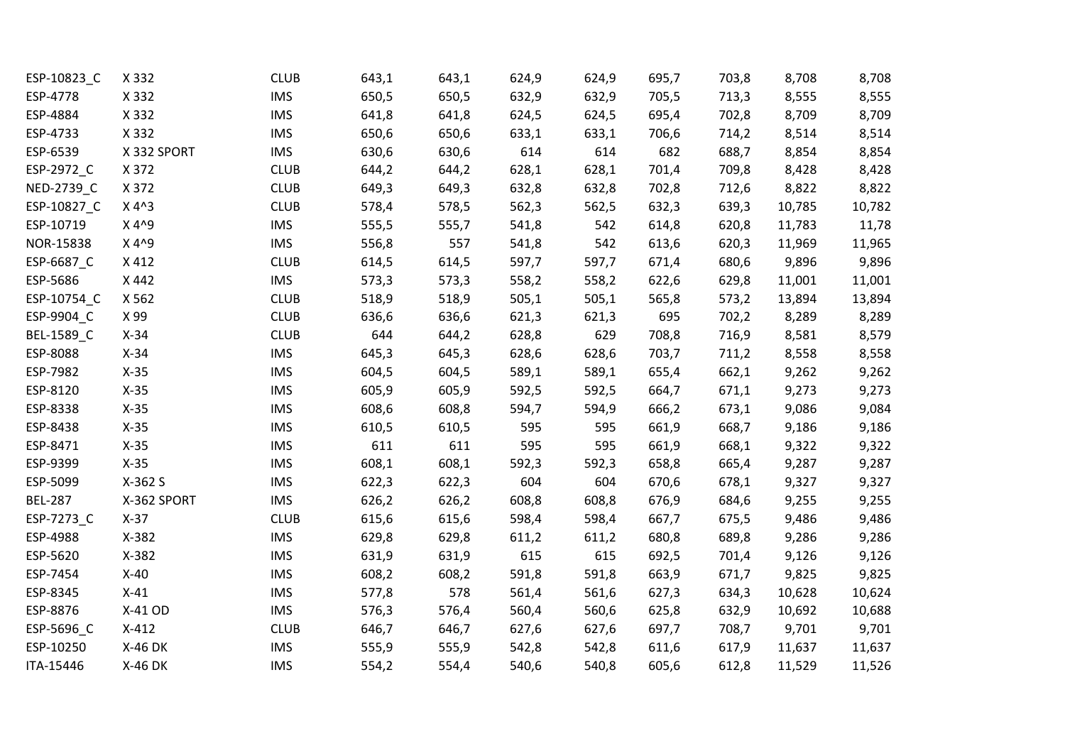| ESP-10823_C    | X 332       | <b>CLUB</b> | 643,1 | 643,1 | 624,9 | 624,9 | 695,7 | 703,8 | 8,708  | 8,708  |
|----------------|-------------|-------------|-------|-------|-------|-------|-------|-------|--------|--------|
| ESP-4778       | X 332       | <b>IMS</b>  | 650,5 | 650,5 | 632,9 | 632,9 | 705,5 | 713,3 | 8,555  | 8,555  |
| ESP-4884       | X 332       | <b>IMS</b>  | 641,8 | 641,8 | 624,5 | 624,5 | 695,4 | 702,8 | 8,709  | 8,709  |
| ESP-4733       | X 332       | <b>IMS</b>  | 650,6 | 650,6 | 633,1 | 633,1 | 706,6 | 714,2 | 8,514  | 8,514  |
| ESP-6539       | X 332 SPORT | <b>IMS</b>  | 630,6 | 630,6 | 614   | 614   | 682   | 688,7 | 8,854  | 8,854  |
| ESP-2972_C     | X 372       | <b>CLUB</b> | 644,2 | 644,2 | 628,1 | 628,1 | 701,4 | 709,8 | 8,428  | 8,428  |
| NED-2739_C     | X 372       | <b>CLUB</b> | 649,3 | 649,3 | 632,8 | 632,8 | 702,8 | 712,6 | 8,822  | 8,822  |
| ESP-10827_C    | $X 4^3$     | <b>CLUB</b> | 578,4 | 578,5 | 562,3 | 562,5 | 632,3 | 639,3 | 10,785 | 10,782 |
| ESP-10719      | X 4^9       | <b>IMS</b>  | 555,5 | 555,7 | 541,8 | 542   | 614,8 | 620,8 | 11,783 | 11,78  |
| NOR-15838      | X 4^9       | <b>IMS</b>  | 556,8 | 557   | 541,8 | 542   | 613,6 | 620,3 | 11,969 | 11,965 |
| ESP-6687_C     | X412        | <b>CLUB</b> | 614,5 | 614,5 | 597,7 | 597,7 | 671,4 | 680,6 | 9,896  | 9,896  |
| ESP-5686       | X 442       | <b>IMS</b>  | 573,3 | 573,3 | 558,2 | 558,2 | 622,6 | 629,8 | 11,001 | 11,001 |
| ESP-10754_C    | X 562       | <b>CLUB</b> | 518,9 | 518,9 | 505,1 | 505,1 | 565,8 | 573,2 | 13,894 | 13,894 |
| ESP-9904_C     | X 99        | <b>CLUB</b> | 636,6 | 636,6 | 621,3 | 621,3 | 695   | 702,2 | 8,289  | 8,289  |
| BEL-1589_C     | $X-34$      | <b>CLUB</b> | 644   | 644,2 | 628,8 | 629   | 708,8 | 716,9 | 8,581  | 8,579  |
| ESP-8088       | $X-34$      | <b>IMS</b>  | 645,3 | 645,3 | 628,6 | 628,6 | 703,7 | 711,2 | 8,558  | 8,558  |
| ESP-7982       | $X-35$      | <b>IMS</b>  | 604,5 | 604,5 | 589,1 | 589,1 | 655,4 | 662,1 | 9,262  | 9,262  |
| ESP-8120       | $X-35$      | <b>IMS</b>  | 605,9 | 605,9 | 592,5 | 592,5 | 664,7 | 671,1 | 9,273  | 9,273  |
| ESP-8338       | $X-35$      | <b>IMS</b>  | 608,6 | 608,8 | 594,7 | 594,9 | 666,2 | 673,1 | 9,086  | 9,084  |
| ESP-8438       | $X-35$      | <b>IMS</b>  | 610,5 | 610,5 | 595   | 595   | 661,9 | 668,7 | 9,186  | 9,186  |
| ESP-8471       | $X-35$      | <b>IMS</b>  | 611   | 611   | 595   | 595   | 661,9 | 668,1 | 9,322  | 9,322  |
| ESP-9399       | $X-35$      | <b>IMS</b>  | 608,1 | 608,1 | 592,3 | 592,3 | 658,8 | 665,4 | 9,287  | 9,287  |
| ESP-5099       | X-362 S     | <b>IMS</b>  | 622,3 | 622,3 | 604   | 604   | 670,6 | 678,1 | 9,327  | 9,327  |
| <b>BEL-287</b> | X-362 SPORT | <b>IMS</b>  | 626,2 | 626,2 | 608,8 | 608,8 | 676,9 | 684,6 | 9,255  | 9,255  |
| ESP-7273_C     | $X-37$      | <b>CLUB</b> | 615,6 | 615,6 | 598,4 | 598,4 | 667,7 | 675,5 | 9,486  | 9,486  |
| ESP-4988       | X-382       | <b>IMS</b>  | 629,8 | 629,8 | 611,2 | 611,2 | 680,8 | 689,8 | 9,286  | 9,286  |
| ESP-5620       | X-382       | <b>IMS</b>  | 631,9 | 631,9 | 615   | 615   | 692,5 | 701,4 | 9,126  | 9,126  |
| ESP-7454       | $X-40$      | <b>IMS</b>  | 608,2 | 608,2 | 591,8 | 591,8 | 663,9 | 671,7 | 9,825  | 9,825  |
| ESP-8345       | $X-41$      | <b>IMS</b>  | 577,8 | 578   | 561,4 | 561,6 | 627,3 | 634,3 | 10,628 | 10,624 |
| ESP-8876       | X-41 OD     | <b>IMS</b>  | 576,3 | 576,4 | 560,4 | 560,6 | 625,8 | 632,9 | 10,692 | 10,688 |
| ESP-5696_C     | $X-412$     | <b>CLUB</b> | 646,7 | 646,7 | 627,6 | 627,6 | 697,7 | 708,7 | 9,701  | 9,701  |
| ESP-10250      | X-46 DK     | <b>IMS</b>  | 555,9 | 555,9 | 542,8 | 542,8 | 611,6 | 617,9 | 11,637 | 11,637 |
| ITA-15446      | X-46 DK     | <b>IMS</b>  | 554,2 | 554,4 | 540,6 | 540,8 | 605,6 | 612,8 | 11,529 | 11,526 |